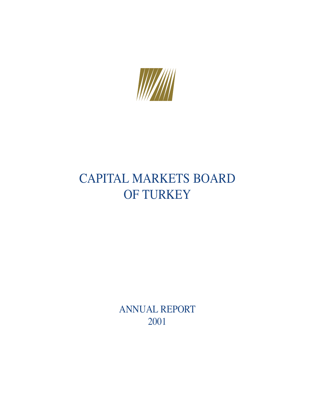

# CAPITAL MARKETS BOARD OF TURKEY

ANNUAL REPORT 2001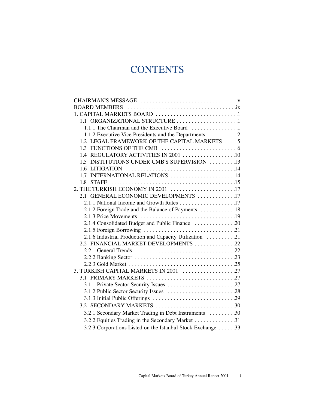# **CONTENTS**

| 1. CAPITAL MARKETS BOARD 1                                   |
|--------------------------------------------------------------|
| 1.1 ORGANIZATIONAL STRUCTURE 1                               |
| 1.1.1 The Chairman and the Executive Board 1                 |
|                                                              |
| 1.2 LEGAL FRAMEWORK OF THE CAPITAL MARKETS 5                 |
|                                                              |
|                                                              |
| 1.5 INSTITUTIONS UNDER CMB'S SUPERVISION 13                  |
|                                                              |
| 1.7 INTERNATIONAL RELATIONS 14                               |
|                                                              |
| 2. THE TURKISH ECONOMY IN 2001 17                            |
| 2.1 GENERAL ECONOMIC DEVELOPMENTS 17                         |
|                                                              |
| 2.1.2 Foreign Trade and the Balance of Payments 18           |
|                                                              |
|                                                              |
|                                                              |
| 2.1.6 Industrial Production and Capacity Utilization 21      |
| 2.2 FINANCIAL MARKET DEVELOPMENTS 22                         |
|                                                              |
|                                                              |
|                                                              |
| 3. TURKISH CAPITAL MARKETS IN 2001 27                        |
|                                                              |
|                                                              |
|                                                              |
|                                                              |
|                                                              |
| 3.2.1 Secondary Market Trading in Debt Instruments 30        |
|                                                              |
| 3.2.3 Corporations Listed on the Istanbul Stock Exchange  33 |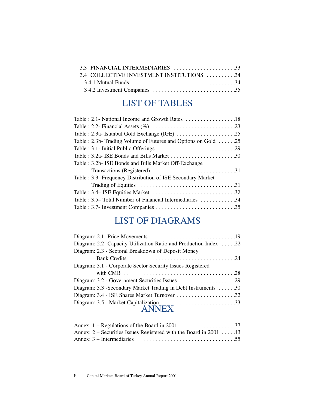| 3.4 COLLECTIVE INVESTMENT INSTITUTIONS 34 |  |
|-------------------------------------------|--|
|                                           |  |
|                                           |  |

# LIST OF TABLES

| Table : 2.3b- Trading Volume of Futures and Options on Gold  25 |
|-----------------------------------------------------------------|
|                                                                 |
|                                                                 |
| Table : 3.2b - ISE Bonds and Bills Market Off-Exchange          |
|                                                                 |
| Table : 3.3- Frequency Distribution of ISE Secondary Market     |
|                                                                 |
|                                                                 |
| Table : 3.5– Total Number of Financial Intermediaries 34        |
|                                                                 |
|                                                                 |

# LIST OF DIAGRAMS

| Diagram: 2.2- Capacity Utilization Ratio and Production Index  22 |
|-------------------------------------------------------------------|
| Diagram: 2.3 - Sectoral Breakdown of Deposit Money                |
|                                                                   |
| Diagram: 3.1 - Corporate Sector Security Issues Registered        |
|                                                                   |
|                                                                   |
| Diagram: 3.3 - Secondary Market Trading in Debt Instruments 30    |
|                                                                   |
| <b>ANNEX</b>                                                      |

| Annex: $1 - \text{Regulations of the Board in } 2001 \ldots \ldots \ldots \ldots \ldots \ldots \ldots 37$ |  |
|-----------------------------------------------------------------------------------------------------------|--|
| Annex: $2$ – Securities Issues Registered with the Board in 2001 43                                       |  |
|                                                                                                           |  |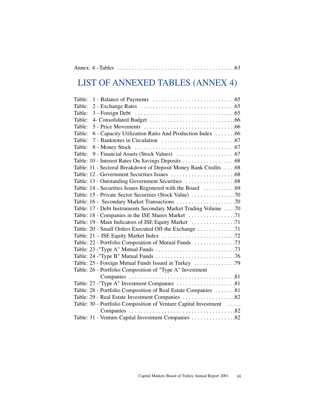|--|--|--|

# LIST OF ANNEXED TABLES (ANNEX 4)

| Table:                                                           |
|------------------------------------------------------------------|
| Table:                                                           |
| Table:                                                           |
| Table:                                                           |
| Table:                                                           |
| 6 - Capacity Utilization Ratio And Production Index 66<br>Table: |
| Table:                                                           |
| Table:                                                           |
| Table:                                                           |
|                                                                  |
| Table: 11 - Sectoral Breakdown of Deposit Money Bank Credits 68  |
|                                                                  |
|                                                                  |
| Table: 14 - Securities Issues Registered with the Board  69      |
|                                                                  |
|                                                                  |
| Table: 17 - Debt Instruments Secondary Market Trading Volume 70  |
|                                                                  |
|                                                                  |
| Table: 20 - Small Orders Executed Off-the Exchange 71            |
|                                                                  |
|                                                                  |
|                                                                  |
|                                                                  |
|                                                                  |
| Table: 26 - Portfolio Composition of "Type A" Investment         |
|                                                                  |
|                                                                  |
| Table: 28 - Portfolio Composition of Real Estate Companies 81    |
|                                                                  |
| Table: 30 - Portfolio Composition of Venture Capital Investment  |
|                                                                  |
| Table: 31 - Venture Capital Investment Companies 82              |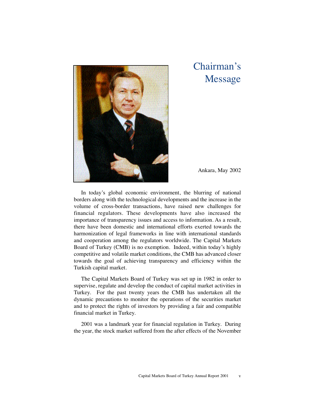

# Chairman's Message

Ankara, May 2002

In today's global economic environment, the blurring of national borders along with the technological developments and the increase in the volume of cross-border transactions, have raised new challenges for financial regulators. These developments have also increased the importance of transparency issues and access to information. As a result, there have been domestic and international efforts exerted towards the harmonization of legal frameworks in line with international standards and cooperation among the regulators worldwide. The Capital Markets Board of Turkey (CMB) is no exemption. Indeed, within today's highly competitive and volatile market conditions, the CMB has advanced closer towards the goal of achieving transparency and efficiency within the Turkish capital market.

The Capital Markets Board of Turkey was set up in 1982 in order to supervise, regulate and develop the conduct of capital market activities in Turkey. For the past twenty years the CMB has undertaken all the dynamic precautions to monitor the operations of the securities market and to protect the rights of investors by providing a fair and compatible financial market in Turkey.

2001 was a landmark year for financial regulation in Turkey. During the year, the stock market suffered from the after effects of the November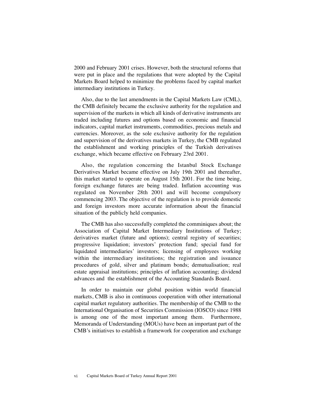2000 and February 2001 crises. However, both the structural reforms that were put in place and the regulations that were adopted by the Capital Markets Board helped to minimize the problems faced by capital market intermediary institutions in Turkey.

Also, due to the last amendments in the Capital Markets Law (CML), the CMB definitely became the exclusive authority for the regulation and supervision of the markets in which all kinds of derivative instruments are traded including futures and options based on economic and financial indicators, capital market instruments, commodities, precious metals and currencies. Moreover, as the sole exclusive authority for the regulation and supervision of the derivatives markets in Turkey, the CMB regulated the establishment and working principles of the Turkish derivatives exchange, which became effective on February 23rd 2001.

Also, the regulation concerning the Istanbul Stock Exchange Derivatives Market became effective on July 19th 2001 and thereafter, this market started to operate on August 15th 2001. For the time being, foreign exchange futures are being traded. Inflation accounting was regulated on November 28th 2001 and will become compulsory commencing 2003. The objective of the regulation is to provide domestic and foreign investors more accurate information about the financial situation of the publicly held companies.

The CMB has also successfully completed the comminiques about; the Association of Capital Market Intermediary Institutions of Turkey; derivatives market (future and options); central registry of securities; progressive liquidation; investors' protection fund; special fund for liquidated intermediaries' investors; licensing of employees working within the intermediary institutions; the registration and issuance procedures of gold, silver and platinum bonds; demutualisation; real estate appraisal institutions; principles of inflation accounting; dividend advances and the establishment of the Accounting Standards Board.

In order to maintain our global position within world financial markets, CMB is also in continuous cooperation with other international capital market regulatory authorities. The membership of the CMB to the International Organisation of Securities Commission (IOSCO) since 1988 is among one of the most important among them. Furthermore, Memoranda of Understanding (MOUs) have been an important part of the CMB's initiatives to establish a framework for cooperation and exchange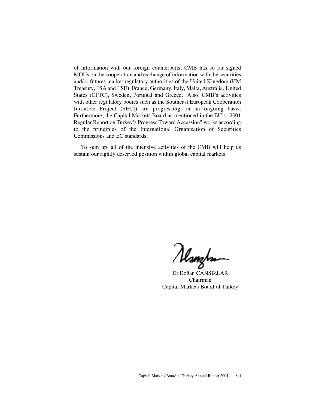of information with our foreign counterparts. CMB has so far signed MOUs on the cooperation and exchange of information with the securities and/or futures market regulatory authorities of the United Kingdom (HM Treasury, FSA and LSE), France, Germany, Italy, Malta, Australia, United States (CFTC), Sweden, Portugal and Greece. Also, CMB's activities with other regulatory bodies such as the Southeast European Cooperation Initiative Project (SECI) are progressing on an ongoing basis. Furthermore, the Capital Markets Board as mentioned in the EU's "2001 Regular Report on Turkey's Progress Toward Accession" works according to the principles of the International Organisation of Securities Commissions and EC standards.

To sum up, all of the intensive activities of the CMB will help us sustain our rightly deserved position within global capital markets.

Nongh

Chairman Capital Markets Board of Turkey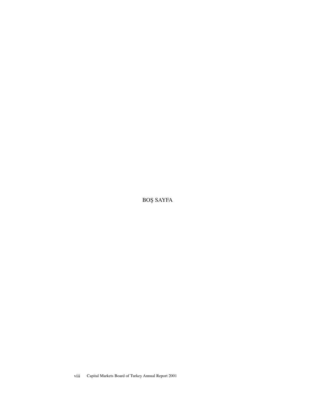BOŞ SAYFA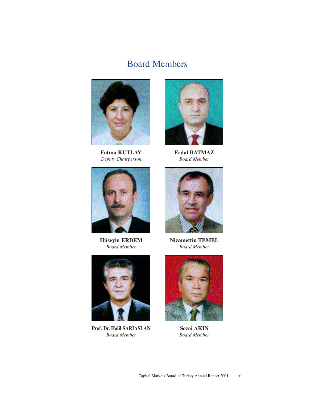# Board Members



**Fatma KUTLAY** *Deputy Chairperson*



**Hüseyin ERDEM** *Board Member*



**Erdal BATMAZ** *Board Member*



**Nizamettin TEMEL** *Board Member*



**Prof. Dr. Halil SARIASLAN** *Board Member*



**Sezai AKIN** *Board Member*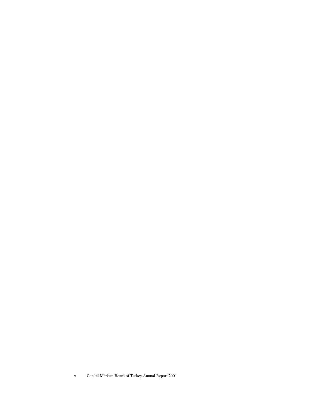x Capital Markets Board of Turkey Annual Report 2001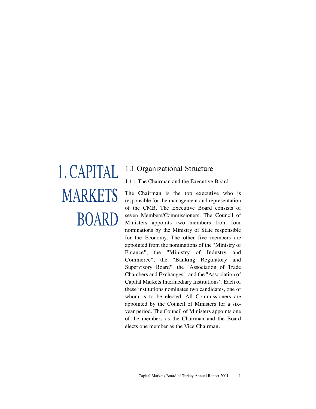# 1. CAPITAL **MARKETS** BOARD

# 1.1 Organizational Structure

1.1.1 The Chairman and the Executive Board

The Chairman is the top executive who is responsible for the management and representation of the CMB. The Executive Board consists of seven Members/Commissioners. The Council of Ministers appoints two members from four nominations by the Ministry of State responsible for the Economy. The other five members are appointed from the nominations of the "Ministry of Finance", the "Ministry of Industry and Commerce", the "Banking Regulatory and Supervisory Board", the "Association of Trade Chambers and Exchanges", and the "Association of Capital Markets Intermediary Institutions". Each of these institutions nominates two candidates, one of whom is to be elected. All Commissioners are appointed by the Council of Ministers for a sixyear period. The Council of Ministers appoints one of the members as the Chairman and the Board elects one member as the Vice Chairman.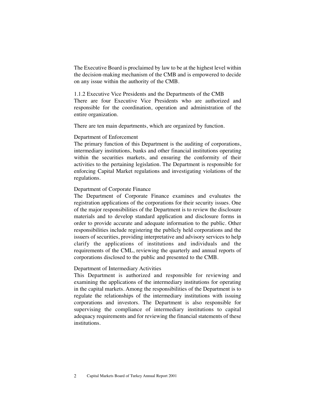The Executive Board is proclaimed by law to be at the highest level within the decision-making mechanism of the CMB and is empowered to decide on any issue within the authority of the CMB.

1.1.2 Executive Vice Presidents and the Departments of the CMB There are four Executive Vice Presidents who are authorized and responsible for the coordination, operation and administration of the entire organization.

There are ten main departments, which are organized by function.

#### Department of Enforcement

The primary function of this Department is the auditing of corporations, intermediary institutions, banks and other financial institutions operating within the securities markets, and ensuring the conformity of their activities to the pertaining legislation. The Department is responsible for enforcing Capital Market regulations and investigating violations of the regulations.

#### Department of Corporate Finance

The Department of Corporate Finance examines and evaluates the registration applications of the corporations for their security issues. One of the major responsibilities of the Department is to review the disclosure materials and to develop standard application and disclosure forms in order to provide accurate and adequate information to the public. Other responsibilities include registering the publicly held corporations and the issuers of securities, providing interpretative and advisory services to help clarify the applications of institutions and individuals and the requirements of the CML, reviewing the quarterly and annual reports of corporations disclosed to the public and presented to the CMB.

#### Department of Intermediary Activities

This Department is authorized and responsible for reviewing and examining the applications of the intermediary institutions for operating in the capital markets. Among the responsibilities of the Department is to regulate the relationships of the intermediary institutions with issuing corporations and investors. The Department is also responsible for supervising the compliance of intermediary institutions to capital adequacy requirements and for reviewing the financial statements of these institutions.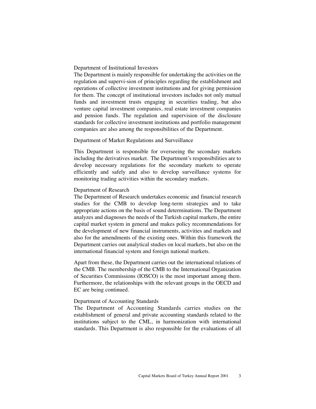## Department of Institutional Investors

The Department is mainly responsible for undertaking the activities on the regulation and supervi-sion of principles regarding the establishment and operations of collective investment institutions and for giving permission for them. The concept of institutional investors includes not only mutual funds and investment trusts engaging in securities trading, but also venture capital investment companies, real estate investment companies and pension funds. The regulation and supervision of the disclosure standards for collective investment institutions and portfolio management companies are also among the responsibilities of the Department.

#### Department of Market Regulations and Surveillance

This Department is responsible for overseeing the secondary markets including the derivatives market. The Department's responsibilities are to develop necessary regulations for the secondary markets to operate efficiently and safely and also to develop surveillance systems for monitoring trading activities within the secondary markets.

## Department of Research

The Department of Research undertakes economic and financial research studies for the CMB to develop long-term strategies and to take appropriate actions on the basis of sound determinations. The Department analyzes and diagnoses the needs of the Turkish capital markets, the entire capital market system in general and makes policy recommendations for the development of new financial instruments, activities and markets and also for the amendments of the existing ones. Within this framework the Department carries out analytical studies on local markets, but also on the international financial system and foreign national markets.

Apart from these, the Department carries out the international relations of the CMB. The membership of the CMB to the International Organization of Securities Commissions (IOSCO) is the most important among them. Furthermore, the relationships with the relevant groups in the OECD and EC are being continued.

### Department of Accounting Standards

The Department of Accounting Standards carries studies on the establishment of general and private accounting standards related to the institutions subject to the CML, in harmonization with international standards. This Department is also responsible for the evaluations of all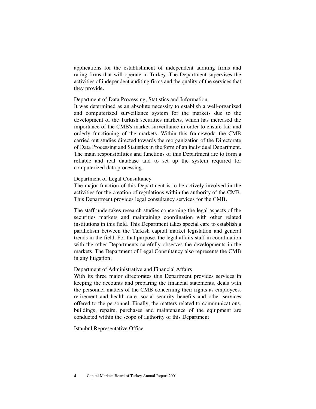applications for the establishment of independent auditing firms and rating firms that will operate in Turkey. The Department supervises the activities of independent auditing firms and the quality of the services that they provide.

Department of Data Processing, Statistics and Information

It was determined as an absolute necessity to establish a well-organized and computerized surveillance system for the markets due to the development of the Turkish securities markets, which has increased the importance of the CMB's market surveillance in order to ensure fair and orderly functioning of the markets. Within this framework, the CMB carried out studies directed towards the reorganization of the Directorate of Data Processing and Statistics in the form of an individual Department. The main responsibilities and functions of this Department are to form a reliable and real database and to set up the system required for computerized data processing.

#### Department of Legal Consultancy

The major function of this Department is to be actively involved in the activities for the creation of regulations within the authority of the CMB. This Department provides legal consultancy services for the CMB.

The staff undertakes research studies concerning the legal aspects of the securities markets and maintaining coordination with other related institutions in this field. This Department takes special care to establish a parallelism between the Turkish capital market legislation and general trends in the field. For that purpose, the legal affairs staff in coordination with the other Departments carefully observes the developments in the markets. The Department of Legal Consultancy also represents the CMB in any litigation.

### Department of Administrative and Financial Affairs

With its three major directorates this Department provides services in keeping the accounts and preparing the financial statements, deals with the personnel matters of the CMB concerning their rights as employees, retirement and health care, social security benefits and other services offered to the personnel. Finally, the matters related to communications, buildings, repairs, purchases and maintenance of the equipment are conducted within the scope of authority of this Department.

Istanbul Representative Office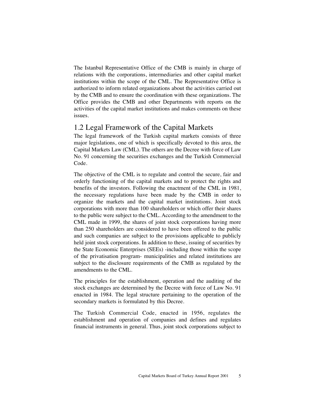The Istanbul Representative Office of the CMB is mainly in charge of relations with the corporations, intermediaries and other capital market institutions within the scope of the CML. The Representative Office is authorized to inform related organizations about the activities carried out by the CMB and to ensure the coordination with these organizations. The Office provides the CMB and other Departments with reports on the activities of the capital market institutions and makes comments on these issues.

# 1.2 Legal Framework of the Capital Markets

The legal framework of the Turkish capital markets consists of three major legislations, one of which is specifically devoted to this area, the Capital Markets Law (CML). The others are the Decree with force of Law No. 91 concerning the securities exchanges and the Turkish Commercial Code.

The objective of the CML is to regulate and control the secure, fair and orderly functioning of the capital markets and to protect the rights and benefits of the investors. Following the enactment of the CML in 1981, the necessary regulations have been made by the CMB in order to organize the markets and the capital market institutions. Joint stock corporations with more than 100 shareholders or which offer their shares to the public were subject to the CML. According to the amendment to the CML made in 1999, the shares of joint stock corporations having more than 250 shareholders are considered to have been offered to the public and such companies are subject to the provisions applicable to publicly held joint stock corporations. In addition to these, issuing of securities by the State Economic Enterprises (SEEs) -including those within the scope of the privatisation program- municipalities and related institutions are subject to the disclosure requirements of the CMB as regulated by the amendments to the CML.

The principles for the establishment, operation and the auditing of the stock exchanges are determined by the Decree with force of Law No. 91 enacted in 1984. The legal structure pertaining to the operation of the secondary markets is formulated by this Decree.

The Turkish Commercial Code, enacted in 1956, regulates the establishment and operation of companies and defines and regulates financial instruments in general. Thus, joint stock corporations subject to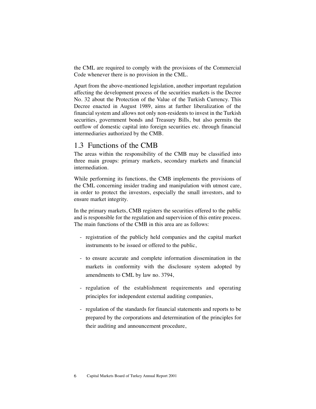the CML are required to comply with the provisions of the Commercial Code whenever there is no provision in the CML.

Apart from the above-mentioned legislation, another important regulation affecting the development process of the securities markets is the Decree No. 32 about the Protection of the Value of the Turkish Currency. This Decree enacted in August 1989, aims at further liberalization of the financial system and allows not only non-residents to invest in the Turkish securities, government bonds and Treasury Bills, but also permits the outflow of domestic capital into foreign securities etc. through financial intermediaries authorized by the CMB.

# 1.3 Functions of the CMB

The areas within the responsibility of the CMB may be classified into three main groups: primary markets, secondary markets and financial intermediation.

While performing its functions, the CMB implements the provisions of the CML concerning insider trading and manipulation with utmost care, in order to protect the investors, especially the small investors, and to ensure market integrity.

In the primary markets, CMB registers the securities offered to the public and is responsible for the regulation and supervision of this entire process. The main functions of the CMB in this area are as follows:

- registration of the publicly held companies and the capital market instruments to be issued or offered to the public,
- to ensure accurate and complete information dissemination in the markets in conformity with the disclosure system adopted by amendments to CML by law no. 3794,
- regulation of the establishment requirements and operating principles for independent external auditing companies,
- regulation of the standards for financial statements and reports to be prepared by the corporations and determination of the principles for their auditing and announcement procedure,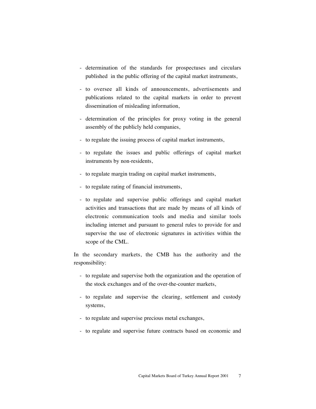- determination of the standards for prospectuses and circulars published in the public offering of the capital market instruments,
- to oversee all kinds of announcements, advertisements and publications related to the capital markets in order to prevent dissemination of misleading information,
- determination of the principles for proxy voting in the general assembly of the publicly held companies,
- to regulate the issuing process of capital market instruments,
- to regulate the issues and public offerings of capital market instruments by non-residents,
- to regulate margin trading on capital market instruments,
- to regulate rating of financial instruments,
- to regulate and supervise public offerings and capital market activities and transactions that are made by means of all kinds of electronic communication tools and media and similar tools including internet and pursuant to general rules to provide for and supervise the use of electronic signatures in activities within the scope of the CML.

In the secondary markets, the CMB has the authority and the responsibility:

- to regulate and supervise both the organization and the operation of the stock exchanges and of the over-the-counter markets,
- to regulate and supervise the clearing, settlement and custody systems,
- to regulate and supervise precious metal exchanges,
- to regulate and supervise future contracts based on economic and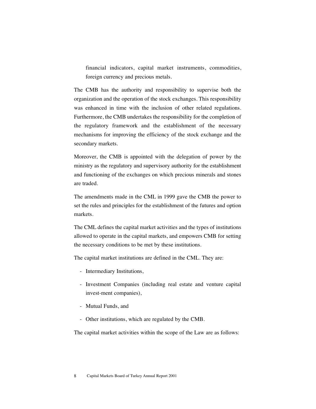financial indicators, capital market instruments, commodities, foreign currency and precious metals.

The CMB has the authority and responsibility to supervise both the organization and the operation of the stock exchanges. This responsibility was enhanced in time with the inclusion of other related regulations. Furthermore, the CMB undertakes the responsibility for the completion of the regulatory framework and the establishment of the necessary mechanisms for improving the efficiency of the stock exchange and the secondary markets.

Moreover, the CMB is appointed with the delegation of power by the ministry as the regulatory and supervisory authority for the establishment and functioning of the exchanges on which precious minerals and stones are traded.

The amendments made in the CML in 1999 gave the CMB the power to set the rules and principles for the establishment of the futures and option markets.

The CML defines the capital market activities and the types of institutions allowed to operate in the capital markets, and empowers CMB for setting the necessary conditions to be met by these institutions.

The capital market institutions are defined in the CML. They are:

- Intermediary Institutions,
- Investment Companies (including real estate and venture capital invest-ment companies),
- Mutual Funds, and
- Other institutions, which are regulated by the CMB.

The capital market activities within the scope of the Law are as follows: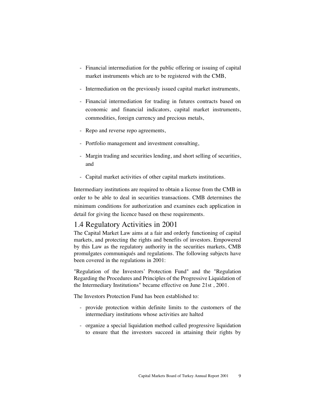- Financial intermediation for the public offering or issuing of capital market instruments which are to be registered with the CMB,
- Intermediation on the previously issued capital market instruments,
- Financial intermediation for trading in futures contracts based on economic and financial indicators, capital market instruments, commodities, foreign currency and precious metals,
- Repo and reverse repo agreements,
- Portfolio management and investment consulting,
- Margin trading and securities lending, and short selling of securities, and
- Capital market activities of other capital markets institutions.

Intermediary institutions are required to obtain a license from the CMB in order to be able to deal in securities transactions. CMB determines the minimum conditions for authorization and examines each application in detail for giving the licence based on these requirements.

# 1.4 Regulatory Activities in 2001

The Capital Market Law aims at a fair and orderly functioning of capital markets, and protecting the rights and benefits of investors. Empowered by this Law as the regulatory authority in the securities markets, CMB promulgates communiqués and regulations. The following subjects have been covered in the regulations in 2001:

"Regulation of the Investors' Protection Fund" and the "Regulation Regarding the Procedures and Principles of the Progressive Liquidation of the Intermediary Institutions" became effective on June 21st , 2001.

The Investors Protection Fund has been established to:

- provide protection within definite limits to the customers of the intermediary institutions whose activities are halted
- organize a special liquidation method called progressive liquidation to ensure that the investors succeed in attaining their rights by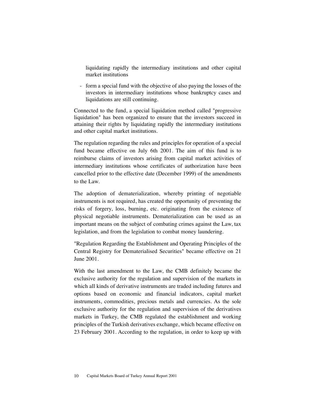liquidating rapidly the intermediary institutions and other capital market institutions

- form a special fund with the objective of also paying the losses of the investors in intermediary institutions whose bankruptcy cases and liquidations are still continuing.

Connected to the fund, a special liquidation method called "progressive liquidation" has been organized to ensure that the investors succeed in attaining their rights by liquidating rapidly the intermediary institutions and other capital market institutions.

The regulation regarding the rules and principles for operation of a special fund became effective on July 6th 2001. The aim of this fund is to reimburse claims of investors arising from capital market activities of intermediary institutions whose certificates of authorization have been cancelled prior to the effective date (December 1999) of the amendments to the Law.

The adoption of dematerialization, whereby printing of negotiable instruments is not required, has created the opportunity of preventing the risks of forgery, loss, burning, etc. originating from the existence of physical negotiable instruments. Dematerialization can be used as an important means on the subject of combating crimes against the Law, tax legislation, and from the legislation to combat money laundering.

"Regulation Regarding the Establishment and Operating Principles of the Central Registry for Dematerialised Securities" became effective on 21 June 2001.

With the last amendment to the Law, the CMB definitely became the exclusive authority for the regulation and supervision of the markets in which all kinds of derivative instruments are traded including futures and options based on economic and financial indicators, capital market instruments, commodities, precious metals and currencies. As the sole exclusive authority for the regulation and supervision of the derivatives markets in Turkey, the CMB regulated the establishment and working principles of the Turkish derivatives exchange, which became effective on 23 February 2001. According to the regulation, in order to keep up with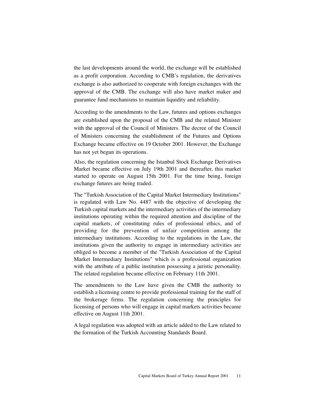the last developments around the world, the exchange will be established as a profit corporation. According to CMB's regulation, the derivatives exchange is also authorized to cooperate with foreign exchanges with the approval of the CMB. The exchange will also have market maker and guarantee fund mechanisms to maintain liquidity and reliability.

According to the amendments to the Law, futures and options exchanges are established upon the proposal of the CMB and the related Minister with the approval of the Council of Ministers. The decree of the Council of Ministers concerning the establishment of the Futures and Options Exchange became effective on 19 October 2001. However, the Exchange has not yet begun its operations.

Also, the regulation concerning the Istanbul Stock Exchange Derivatives Market became effective on July 19th 2001 and thereafter, this market started to operate on August 15th 2001. For the time being, foreign exchange futures are being traded.

The "Turkish Association of the Capital Market Intermediary Institutions" is regulated with Law No. 4487 with the objective of developing the Turkish capital markets and the intermediary activities of the intermediary institutions operating within the required attention and discipline of the capital markets, of constituting rules of professional ethics, and of providing for the prevention of unfair competition among the intermediary institutions. According to the regulations in the Law, the institutions given the authority to engage in intermediary activities are obliged to become a member of the "Turkish Association of the Capital Market Intermediary Institutions" which is a professional organization with the attribute of a public institution possessing a juristic personality. The related regulation became effective on February 11th 2001.

The amendments to the Law have given the CMB the authority to establish a licensing centre to provide professional training for the staff of the brokerage firms. The regulation concerning the principles for licensing of persons who will engage in capital markets activities became effective on August 11th 2001.

A legal regulation was adopted with an article added to the Law related to the formation of the Turkish Accounting Standards Board.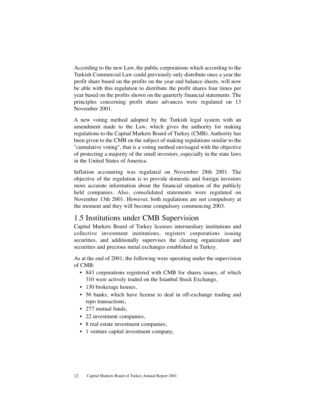According to the new Law, the public corporations which according to the Turkish Commercial Law could previously only distribute once a year the profit share based on the profits on the year end balance sheets, will now be able with this regulation to distribute the profit shares four times per year based on the profits shown on the quarterly financial statements. The principles concerning profit share advances were regulated on 13 November 2001.

A new voting method adopted by the Turkish legal system with an amendment made to the Law, which gives the authority for making regulations to the Capital Markets Board of Turkey (CMB). Authority has been given to the CMB on the subject of making regulations similar to the "cumulative voting", that is a voting method envisaged with the objective of protecting a majority of the small investors, especially in the state laws in the United States of America.

Inflation accounting was regulated on November 28th 2001. The objective of the regulation is to provide domestic and foreign investors more accurate information about the financial situation of the publicly held companies. Also, consolidated statements were regulated on November 13th 2001. However, both regulations are not compulsory at the moment and they will become compulsory commencing 2003.

# 1.5 Institutions under CMB Supervision

Capital Markets Board of Turkey licenses intermediary institutions and collective investment institutions, registers corporations issuing securities, and additionally supervises the clearing organization and securities and precious metal exchanges established in Turkey.

As at the end of 2001, the following were operating under the supervision of CMB:

- 843 corporations registered with CMB for shares issues, of which 310 were actively traded on the Istanbul Stock Exchange,
- 130 brokerage houses,
- 56 banks, which have license to deal in off-exchange trading and repo transactions,
- 277 mutual funds,
- 22 investment companies,
- 8 real estate investment companies,
- 1 venture capital investment company,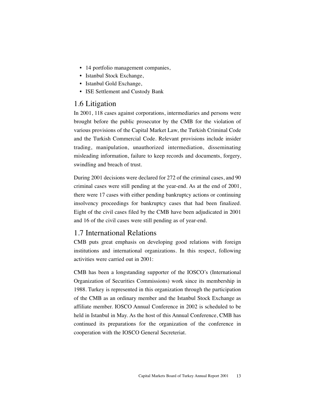- 14 portfolio management companies,
- Istanbul Stock Exchange,
- Istanbul Gold Exchange,
- ISE Settlement and Custody Bank

# 1.6 Litigation

In 2001, 118 cases against corporations, intermediaries and persons were brought before the public prosecutor by the CMB for the violation of various provisions of the Capital Market Law, the Turkish Criminal Code and the Turkish Commercial Code. Relevant provisions include insider trading, manipulation, unauthorized intermediation, disseminating misleading information, failure to keep records and documents, forgery, swindling and breach of trust.

During 2001 decisions were declared for 272 of the criminal cases, and 90 criminal cases were still pending at the year-end. As at the end of 2001, there were 17 cases with either pending bankruptcy actions or continuing insolvency proceedings for bankruptcy cases that had been finalized. Eight of the civil cases filed by the CMB have been adjudicated in 2001 and 16 of the civil cases were still pending as of year-end.

# 1.7 International Relations

CMB puts great emphasis on developing good relations with foreign institutions and international organizations. In this respect, following activities were carried out in 2001:

CMB has been a longstanding supporter of the IOSCO's (International Organization of Securities Commissions) work since its membership in 1988. Turkey is represented in this organization through the participation of the CMB as an ordinary member and the Istanbul Stock Exchange as affiliate member. IOSCO Annual Conference in 2002 is scheduled to be held in Istanbul in May. As the host of this Annual Conference, CMB has continued its preparations for the organization of the conference in cooperation with the IOSCO General Secreteriat.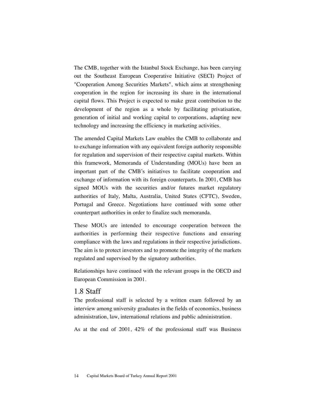The CMB, together with the Istanbul Stock Exchange, has been carrying out the Southeast European Cooperative Initiative (SECI) Project of "Cooperation Among Securities Markets", which aims at strengthening cooperation in the region for increasing its share in the international capital flows. This Project is expected to make great contribution to the development of the region as a whole by facilitating privatisation, generation of initial and working capital to corporations, adapting new technology and increasing the efficiency in marketing activities.

The amended Capital Markets Law enables the CMB to collaborate and to exchange information with any equivalent foreign authority responsible for regulation and supervision of their respective capital markets. Within this framework, Memoranda of Understanding (MOUs) have been an important part of the CMB's initiatives to facilitate cooperation and exchange of information with its foreign counterparts. In 2001, CMB has signed MOUs with the securities and/or futures market regulatory authorities of Italy, Malta, Australia, United States (CFTC), Sweden, Portugal and Greece. Negotiations have continued with some other counterpart authorities in order to finalize such memoranda.

These MOUs are intended to encourage cooperation between the authorities in performing their respective functions and ensuring compliance with the laws and regulations in their respective jurisdictions. The aim is to protect investors and to promote the integrity of the markets regulated and supervised by the signatory authorities.

Relationships have continued with the relevant groups in the OECD and European Commission in 2001.

# 1.8 Staff

The professional staff is selected by a written exam followed by an interview among university graduates in the fields of economics, business administration, law, international relations and public administration.

As at the end of 2001, 42% of the professional staff was Business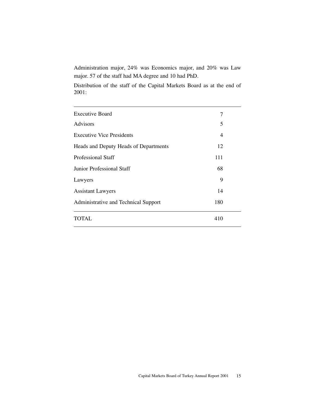Administration major, 24% was Economics major, and 20% was Law major. 57 of the staff had MA degree and 10 had PhD.

Distribution of the staff of the Capital Markets Board as at the end of 2001:

| <b>Executive Board</b>                | 7   |  |
|---------------------------------------|-----|--|
| Advisors                              | 5   |  |
| <b>Executive Vice Presidents</b>      | 4   |  |
| Heads and Deputy Heads of Departments | 12  |  |
| Professional Staff                    | 111 |  |
| Junior Professional Staff             | 68  |  |
| Lawyers                               | 9   |  |
| <b>Assistant Lawyers</b>              | 14  |  |
| Administrative and Technical Support  | 180 |  |
| YTAL.                                 | 410 |  |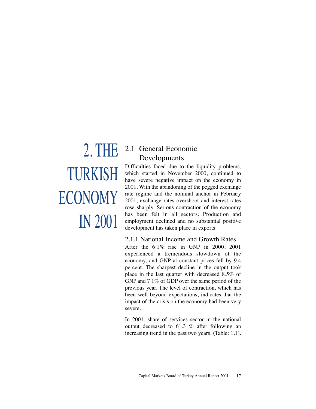# 2. THE TURKISH ECONOMY IN 2001

# 2.1 General Economic Developments

Difficulties faced due to the liquidity problems, which started in November 2000, continued to have severe negative impact on the economy in 2001. With the abandoning of the pegged exchange rate regime and the nominal anchor in February 2001, exchange rates overshoot and interest rates rose sharply. Serious contraction of the economy has been felt in all sectors. Production and employment declined and no substantial positive development has taken place in exports.

## 2.1.1 National Income and Growth Rates

After the 6.1% rise in GNP in 2000, 2001 experienced a tremendous slowdown of the economy, and GNP at constant prices fell by 9.4 percent. The sharpest decline in the output took place in the last quarter with decreased 8.5% of GNP and 7.1% of GDP over the same period of the previous year. The level of contraction, which has been well beyond expectations, indicates that the impact of the crisis on the economy had been very severe.

In 2001, share of services sector in the national output decreased to 61.3 % after following an increasing trend in the past two years. (Table: 1.1).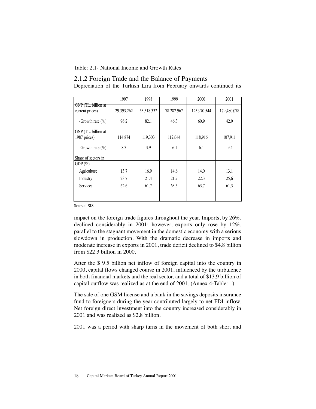Table: 2.1- National Income and Growth Rates

|                     | 1997       | 1998       | 1999       | 2000        | 2001        |
|---------------------|------------|------------|------------|-------------|-------------|
| GNP (TL. billion at |            |            |            |             |             |
| current prices)     | 29,393,262 | 53,518,332 | 78,282,967 | 125,970,544 | 179,480,078 |
|                     |            |            |            |             |             |
| -Growth rate $(\%)$ | 96.2       | 82.1       | 46.3       | 60.9        | 42.9        |
|                     |            |            |            |             |             |
| GNP (TL. billion at |            |            |            |             |             |
|                     |            |            |            |             |             |
| 1987 prices)        | 114,874    | 119,303    | 112,044    | 118,916     | 107,911     |
|                     |            |            |            |             |             |
| -Growth rate $(\%)$ | 8.3        | 3.9        | $-6.1$     | 6.1         | $-9.4$      |
|                     |            |            |            |             |             |
| Share of sectors in |            |            |            |             |             |
| GDP $(\%)$          |            |            |            |             |             |
| Agriculture         | 13.7       | 16.9       | 14.6       | 14.0        | 13.1        |
|                     |            |            |            |             |             |
| Industry            | 23.7       | 21.4       | 21.9       | 22.3        | 25,6        |
| <b>Services</b>     | 62.6       | 61.7       | 63.5       | 63.7        | 61,3        |
|                     |            |            |            |             |             |
|                     |            |            |            |             |             |
|                     |            |            |            |             |             |

2.1.2 Foreign Trade and the Balance of Payments Depreciation of the Turkish Lira from February onwards continued its

Source: SIS

impact on the foreign trade figures throughout the year. Imports, by 26%, declined considerably in 2001; however, exports only rose by 12%, parallel to the stagnant movement in the domestic economy with a serious slowdown in production. With the dramatic decrease in imports and moderate increase in exports in 2001, trade deficit declined to \$4.8 billion from \$22.3 billion in 2000.

After the \$ 9.5 billion net inflow of foreign capital into the country in 2000, capital flows changed course in 2001, influenced by the turbulence in both financial markets and the real sector, and a total of \$13.9 billion of capital outflow was realized as at the end of 2001. (Annex 4-Table: 1).

The sale of one GSM license and a bank in the savings deposits insurance fund to foreigners during the year contributed largely to net FDI inflow. Net foreign direct investment into the country increased considerably in 2001 and was realized as \$2.8 billion.

2001 was a period with sharp turns in the movement of both short and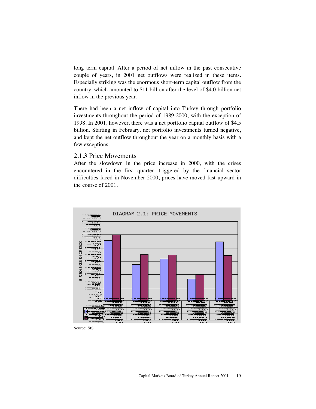long term capital. After a period of net inflow in the past consecutive couple of years, in 2001 net outflows were realized in these items. Especially striking was the enormous short-term capital outflow from the country, which amounted to \$11 billion after the level of \$4.0 billion net inflow in the previous year.

There had been a net inflow of capital into Turkey through portfolio investments throughout the period of 1989-2000, with the exception of 1998. In 2001, however, there was a net portfolio capital outflow of \$4.5 billion. Starting in February, net portfolio investments turned negative, and kept the net outflow throughout the year on a monthly basis with a few exceptions.

## 2.1.3 Price Movements

After the slowdown in the price increase in 2000, with the crises encountered in the first quarter, triggered by the financial sector difficulties faced in November 2000, prices have moved fast upward in the course of 2001.



Source: SIS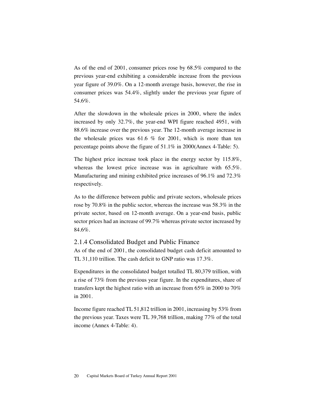As of the end of 2001, consumer prices rose by 68.5% compared to the previous year-end exhibiting a considerable increase from the previous year figure of 39.0%. On a 12-month average basis, however, the rise in consumer prices was 54.4%, slightly under the previous year figure of 54.6%.

After the slowdown in the wholesale prices in 2000, where the index increased by only 32.7%, the year-end WPI figure reached 4951, with 88.6% increase over the previous year. The 12-month average increase in the wholesale prices was 61.6 % for 2001, which is more than ten percentage points above the figure of 51.1% in 2000(Annex 4-Table: 5).

The highest price increase took place in the energy sector by 115.8%, whereas the lowest price increase was in agriculture with  $65.5\%$ . Manufacturing and mining exhibited price increases of 96.1% and 72.3% respectively.

As to the difference between public and private sectors, wholesale prices rose by 70.8% in the public sector, whereas the increase was 58.3% in the private sector, based on 12-month average. On a year-end basis, public sector prices had an increase of 99.7% whereas private sector increased by 84.6%.

## 2.1.4 Consolidated Budget and Public Finance

As of the end of 2001, the consolidated budget cash deficit amounted to TL 31,110 trillion. The cash deficit to GNP ratio was 17.3%.

Expenditures in the consolidated budget totalled TL 80,379 trillion, with a rise of 73% from the previous year figure. In the expenditures, share of transfers kept the highest ratio with an increase from 65% in 2000 to 70% in 2001.

Income figure reached TL 51,812 trillion in 2001, increasing by 53% from the previous year. Taxes were TL 39,768 trillion, making 77% of the total income (Annex 4-Table: 4).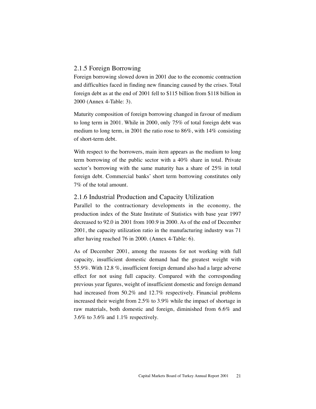## 2.1.5 Foreign Borrowing

Foreign borrowing slowed down in 2001 due to the economic contraction and difficulties faced in finding new financing caused by the crises. Total foreign debt as at the end of 2001 fell to \$115 billion from \$118 billion in 2000 (Annex 4-Table: 3).

Maturity composition of foreign borrowing changed in favour of medium to long term in 2001. While in 2000, only 75% of total foreign debt was medium to long term, in 2001 the ratio rose to 86%, with 14% consisting of short-term debt.

With respect to the borrowers, main item appears as the medium to long term borrowing of the public sector with a 40% share in total. Private sector's borrowing with the same maturity has a share of 25% in total foreign debt. Commercial banks' short term borrowing constitutes only 7% of the total amount.

# 2.1.6 Industrial Production and Capacity Utilization

Parallel to the contractionary developments in the economy, the production index of the State Institute of Statistics with base year 1997 decreased to 92.0 in 2001 from 100.9 in 2000. As of the end of December 2001, the capacity utilization ratio in the manufacturing industry was 71 after having reached 76 in 2000. (Annex 4-Table: 6).

As of December 2001, among the reasons for not working with full capacity, insufficient domestic demand had the greatest weight with 55.9%. With 12.8 %, insufficient foreign demand also had a large adverse effect for not using full capacity. Compared with the corresponding previous year figures, weight of insufficient domestic and foreign demand had increased from 50.2% and 12.7% respectively. Financial problems increased their weight from 2.5% to 3.9% while the impact of shortage in raw materials, both domestic and foreign, diminished from 6.6% and 3.6% to 3.6% and 1.1% respectively.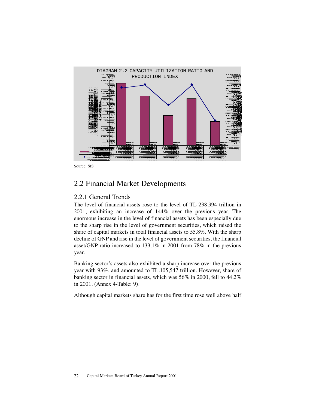

Source: SIS

# 2.2 Financial Market Developments

# 2.2.1 General Trends

The level of financial assets rose to the level of TL 238,994 trillion in  $2001$ , exhibiting an increase of  $144\%$  over the previous year. The enormous increase in the level of financial assets has been especially due to the sharp rise in the level of government securities, which raised the share of capital markets in total financial assets to 55.8%. With the sharp decline of GNP and rise in the level of government securities, the financial asset/GNP ratio increased to 133.1% in 2001 from 78% in the previous year.

Banking sector's assets also exhibited a sharp increase over the previous year with 93%, and amounted to TL.105,547 trillion. However, share of banking sector in financial assets, which was 56% in 2000, fell to 44.2% in 2001. (Annex 4-Table: 9).

Although capital markets share has for the first time rose well above half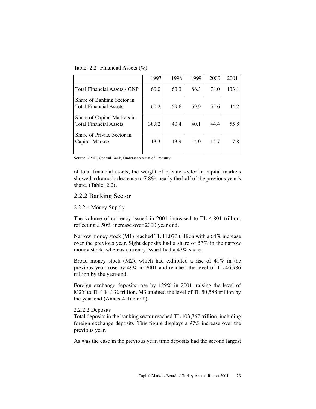## Table: 2.2- Financial Assets (%)

|                                                              | 1997  | 1998 | 1999 | 2000 | 2001  |
|--------------------------------------------------------------|-------|------|------|------|-------|
| <b>Total Financial Assets / GNP</b>                          | 60.0  | 63.3 | 86.3 | 78.0 | 133.1 |
| Share of Banking Sector in<br><b>Total Financial Assets</b>  | 60.2  | 59.6 | 59.9 | 55.6 | 44.2  |
| Share of Capital Markets in<br><b>Total Financial Assets</b> | 38.82 | 40.4 | 40.1 | 44.4 | 55.8  |
| <b>Share of Private Sector in</b><br>Capital Markets         | 13.3  | 13.9 | 14.0 | 15.7 | 7.8   |

Source: CMB, Central Bank, Undersecreteriat of Treasury

of total financial assets, the weight of private sector in capital markets showed a dramatic decrease to 7.8%, nearly the half of the previous year's share. (Table: 2.2).

## 2.2.2 Banking Sector

## 2.2.2.1 Money Supply

The volume of currency issued in 2001 increased to TL 4,801 trillion, reflecting a 50% increase over 2000 year end.

Narrow money stock (M1) reached TL 11,073 trillion with a 64% increase over the previous year. Sight deposits had a share of 57% in the narrow money stock, whereas currency issued had a 43% share.

Broad money stock (M2), which had exhibited a rise of 41% in the previous year, rose by 49% in 2001 and reached the level of TL 46,986 trillion by the year-end.

Foreign exchange deposits rose by 129% in 2001, raising the level of M2Y to TL 104,132 trillion. M3 attained the level of TL 50,588 trillion by the year-end (Annex 4-Table: 8).

## 2.2.2.2 Deposits

Total deposits in the banking sector reached TL 103,767 trillion, including foreign exchange deposits. This figure displays a 97% increase over the previous year.

As was the case in the previous year, time deposits had the second largest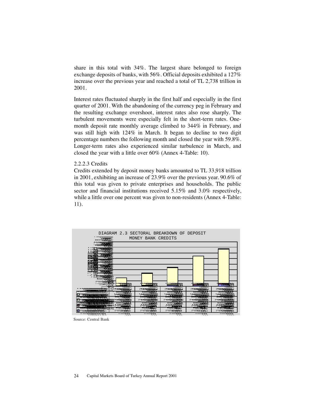share in this total with 34%. The largest share belonged to foreign exchange deposits of banks, with 56%. Official deposits exhibited a 127% increase over the previous year and reached a total of TL 2,738 trillion in 2001.

Interest rates fluctuated sharply in the first half and especially in the first quarter of 2001. With the abandoning of the currency peg in February and the resulting exchange overshoot, interest rates also rose sharply. The turbulent movements were especially felt in the short-term rates. Onemonth deposit rate monthly average climbed to 344% in February, and was still high with 124% in March. It began to decline to two digit percentage numbers the following month and closed the year with 59.8%. Longer-term rates also experienced similar turbulence in March, and closed the year with a little over 60% (Annex 4-Table: 10).

#### 2.2.2.3 Credits

Credits extended by deposit money banks amounted to TL 33,918 trillion in 2001, exhibiting an increase of 23.9% over the previous year. 90.6% of this total was given to private enterprises and households. The public sector and financial institutions received 5.15% and 3.0% respectively, while a little over one percent was given to non-residents (Annex 4-Table:  $11$ ).



Source: Central Bank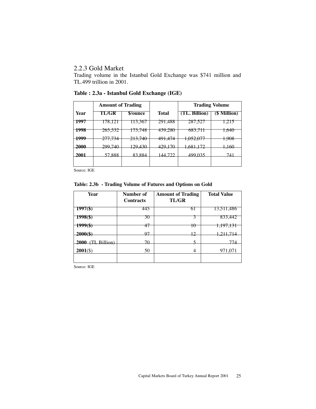## 2.2.3 Gold Market

Trading volume in the Istanbul Gold Exchange was \$741 million and TL.499 trillion in 2001.

|             | <b>Amount of Trading</b> |                    |              |                      | <b>Trading Volume</b> |
|-------------|--------------------------|--------------------|--------------|----------------------|-----------------------|
| <b>Year</b> | <b>TL/GR</b>             | <b>S/ounce</b>     | <b>Total</b> | (TL. Billion)        | <b>Million</b> )<br>S |
| 1997        | 178,121                  | 113,367            | 291.488      | 287,527              | .215                  |
| 1998        | 265,532                  | 173,748            | 439,280      | 683,711              | 1,640                 |
| 4999        | <del>277.734</del>       | <del>213,740</del> | 491,474      | <del>1,052,077</del> | <del>1.908</del>      |
| 2000        | 299,740                  | 129.430            | 429.170      | 1,681,172            | 1,160                 |
| 2001        | 57,888                   | 83.884             | 144.722      | 499.035              | 741                   |
|             |                          |                    |              |                      |                       |

**Table : 2.3a - Istanbul Gold Exchange (IGE)**

Source: IGE

|  |  | Table: 2.3b - Trading Volume of Futures and Options on Gold |  |
|--|--|-------------------------------------------------------------|--|
|--|--|-------------------------------------------------------------|--|

| Year               | Number of<br><b>Contracts</b> | <b>Amount of Trading</b><br><b>TL/GR</b> | <b>Total Value</b>   |
|--------------------|-------------------------------|------------------------------------------|----------------------|
| 1997(\$)           | 445                           | 61                                       | 13,511,486           |
| 1998(\$)           | 30                            |                                          | 833,442              |
| 1999(\$)           | 47                            | $\rm{10}$                                | <del>1,197,131</del> |
| 2000(\$)           | 97                            |                                          | 1,211,714            |
| 2000<br>. Billion) | 70                            |                                          | 774                  |
| $2001($ \$)        | 50                            | 4                                        | 971,071              |
|                    |                               |                                          |                      |

Source: IGE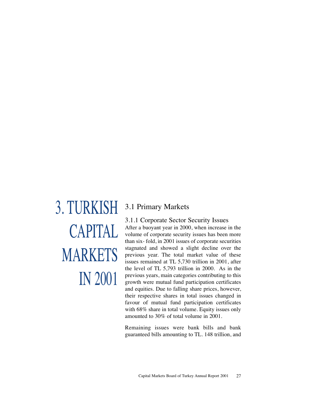## 3. TURKISH **CAPITAL** MARKETS IN 2001

## 3.1 Primary Markets

## 3.1.1 Corporate Sector Security Issues

After a buoyant year in 2000, when increase in the volume of corporate security issues has been more than six- fold, in 2001 issues of corporate securities stagnated and showed a slight decline over the previous year. The total market value of these issues remained at TL 5,730 trillion in 2001, after the level of TL 5,793 trillion in 2000. As in the previous years, main categories contributing to this growth were mutual fund participation certificates and equities. Due to falling share prices, however, their respective shares in total issues changed in favour of mutual fund participation certificates with 68% share in total volume. Equity issues only amounted to 30% of total volume in 2001.

Remaining issues were bank bills and bank guaranteed bills amounting to TL. 148 trillion, and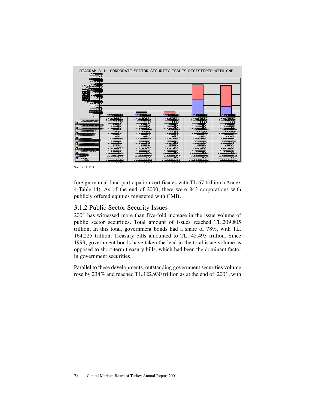|            |    | DIAGRAM 3.1: CORPORATE SECTOR SECURITY ISSUES REGISTERED WITH CMB |           |    |  |
|------------|----|-------------------------------------------------------------------|-----------|----|--|
|            |    |                                                                   |           |    |  |
|            |    |                                                                   |           |    |  |
|            |    |                                                                   |           |    |  |
|            |    |                                                                   |           |    |  |
|            |    |                                                                   |           |    |  |
|            |    |                                                                   |           |    |  |
|            |    |                                                                   |           |    |  |
| 12000<br>右 |    |                                                                   |           |    |  |
|            |    |                                                                   |           |    |  |
|            |    |                                                                   |           |    |  |
|            |    |                                                                   |           |    |  |
|            |    |                                                                   |           |    |  |
|            |    |                                                                   |           |    |  |
|            |    |                                                                   |           |    |  |
|            | œ. | т.                                                                | -20<br>۰. | ۰. |  |

Source: CMB

foreign mutual fund participation certificates with TL.67 trillion. (Annex 4-Table:14). As of the end of 2000, there were 843 corporations with publicly offered equities registered with CMB.

### 3.1.2 Public Sector Security Issues

2001 has witnessed more than five-fold increase in the issue volume of public sector securities. Total amount of issues reached TL.209,805 trillion. In this total, government bonds had a share of 78%, with TL. 164,225 trillion. Treasury bills amounted to TL. 45,493 trillion. Since 1999, government bonds have taken the lead in the total issue volume as opposed to short-term treasury bills, which had been the dominant factor in government securities.

Parallel to these developments, outstanding government securities volume rose by 234% and reached TL.122,930 trillion as at the end of 2001, with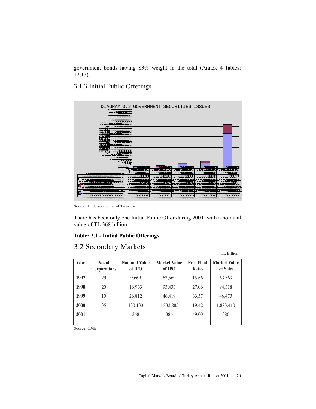government bonds having 83% weight in the total (Annex 4-Tables:  $12,13$ ).

## 3.1.3 Initial Public Offerings



Source: Undersecreteriat of Treasury

There has been only one Initial Public Offer during 2001, with a nominal value of TL 368 billion.

## Table: 3.1 - Initial Public Offerings

## 3.2 Secondary Markets

| Year        | No. of<br><b>Corporations</b> | <b>Nominal Value</b><br>of IPO | <b>Market Value</b><br>of IPO | <b>Free Float</b><br><b>Ratio</b> | <b>Market Value</b><br>of Sales |
|-------------|-------------------------------|--------------------------------|-------------------------------|-----------------------------------|---------------------------------|
| 1997        | 29                            | 9,669                          | 63,569                        | 15.66                             | 63,569                          |
| 1998        | 20                            | 16.963                         | 93,433                        | 27.06                             | 94,318                          |
| 1999        | 10                            | 26,812                         | 46,419                        | 33.57                             | 46,473                          |
| <b>2000</b> | 35                            | 130,133                        | 1,832,885                     | 19.42                             | 1,883,410                       |
| 2001        |                               | 368                            | 386                           | 49.00                             | 386                             |
|             |                               |                                |                               |                                   |                                 |

Source: CMB

(TL Billion)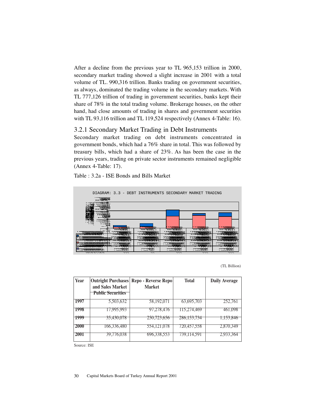After a decline from the previous year to TL 965,153 trillion in 2000, secondary market trading showed a slight increase in 2001 with a total volume of TL. 990,316 trillion. Banks trading on government securities, as always, dominated the trading volume in the secondary markets. With TL 777,126 trillion of trading in government securities, banks kept their share of 78% in the total trading volume. Brokerage houses, on the other hand, had close amounts of trading in shares and government securities with TL 93,116 trillion and TL 119,524 respectively (Annex 4-Table: 16).

#### 3.2.1 Secondary Market Trading in Debt Instruments

Secondary market trading on debt instruments concentrated in government bonds, which had a 76% share in total. This was followed by treasury bills, which had a share of 23%. As has been the case in the previous years, trading on private sector instruments remained negligible (Annex 4-Table: 17).

Table: 3.2a - ISE Bonds and Bills Market





| Year | and Sales Market         | <b>Outright Purchases Repo - Reverse Repo</b><br><b>Market</b> | Total       | <b>Daily Average</b> |
|------|--------------------------|----------------------------------------------------------------|-------------|----------------------|
|      | <b>Public Securities</b> |                                                                |             |                      |
| 1997 | 5,503,632                | 58,192,071                                                     | 63,695,703  | 252,761              |
| 1998 | 17,995,993               | 97.278,476                                                     | 115,274,469 | 461.098              |
| 1999 | 35,430,078               | 250,723,656                                                    | 286,153,734 | 1,153,846            |
| 2000 | 166,336,480              | 554,121,078                                                    | 720.457.558 | 2,870,349            |
| 2001 | 39,776,038               | 696,338,553                                                    | 739,114,591 | 2,933,364            |

Source: ISE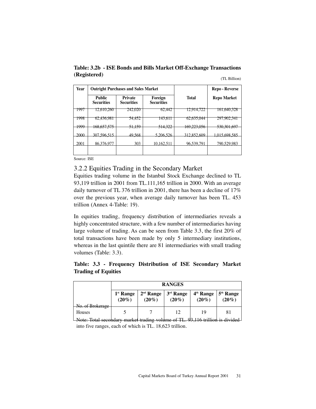| <b>Year</b> |                                    | <b>Outright Purchases and Sales Market</b> |                              |                        | <b>Repo - Reverse</b>  |
|-------------|------------------------------------|--------------------------------------------|------------------------------|------------------------|------------------------|
|             | <b>Public</b><br><b>Securities</b> | <b>Private</b><br><b>Securities</b>        | Foreign<br><b>Securities</b> | <b>Total</b>           | <b>Repo Market</b>     |
| 1997        | 12.610.260                         | 242.020                                    | 62.442                       | 12.914.722             | 161.640.328            |
| 1998        | 62.436.981                         | 54.452                                     | 143,611                      | 62,635,044             | 297,902,341            |
| 1999        | <del>168.657.575</del>             | <del>51.159</del>                          | <del>514.322</del>           | <del>169.223.056</del> | <del>530,301,697</del> |
| 2000        | 307 596 515                        | 49.568                                     | 5.206.526                    | 312.852.609            | 1 015 698 585          |
| 2001        | 86,376,977                         | 303                                        | 10.162.511                   | 96.539.791             | 790.529.983            |
|             |                                    |                                            |                              |                        |                        |

**Table: 3.2b - ISE Bonds and Bills Market Off-Exchange Transactions (Registered)** (TL Billion)

Source: ISE

#### 3.2.2 Equities Trading in the Secondary Market

Equities trading volume in the Istanbul Stock Exchange declined to TL 93,119 trillion in 2001 from TL.111,165 trillion in 2000. With an average daily turnover of TL 376 trillion in 2001, there has been a decline of 17% over the previous year, when average daily turnover has been TL. 453 trillion (Annex 4-Table: 19).

In equities trading, frequency distribution of intermediaries reveals a highly concentrated structure, with a few number of intermediaries having large volume of trading. As can be seen from Table 3.3, the first 20% of total transactions have been made by only 5 intermediary institutions, whereas in the last quintile there are 81 intermediaries with small trading volumes (Table: 3.3).

**Table: 3.3 - Frequency Distribution of ISE Secondary Market Trading of Equities**

|                            |                         |                         | <b>RANGES</b>           |                                   |                         |
|----------------------------|-------------------------|-------------------------|-------------------------|-----------------------------------|-------------------------|
|                            | $1st$ Range<br>$(20\%)$ | $2nd$ Range<br>$(20\%)$ | $3rd$ Range<br>$(20\%)$ | 4 <sup>th</sup> Range<br>$(20\%)$ | $5th$ Range<br>$(20\%)$ |
| No. of Brokerage<br>Houses |                         |                         | 12                      | 19                                | 81                      |

Note: Total secondary market trading volume of TL.  $93,116$  trillion is divided into five ranges, each of which is TL. 18,623 trillion.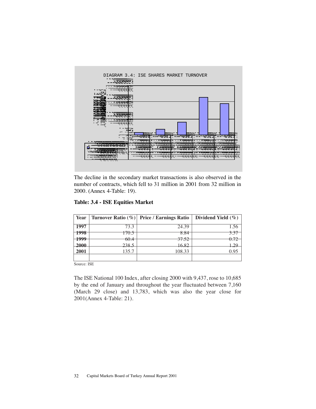

The decline in the secondary market transactions is also observed in the number of contracts, which fell to 31 million in 2001 from 32 million in 2000. (Annex 4-Table: 19).

| Year            |              | Turnover Ratio $(\%)$ Price / Earnings Ratio | Dividend Yield $(\% )$ |
|-----------------|--------------|----------------------------------------------|------------------------|
| 1997            | 73.3         | 24.39                                        | 1.56                   |
| 1998            | 170.5        | 8.84                                         | 3.37                   |
| <del>1999</del> | 60.4         | 37.52                                        | 0.72                   |
| 2000            | <u>238.5</u> | 16.82                                        |                        |
| 2001            | 135.7        | 108.33                                       | 0.95                   |
|                 |              |                                              |                        |

## Table: 3.4 - ISE Equities Market

Source: ISE

The ISE National 100 Index, after closing 2000 with 9,437, rose to 10,685 by the end of January and throughout the year fluctuated between 7,160 (March 29 close) and 13,783, which was also the year close for 2001(Annex 4-Table: 21).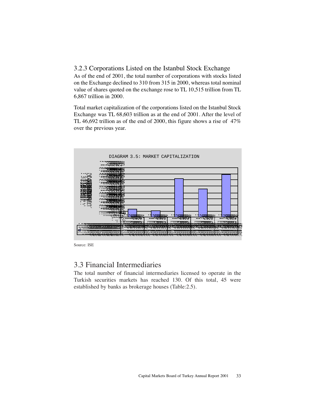#### 3.2.3 Corporations Listed on the Istanbul Stock Exchange

As of the end of 2001, the total number of corporations with stocks listed on the Exchange declined to 310 from 315 in 2000, whereas total nominal value of shares quoted on the exchange rose to TL 10,515 trillion from TL 6,867 trillion in 2000.

Total market capitalization of the corporations listed on the Istanbul Stock Exchange was TL 68,603 trillion as at the end of 2001. After the level of TL 46,692 trillion as of the end of 2000, this figure shows a rise of  $47\%$ over the previous year.



Source: ISE

## 3.3 Financial Intermediaries

The total number of financial intermediaries licensed to operate in the Turkish securities markets has reached 130. Of this total, 45 were established by banks as brokerage houses (Table:2.5).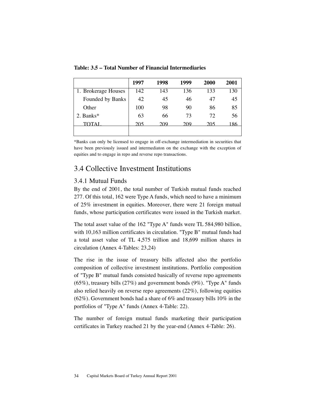|                     | 1997 | 1998 | 1999 | <b>2000</b> | 2001 |
|---------------------|------|------|------|-------------|------|
| 1. Brokerage Houses | 142  | 143  | 136  | 133         | 130  |
| Founded by Banks    | 42   | 45   | 46   | 47          | 45   |
| Other               | 100  | 98   | 90   | 86          | 85   |
| 2. Banks*           | 63   | 66   | 73   | 72          | 56   |
| TOTAI               | 205  | 209  | 209  | 205         | -86  |
|                     |      |      |      |             |      |

**Table: 3.5 – Total Number of Financial Intermediaries**

\*Banks can only be licensed to engage in off-exchange intermediation in securities that have been previously issued and intermediaton on the exchange with the exception of equities and to engage in repo and reverse repo transactions.

## 3.4 Collective Investment Institutions

### 3.4.1 Mutual Funds

By the end of 2001, the total number of Turkish mutual funds reached 277. Of this total, 162 were Type A funds, which need to have a minimum of 25% investment in equities. Moreover, there were 21 foreign mutual funds, whose participation certificates were issued in the Turkish market.

The total asset value of the 162 "Type A" funds were TL 584,980 billion, with 10,163 million certificates in circulation. "Type B" mutual funds had a total asset value of TL 4,575 trillion and 18,699 million shares in circulation (Annex 4-Tables: 23,24)

The rise in the issue of treasury bills affected also the portfolio composition of collective investment institutions. Portfolio composition of "Type B" mutual funds consisted basically of reverse repo agreements (65%), treasury bills (27%) and government bonds (9%). "Type A" funds also relied heavily on reverse repo agreements (22%), following equities (62%). Government bonds had a share of 6% and treasury bills 10% in the portfolios of "Type A" funds (Annex 4-Table: 22).

The number of foreign mutual funds marketing their participation certificates in Turkey reached 21 by the year-end (Annex 4-Table: 26).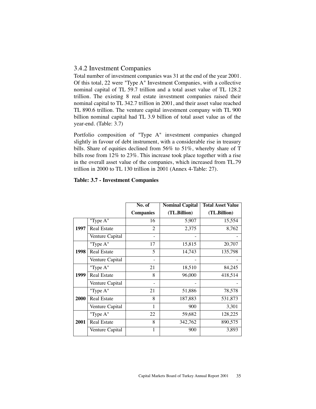## 3.4.2 Investment Companies

Total number of investment companies was 31 at the end of the year 2001. Of this total, 22 were "Type A" Investment Companies, with a collective nominal capital of TL 59.7 trillion and a total asset value of TL 128.2 trillion. The existing 8 real estate investment companies raised their nominal capital to TL 342.7 trillion in 2001, and their asset value reached TL 890.6 trillion. The venture capital investment company with TL 900 billion nominal capital had TL 3.9 billion of total asset value as of the year-end. (Table: 3.7)

Portfolio composition of "Type A" investment companies changed slightly in favour of debt instrument, with a considerable rise in treasury bills. Share of equities declined from 56% to 51%, whereby share of T bills rose from 12% to 23%. This increase took place together with a rise in the overall asset value of the companies, which increased from TL.79 trillion in 2000 to TL 130 trillion in 2001 (Annex 4-Table: 27).

#### **Table: 3.7 - Investment Companies**

|      |                    | No. of           | <b>Nominal Capital</b> | <b>Total Asset Value</b> |
|------|--------------------|------------------|------------------------|--------------------------|
|      |                    | <b>Companies</b> | (TL.Billion)           | (TL.Billion)             |
|      | "Type A"           | 16               | 5,907                  | 15,554                   |
| 1997 | <b>Real Estate</b> | 2                | 2,375                  | 8,762                    |
|      | Venture Capital    |                  |                        |                          |
|      | "Type A"           | 17               | 15,815                 | 20,707                   |
| 1998 | <b>Real Estate</b> | 5                | 14,743                 | 135,798                  |
|      | Venture Capital    |                  |                        |                          |
|      | "Type A"           | 21               | 18,510                 | 84,245                   |
| 1999 | <b>Real Estate</b> | 8                | 96,000                 | 418,514                  |
|      | Venture Capital    |                  |                        |                          |
|      | "Type A"           | 21               | 51,886                 | 78,578                   |
| 2000 | Real Estate        | 8                | 187,883                | 531,873                  |
|      | Venture Capital    | 1                | 900                    | 3,301                    |
|      | "Type A"           | 22               | 59,682                 | 128,225                  |
| 2001 | <b>Real Estate</b> | 8                | 342,762                | 890,575                  |
|      | Venture Capital    | 1                | 900                    | 3,893                    |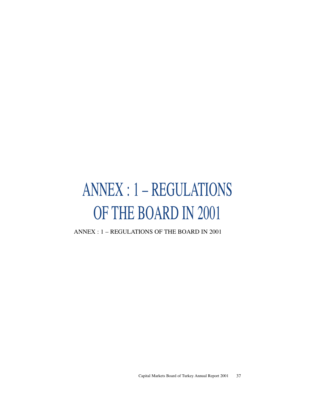## ANNEX : 1 – REGULATIONS OF THE BOARD IN 2001

ANNEX : 1 – REGULATIONS OF THE BOARD IN 2001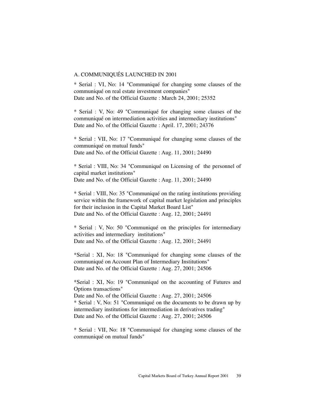### A. COMMUNIQUÉS LAUNCHED IN 2001

\* Serial : VI, No: 14 "Communiqué for changing some clauses of the communiqué on real estate investment companies" Date and No. of the Official Gazette : March 24, 2001; 25352

\* Serial : V, No: 49 "Communiqué for changing some clauses of the communiqué on intermediation activities and intermediary institutions" Date and No. of the Official Gazette : April. 17, 2001; 24376

\* Serial : VII, No: 17 "Communiqué for changing some clauses of the communiqué on mutual funds" Date and No. of the Official Gazette : Aug. 11, 2001; 24490

\* Serial : VIII, No: 34 "Communiqué on Licensing of the personnel of capital market institutions" Date and No. of the Official Gazette : Aug. 11, 2001; 24490

\* Serial : VIII, No: 35 "Communiqué on the rating institutions providing service within the framework of capital market legislation and principles for their inclusion in the Capital Market Board List" Date and No. of the Official Gazette : Aug. 12, 2001; 24491

\* Serial : V, No: 50 "Communiqué on the principles for intermediary activities and intermediary institutions" Date and No. of the Official Gazette : Aug. 12, 2001; 24491

\*Serial : XI, No: 18 "Communiqué for changing some clauses of the communiqué on Account Plan of Intermediary Institutions" Date and No. of the Official Gazette : Aug. 27, 2001; 24506

\*Serial : XI, No: 19 "Communiqué on the accounting of Futures and Options transactions"

Date and No. of the Official Gazette : Aug. 27, 2001; 24506 \* Serial : V, No: 51 "Communiqué on the documents to be drawn up by intermediary institutions for intermediation in derivatives trading" Date and No. of the Official Gazette : Aug. 27, 2001; 24506

\* Serial : VII, No: 18 "Communiqué for changing some clauses of the communiqué on mutual funds"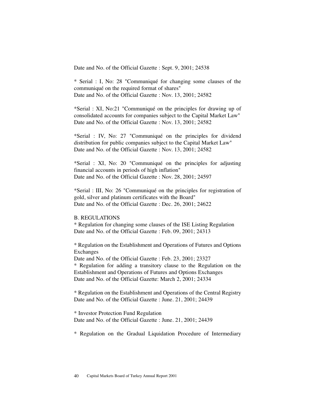Date and No. of the Official Gazette : Sept. 9, 2001; 24538

\* Serial : I, No: 28 "Communiqué for changing some clauses of the communiqué on the required format of shares" Date and No. of the Official Gazette : Nov. 13, 2001; 24582

\*Serial : XI, No:21 "Communiqué on the principles for drawing up of consolidated accounts for companies subject to the Capital Market Law" Date and No. of the Official Gazette : Nov. 13, 2001; 24582

\*Serial : IV, No: 27 "Communiqué on the principles for dividend distribution for public companies subject to the Capital Market Law" Date and No. of the Official Gazette : Nov. 13, 2001; 24582

\*Serial : XI, No: 20 "Communiqué on the principles for adjusting financial accounts in periods of high inflation" Date and No. of the Official Gazette : Nov. 28, 2001; 24597

\*Serial : III, No: 26 "Communiqué on the principles for registration of gold, silver and platinum certificates with the Board" Date and No. of the Official Gazette : Dec. 26, 2001; 24622

#### B. REGULATIONS

\* Regulation for changing some clauses of the ISE Listing Regulation Date and No. of the Official Gazette : Feb. 09, 2001; 24313

\* Regulation on the Establishment and Operations of Futures and Options Exchanges

Date and No. of the Official Gazette : Feb. 23, 2001; 23327 \* Regulation for adding a transitory clause to the Regulation on the Establishment and Operations of Futures and Options Exchanges Date and No. of the Official Gazette: March 2, 2001; 24334

\* Regulation on the Establishment and Operations of the Central Registry Date and No. of the Official Gazette : June. 21, 2001; 24439

\* Investor Protection Fund Regulation Date and No. of the Official Gazette : June. 21, 2001; 24439

\* Regulation on the Gradual Liquidation Procedure of Intermediary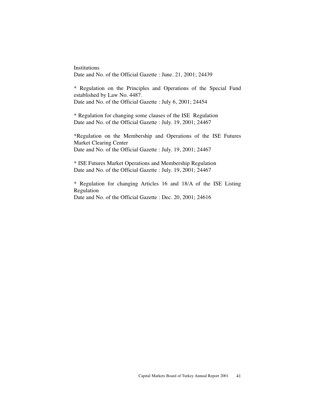Institutions Date and No. of the Official Gazette : June. 21, 2001; 24439

\* Regulation on the Principles and Operations of the Special Fund established by Law No. 4487. Date and No. of the Official Gazette : July 6, 2001; 24454

\* Regulation for changing some clauses of the ISE Regulation Date and No. of the Official Gazette : July. 19, 2001; 24467

\*Regulation on the Membership and Operations of the ISE Futures Market Clearing Center Date and No. of the Official Gazette : July. 19, 2001; 24467

\* ISE Futures Market Operations and Membership Regulation Date and No. of the Official Gazette : July. 19, 2001; 24467

\* Regulation for changing Articles 16 and 18/A of the ISE Listing Regulation Date and No. of the Official Gazette : Dec. 20, 2001; 24616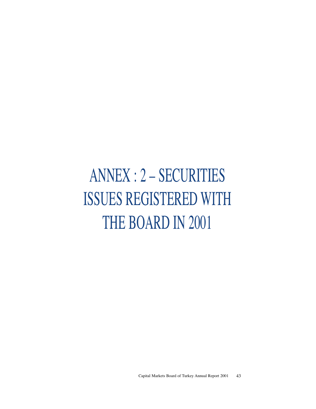## ANNEX : 2 – SECURITIES ISSUES REGISTERED WITH THE BOARD IN 2001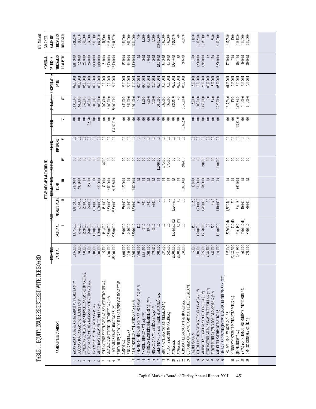## (TL. Million)

|                                                                         |                                                                                               |                            |                               |                            | <b>ITEMS OF CAPITAL INCREASE</b> |                                           |                        |                                                        |                            |                          | <b>NOMINAL</b>             | <b>MARKET</b>              |
|-------------------------------------------------------------------------|-----------------------------------------------------------------------------------------------|----------------------------|-------------------------------|----------------------------|----------------------------------|-------------------------------------------|------------------------|--------------------------------------------------------|----------------------------|--------------------------|----------------------------|----------------------------|
|                                                                         |                                                                                               | <b>EXISTING</b>            |                               | ₩                          | REVALUATION RESERVES             |                                           | <b>SHOCK</b>           | $\frac{1}{2}$                                          | <b>TOTAL (*)</b>           | REGISTRATION             | VALUE OF                   | VALUE OF                   |
|                                                                         | NAME OF THE COMPANY                                                                           | <b>CAPITAL</b>             | <b>TYMINON</b>                | <b>MARKET VILLE</b>        | END                              |                                           | DIVIDEND               |                                                        |                            | DATE                     | THE SALES                  | <b>THE SALES</b>           |
|                                                                         |                                                                                               |                            |                               | $\blacksquare$             | $\equiv$                         | ≧                                         |                        | ⋝                                                      | ₹                          |                          | REALISED                   | REALISED                   |
|                                                                         | YASAŞ YAŞAR BOYA VE KİMYA SANAYİ VE TİCARET A.Ş. (**)                                         | 2,835,000.0                | 1,417,500.0                   | 1,417,500.0                | 1,417,500.0                      |                                           | $\approx$              |                                                        | 2,835,000.0                | 02.01.2001               | 1,417,500.0                | 1,421,253.0                |
| $\begin{array}{c} \n \alpha & \alpha \\ \n \alpha & \alpha \end{array}$ | DOĞUSAN BORU SANAYİİ VE TİCARET A.Ş. (**)                                                     | 784,000.0                  | 705,600.0                     | 705,600.0                  | 940,800.0                        | <u>ទ ទ</u>                                | $\epsilon$             | <u>ទី ទី</u>                                           | 1,646,400.0                | 04.01.2001               | 705,600.0                  | 714,431.0                  |
|                                                                         | DEVREKTAS DEVREK ORMAN ÜRÜNLERI SANAYI VE TİCARET AŞ                                          | 630,000.0                  | 252,000.0                     | 252,000.0                  | $\approx$                        | $\circ$                                   | $\approx$              | $\epsilon$                                             | 252,000.0                  | 05.01.2001               | 252,000.0                  | 252,000.0                  |
|                                                                         | AFYON SANTAŞ MERMER FAYANS SANAYİİ VE TİCARET A.Ş.                                            | 88,000.0                   | 264,000.0                     | 264,000.0                  | 35,475.0                         | $\rm 0.0$                                 | $\approx$              | 8,525.0                                                | $308,\!000.0$              | 08.01.2001               | 264,000.0                  | 264,000.0                  |
|                                                                         | ASYA MEYVE SUYU VE GIDA SANAYÎ A.Ş.                                                           | 2,000,000.0                | 0.000,000,1                   | 1,000,000.0                | $\approx$                        | $\infty$                                  | $\approx$              | $\circ$                                                | 1,000,000.0                | 09.01.2001               | 1,000,000.0                | 500,000.0                  |
|                                                                         | MEGES BOYA SANAYI VE TICARET A.S. (**)                                                        | 1,000,000.0                | 1,080,000.0                   | 1,080,000.0                | 520,000.0                        | $\rm 00$                                  | 0.0                    | $\approx$                                              | 1,600,000.0                | 09.01.2001               | 0.000,080                  | 1,084,783.0                |
| $\sim \infty$                                                           | AYES AKDENİZ YAPI ELEMANLARI SANAYİ VE TİCARET A.Ş.                                           | $25,\!300.0$               | 151,800.0                     | 151,800.0                  | 47,000.0                         | 3,600.0                                   | $\approx$              | $\approx$                                              | 202,400.0                  | 10.01.2001               | 151,800.0                  | 151,800.0                  |
|                                                                         | MARMARÍS MARTI OTEL ÍŞLETMELERÍ A.Ş. (**)                                                     | 4,000,000.0                | 2,500,000.0                   | 2,500,000.0                | 2,500,000.0                      | $\mathbb{S}$                              | $\epsilon$             | $\approx$                                              | 5,000,000.0                | 12.01.2001               | 2,500,000.0                | 2,516,440.0                |
|                                                                         | HACI ÖMER SABANCI HOLDİNG A.Ş. (**)                                                           | 450,000,000.0              | 22,500,000.0                  | 22,500,000.0               | 9,250,868.0                      | $\approx$                                 | $\approx$              | 118,249,132.0                                          | 30,000,000.0               | 24.01.2001               | 2,500,000.000              | 22,541,307.0               |
| $\approx$                                                               | BÌRKO BÌRLEŞİK KOYUNLULULAR MENSUCAT TİCARET VE                                               |                            |                               |                            |                                  |                                           |                        |                                                        |                            |                          |                            |                            |
|                                                                         | SANAYI A.S.                                                                                   | 6,600,000.0                | 330,000.0                     | 330,000.0                  | 1,320,000.0                      | $\approx$                                 | 3                      | <u>ទ</u> ខ                                             | 1,650,000.0                | 26.01.2001               | 330,000.0                  | 330,000.0                  |
| $=$ $\simeq$                                                            | BİRLİK SİGORTAA.Ş.                                                                            | 1,056,000.0                | 944,000.0                     | 944,000.0                  | $\approx$                        | $\approx$                                 | $\approx$              |                                                        | 944,000.0                  | 29.01.2001               | 944,000.0                  | 944,000.0                  |
|                                                                         | ARAT TEKSTİL SANAYİ VE TİCARET A.Ş. (**)                                                      | 2,500,000.0                | 3,500,000.0                   | 3,500,000.0                | 2,000,000.0                      | $0.0\,$                                   | $\approx$              | 60                                                     | 5,500,000.0                | 30.01.2001               | 3,500,000.0                | 2,800,000.0                |
|                                                                         | KELEBEK MOBİLYA VE KONTRAPLAK SANAYİ A.Ş. (***)                                               | 1,300,000.0                | $12.0\,$                      | 54.0                       | $\approx$                        | $0.0\,$                                   | $\approx$              | 38                                                     | 90                         | 02.01.2001               | $\overline{5}$             | 98                         |
|                                                                         | ANADOLU GIDA SANAYI A.S. (***)                                                                | 6,851,250.0                | $200\,$                       | 1,920.0                    | $\rm{C}$                         | $0.0\,$                                   | $\approx$              |                                                        | 1920.0                     | 03.01.2001               | 200.0                      | 1,920.0                    |
|                                                                         | ÖZ FINANS FACTORÍNG HÍZMETLERÍ A.S. (***                                                      | 1,500,000.0                | 3,900.0                       | 3,900.0                    | $_{\odot}$                       | $\rm 0.0$                                 | $\rm{C}$               | $\overline{0}$                                         | 3,900.0                    | 05.01.2001               | 3,900.0                    | 3,900.0                    |
|                                                                         | PINAR SU SANAYÎ VE TÎCARET A.Ş. (***)                                                         | 779,625.0                  | $1,\!200.0$                   | 6,600.0                    | $0.0\,$                          | $\rm 00$                                  | $\approx$              | $\overline{0}$                                         | 6,600.0                    | 25.01.2001               | 1200.0                     | 6,600.0                    |
|                                                                         | VAKIF MENKUL KIYMET YATIRIM ORTAKLIĞI A.Ş.                                                    | 500,000.0                  | $0.0\,$                       | $\approx$                  | $0.0\,$                          | .200,000.0                                | $\circ$                | 0.0                                                    | 1,200,000.0                | 02.01.2001               | 12,000,000.0               | 12,000,000.0               |
|                                                                         | MUSTAFA YILMAZ YATIRIM ORTAKLIĞI A.Ş.                                                         | 337,500.0                  | $\circ$                       | $\approx$                  | $\mathbf{C}$                     | 337,500.0                                 | $\epsilon$             | 0.0                                                    | 337,500.0                  | 30.01.2001               | 337,500.0                  | 337,500.0                  |
|                                                                         | ATLANTİS YATIRIM ORTAKLIĞI A.Ş.                                                               | 562,500.0                  | $\rm 0.0$                     | $_{\odot}$                 | 3                                | 437,500.0                                 | $\epsilon$             | $\overline{0}$                                         | 437,500.0                  | 30.01.2001               | 437,500.0                  | 437,500.0                  |
|                                                                         | AYGAZA <sub>S</sub> .                                                                         | 20,000,000.0               | 1,924,467.0 (X)               | 1,924,467.0                | $\odot$                          | $\rm 00$                                  | $\approx$              | $\mathfrak{S}$                                         | 1,924,467.0                | 02.02.2001               | 0.094,467                  | 924,467.0                  |
|                                                                         | AYGAZAS                                                                                       | 20,000,000.0               | $4.0\;(\mathrm{V})$           | 4.0                        | $\approx$                        | $\approx$                                 | $\approx$              | $\approx$                                              | $\frac{1}{4}$              | 02.02.2001               | $\frac{1}{2}$              | $\frac{1}{4}$              |
| n E E E E E A R R R R                                                   | KLÍMASAN KLÍMA SANAYÍ VE TÍCARET A.S.                                                         | 250,000.0                  | $\odot$                       | $\infty$                   | 1,050,000.0                      | 50,647.0                                  | $\epsilon$             | 1,149,353.0                                            | 2,250,000.0                | 05.02.2001               | 50,647.0                   | 50,647.0                   |
|                                                                         | ÇUTAMTAŞ ÇUKUROVA TARIM MADDELERÎ TEDARÎK VE<br>PAZARLAMA A.S.                                | 5,000.0                    | 1,115.0                       | $1,115.0$                  | 13,885.0                         | $\rm 0.0$                                 | $\approx$              |                                                        | $15,\!000.0$               | 15.02.2001               | 1,115.0                    | $1,115.0$                  |
|                                                                         |                                                                                               |                            |                               |                            |                                  |                                           |                        |                                                        |                            |                          |                            |                            |
|                                                                         | KELEBEK MOBİLYA VE KONTRPLAK SANAYİ A.S. (**<br>METEMTEKS TEKSTİL SANAYİ VE TİCARET A.Ş. (**) | 1.300,000.0<br>1,225,000.0 | 1,200,000.0<br>1,715,000.0    | 1,200,000.0<br>1,715,000.0 | 636,000.0<br>500,000.0           | $_{\odot}$<br>0.00066                     | $\approx$<br>$\approx$ | 333                                                    | 1,700,000.0<br>2,450,000.0 | 26.02.2001<br>19.02.2001 | 1,200,000.0<br>1,715,000.0 | 1,208,598.0<br>1,715,000.0 |
|                                                                         | GENTAȘ GENEL METAL SANAYI VE TICARET A.S. (***)                                               | 4,043,520.0                | $\approx$                     | $30^{\circ}$               |                                  | $\rm 00$                                  | $\odot$                | $\circ$                                                | 3.0                        | 09.02.2001               | $\approx$                  | 3.0                        |
| <b>គេនេ</b> ន ន ន                                                       | BURCELIK BURSA ÇELIK DÖKÜM SANAYİAŞ. (***)                                                    | 648,000.0                  | 137.0                         | 514.0                      | 3                                | $\circ$                                   |                        |                                                        | 514.0                      | 15.02.2001               | 137.0                      | 514.0                      |
|                                                                         | YAPI KREDİ YATIRIM ORTAKLIĞI A.S.                                                             | 1,110,000.0                | 1,110,000.0                   | 1,110,000.0                | $rac{3}{60}$                     | 1,110,000.0                               | $\frac{3}{2}$          | $\approx$ $\approx$                                    | 2,220,000.0                | 05.02.2001               | 2,220,000.0                | 2,200,000.0                |
|                                                                         | LÍMAS KUŞADASI VE ÇEVRESİ LÍMAN İŞLET. TURİZM SAN., TİC.,                                     |                            |                               |                            |                                  |                                           |                        |                                                        |                            |                          |                            |                            |
|                                                                         | INS., EĞL., NAK. VE ÖZEL SAĞ. A.Ş.                                                            | 527,004.0                  | 527,004.0(I)                  | 1,517,254.0                | $\scriptstyle\rm \odot$          |                                           | $\approx$              | $\begin{smallmatrix} 0 & 0 \\ 0 & 0 \end{smallmatrix}$ | 1,517,254.0                | 01.03.2001               | 527,004.0                  | 1,517,254.0                |
|                                                                         | HÜRRİYET GAZETECİLİK VE MATBAACILIK A.Ş.                                                      | 62,188,240.0               | $170.0$ (II)                  | 170.0                      | $\approx$                        | $\begin{array}{c} 0.0 \\ 0.0 \end{array}$ | $\approx$              |                                                        | 170.0                      | 12.03.2001               | <b>DOCI</b>                | 170.0                      |
|                                                                         | SEKER SIGORTAAS.                                                                              | 2,431,680.0                | 316,118.0                     | 316,118.0                  | 1,050,909.0                      |                                           | $\epsilon$             | 1,307,821.0                                            | 2,674,848.0                | 15.03.2001               | 316,118.0                  | 316,118.0                  |
| <b>គ</b> គ ដ ឌ                                                          | YETAŞ YAPI ELEMANLARI ENDÜSTRİ VE TİCARET A.S.<br>DEMIRCI KONSERVECILIK A.Ş.                  | 60,000.0<br>270,000.0      | $110,0000$ (III)<br>810,000.0 | 110,000.0<br>810,000.0     | $\frac{6}{6}$                    | $_{0.0}$<br>$\epsilon$                    | $\circ$<br>$\epsilon$  | $\begin{array}{c} 0.0 \\ 0.0 \end{array}$              | $110,\!000.0$<br>810,000.0 | 15.03.2001<br>16.03.2001 | 110,000.0<br>810,000.0     | 110,000.0<br>810,000.0     |
|                                                                         |                                                                                               |                            |                               |                            |                                  |                                           |                        |                                                        |                            |                          |                            |                            |
|                                                                         |                                                                                               |                            |                               |                            |                                  |                                           |                        |                                                        |                            |                          |                            |                            |
|                                                                         |                                                                                               |                            |                               |                            |                                  |                                           |                        |                                                        |                            |                          |                            |                            |
|                                                                         |                                                                                               |                            |                               |                            |                                  |                                           |                        |                                                        |                            |                          |                            |                            |

ABLE : 1 EQUITY ISSUES REGISTERED WITH THE BOARD **(TL. Million)**

 $\mapsto$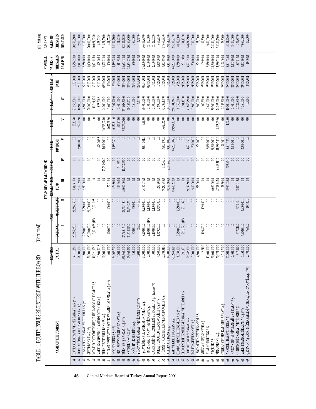| ١ |
|---|
|   |
|   |
|   |
|   |
|   |
|   |
|   |
|   |
|   |
|   |
|   |
|   |
| ÷ |
|   |
|   |
|   |

| 875,208.5<br>5,000,000.0<br>$\rm 00$<br>17,453,895.0<br>$0.0\,$<br>$\approx$<br>14,589,780.0<br>$_{\rm 00}$<br>3,001,041.0<br>$\rm 00$<br>$0\,0$<br>55,203,207.0<br>$\approx$<br>14,621,250.0<br>2,680,000.0<br>55,280,750.0<br>$\approx$<br>7,910,000.0<br>$\scriptstyle\rm s$<br>$\approx$<br>$\circ$<br>$\mathfrak{S}$<br>9,861,808.0<br>$\approx$<br>700,000.0<br>225,000.0<br>$\approx$<br>24,240,000.0<br>1,178,300.0<br>5,501,726.0<br>2,350,000.0<br>2,400,000.0<br>$\approx$<br>DIVIDEND<br><b>STOCK</b><br>172,583.0<br>$0.0\,$<br>511.923.0<br>$0.0\,$<br>$\rm ^{\odot}$<br>$_{\odot}$<br>$_{\odot}$<br>$\rm 0.0$<br>$0.0\,$<br>$\rm 0.0$<br>$\frac{0.0}{0.0}$<br>$\overline{0}$<br>$\rm{C}$<br>$\mathbb{S}$<br>72,253,976.0<br>$0.0\,$<br>$0.0\,$<br>17,078,350.0<br>$0.0\,$<br>$_{\odot}$<br>$_{\odot}$<br>$_{\rm 00}$<br>2,001,683.0<br>$0.0\,$<br>$\approx$<br>$\mathfrak{S}$<br>6,442,511.0<br>509,524.0<br>$0.0\,$<br>$\overline{0}$<br>$\approx$<br>$\approx$<br>≧<br>REVALUATION RESERVES<br>$_{\odot}$<br>$0.0\,$<br>$\frac{3}{20}$<br>3<br>122,018.0<br>424,809.0<br>313,464.0<br>55,000,000.0<br>$\approx$<br>$\approx$<br>15,195,076.0<br>$\approx$<br>1,230,800.0<br>19,240,988.0<br>$_{\rm 00}$<br>29,242,500.0<br>2,800,000.0<br>3<br>2,005,013.0<br>7,311,415.0<br>2,367,098.0<br>2,250,000.0<br>$\Xi$<br>3<br>8,251,509.0<br>$\approx$<br>3<br>3<br>6,060,000.0<br>8,798,647.0<br>1.178,300.0<br>3,987,025.0<br>85,603,522.0<br>1,275,000.0<br>$\equiv$<br>RUND<br><b>WARKET VALUE</b><br>400,000.0<br>8,200,000.0<br>2,100,000.0<br>$\approx$<br>$\mathbf{C}$<br>$\rm 00$<br>8,750,000.0<br>$0.0\,$<br>$0.0\,$<br>109,890.0<br>$\rm ^{\rm c}$<br>$_{\odot}$<br>$\rm{C}$<br>577,817.0<br>2,250,000.0<br>20,000,000.0<br>$\approx$<br>$\approx$<br>$0.0\,$<br>86,665,150.0<br>20,554,275.0<br>550,000.0<br>4,417.0<br>2,100,000.0<br>1,459,200.0<br>291,197.0<br>$\circ$<br>$\approx$<br>$\rm{C}$<br>$_{\odot}$<br>20,556,250.0<br>10,021,025<br>$_{\odot}$<br>4,700,000.0<br>$\approx$<br>嚢<br>10,021,025 (IV)<br>2,100,000.0 (IV)<br>291,197.0 (IV)<br>8200,000.0<br>2,100,000.0<br>20,000,000.0<br>$\odot$<br>400,000.0<br>550,000.0<br>1,459,200.0<br>$_{0.0}$<br>8,750,000.0<br>$_{\odot}$<br>20,554,275.0<br>$257.0\,$<br>$\mathbf{0}$<br>$0.0\,$<br>$0.0\,$<br>$_{\odot}$<br>20,556,250.0<br>2,250,000.0<br>$\mathbb{S}$<br>86,665,150.0<br>$\approx$<br>109,890.0<br>$\mathbb{S}$<br>$\rm ^{\rm c}$<br>$\rm{S}$<br>$\circ$<br>$0.0\,$<br>$0.0\,$<br><b>TYMINON</b><br>$\approx$<br>$\circ$<br>577,817.0<br>4,700,000.0<br>4,111,250.0<br>80,000,000.0<br>400,000.0<br>58,964,000.0<br>29,363,250.0<br>91,000,000.0<br>2,100,000.0<br>$700,000.0$<br>44,700,000.0<br>501,563,129.0<br>291,197.0<br>29,242,500.0<br>7,000,000.0<br>28,000,000.0<br>64,102,200.0<br>1,200,000.0<br>150,000.0<br>1.800,000.0<br>4,560,000.0<br>62,188,410.0<br>8,750,000.0<br>12,210.0<br>60,600,000.0<br>4,713,200.0<br>25,000,000.0<br>2,400,000.0<br>1,800,000.0<br>10,021,025.0<br>3,500,791.5<br>917,170.0<br>5,350,000.0<br>00,000,000.0<br>4,500,000.0<br>3,400,000.0<br>20,175,000.0<br><b>EXISTING</b><br><b>CAPITAL</b><br>DURAN OFSET MATBAACILIK VE AMBALAJ SANAYI A.Ş. (**)<br>KÖY-TÜR ENTEGRE TAVUKÇULUK SANAYİ VE TİCARET A.Ş.<br>CAMÍŞ LOJİSTİK HİZMETLERİ VE TİCARET A.Ş. (Tezsan)(**)<br>ELDA ENERJÍ HÍZMETLERÍ SANAYÍ VE TÍCARET A S.<br>HÜRRİYET GAZETECİLİK VE MATBAACILIK A.Ş.<br>VAKIF GAYRÍMENKUL YATIRIM ORTAKLIĞI A.Ş<br>KARSAN OTOMOTIV SANAYIİ VE TİCARET A.Ş.<br>BAYRAKLI BOYA VE VERNİK SANAYİİ A.Ş. (**)<br>YÜNSA YÜNLÜ SANAYİ VE TİCARET A.S. (***)<br>TUKAŞ TURGUTLU KONSERVECİLİK A.Ş. (**)<br>BİSAŞ TEKSTİL SANAYİ VE TİCARET A.Ş. (**)<br>İŞ GAYRİMENKUL YATIRIM ORTAKLIĞI A.Ş.<br>TÜRKİYE SINAİ KALKINMA BANKASI A.S.<br>OTOKAR OTOBÜS KAROSERI SANAYI A.S.<br>OLGUN CELIK SANAYİ VE TİCARET A.Ş.<br><b>IZMÎR ENERJÎ SANAYÎ VE TÎCARET A.S.</b><br>GLOBAL MENKUL DEĞERLER A.S. (**)<br>VAKIF FİNANSAL KİRALAMA A.Ş. (**)<br>ERSU MEYVE VE GIDA SANAYİA Ş<br>IZOCAM TİCARET VE SANAYİA Ş.<br>TÜRK DIŞ TİCARET BANKASI A.Ş.<br>ANADOLU HAYAT SIGORTA A.S.<br>TÜRKİYE İŞ BANKASI A.Ş. (**)<br>FORD OTOMOTIV SANAYIA Ş<br>YAPI VE KREDÎ BANKASI A.Ş.<br>TAT KONSERVE SANAYII A.Ş.<br>MUĞLA KİREÇ SANAYİİ A.Ş.<br>NAME OF THE COMPANY<br>DOĞU HALK HOLDİNG A.Ş.<br>ALARKO HOLDÍNG A.Ş.<br>ALTERNATIFBANK A.S.<br>KOÇ HOLDİNG A.Ş. (**)<br>NET HOLDING A.Ş. (**)<br>SEKERBANK TAŞ.(**)<br>FİNANSBANK A.S.<br>ARCELIK A.S. | $\rm ^{\rm c}$<br>16,746,024.0<br>⋝<br>88,835.0<br>222,902.0<br>$_{\odot}$<br>3,077,982.0<br>6,352,811.0<br>1,574,613.0<br>$\approx$<br>$\approx$<br>92,865,000.0<br><b>OHIER</b> | <b>REGISTRATION</b><br>DATE<br>TOTAL <sup>(*)</sup><br>20,000,000.0<br>21,367,400.0<br>2,400,000.0<br>251,608,500.0<br>4,500,000.0<br>10,021,025<br>875,208.5<br>000000000<br>3,600,000.0<br>0.000,005,01<br>27,956,500.0<br>艮 | 875,205.5<br><b>THE SALES</b><br>7,910,000.0<br>2,250,000.0<br>20,000,000.0<br>10,021,025.0<br>31,821,230.0<br>400,000.0<br>511.923.0<br>86,665,150.0<br>20,556,250.0<br>14,589,780.0<br>REALISED<br>VALUE OF<br>16.03.2001<br>28.03.2001<br>30.03.2001<br>0204/2001<br>13/04/2001<br>16/04/2001<br>24/04/2001<br>26.03.2001<br>27.03.2001<br>29.03.2001<br>16/04/2001 | <b>THE SALES</b><br>REALISED<br>20,556,250.0<br>2,362,930.0<br>20,000,000.0<br>31,821,230.0<br>88,307,788.0<br>7,910,000.0<br>0,021,025.0<br>875,205.5<br>401,278.0<br>14,589,780.0<br>511.923.0<br>VALUE OF |
|-------------------------------------------------------------------------------------------------------------------------------------------------------------------------------------------------------------------------------------------------------------------------------------------------------------------------------------------------------------------------------------------------------------------------------------------------------------------------------------------------------------------------------------------------------------------------------------------------------------------------------------------------------------------------------------------------------------------------------------------------------------------------------------------------------------------------------------------------------------------------------------------------------------------------------------------------------------------------------------------------------------------------------------------------------------------------------------------------------------------------------------------------------------------------------------------------------------------------------------------------------------------------------------------------------------------------------------------------------------------------------------------------------------------------------------------------------------------------------------------------------------------------------------------------------------------------------------------------------------------------------------------------------------------------------------------------------------------------------------------------------------------------------------------------------------------------------------------------------------------------------------------------------------------------------------------------------------------------------------------------------------------------------------------------------------------------------------------------------------------------------------------------------------------------------------------------------------------------------------------------------------------------------------------------------------------------------------------------------------------------------------------------------------------------------------------------------------------------------------------------------------------------------------------------------------------------------------------------------------------------------------------------------------------------------------------------------------------------------------------------------------------------------------------------------------------------------------------------------------------------------------------------------------------------------------------------------------------------------------------------------------------------------------------------------------------------------------------------------------------------------------------------------------------------------------------------------------------------------------------------------------------------------------------------------------------------------------------------------------------------------------------------------------------------------------------------------------------------------------------------------------------------------------------------------------------------------------------------------------------------------------------------------------------------------------------------------------------------------------------------------------------------------------------------------------------------------------------------------------------------------------------------------------------------------------------------------------------------------------------------------------------------------------------------------------------------------------------------------------------------------------------------------------------------------------------------------------------------------------------------------------------------------------------------------------------------------------------------------------------------------------------------------------------------------------------------------------------------|-----------------------------------------------------------------------------------------------------------------------------------------------------------------------------------|--------------------------------------------------------------------------------------------------------------------------------------------------------------------------------------------------------------------------------|------------------------------------------------------------------------------------------------------------------------------------------------------------------------------------------------------------------------------------------------------------------------------------------------------------------------------------------------------------------------|--------------------------------------------------------------------------------------------------------------------------------------------------------------------------------------------------------------|
|                                                                                                                                                                                                                                                                                                                                                                                                                                                                                                                                                                                                                                                                                                                                                                                                                                                                                                                                                                                                                                                                                                                                                                                                                                                                                                                                                                                                                                                                                                                                                                                                                                                                                                                                                                                                                                                                                                                                                                                                                                                                                                                                                                                                                                                                                                                                                                                                                                                                                                                                                                                                                                                                                                                                                                                                                                                                                                                                                                                                                                                                                                                                                                                                                                                                                                                                                                                                                                                                                                                                                                                                                                                                                                                                                                                                                                                                                                                                                                                                                                                                                                                                                                                                                                                                                                                                                                                                                                                                         |                                                                                                                                                                                   |                                                                                                                                                                                                                                |                                                                                                                                                                                                                                                                                                                                                                        |                                                                                                                                                                                                              |
|                                                                                                                                                                                                                                                                                                                                                                                                                                                                                                                                                                                                                                                                                                                                                                                                                                                                                                                                                                                                                                                                                                                                                                                                                                                                                                                                                                                                                                                                                                                                                                                                                                                                                                                                                                                                                                                                                                                                                                                                                                                                                                                                                                                                                                                                                                                                                                                                                                                                                                                                                                                                                                                                                                                                                                                                                                                                                                                                                                                                                                                                                                                                                                                                                                                                                                                                                                                                                                                                                                                                                                                                                                                                                                                                                                                                                                                                                                                                                                                                                                                                                                                                                                                                                                                                                                                                                                                                                                                                         |                                                                                                                                                                                   |                                                                                                                                                                                                                                |                                                                                                                                                                                                                                                                                                                                                                        |                                                                                                                                                                                                              |
|                                                                                                                                                                                                                                                                                                                                                                                                                                                                                                                                                                                                                                                                                                                                                                                                                                                                                                                                                                                                                                                                                                                                                                                                                                                                                                                                                                                                                                                                                                                                                                                                                                                                                                                                                                                                                                                                                                                                                                                                                                                                                                                                                                                                                                                                                                                                                                                                                                                                                                                                                                                                                                                                                                                                                                                                                                                                                                                                                                                                                                                                                                                                                                                                                                                                                                                                                                                                                                                                                                                                                                                                                                                                                                                                                                                                                                                                                                                                                                                                                                                                                                                                                                                                                                                                                                                                                                                                                                                                         |                                                                                                                                                                                   |                                                                                                                                                                                                                                |                                                                                                                                                                                                                                                                                                                                                                        |                                                                                                                                                                                                              |
|                                                                                                                                                                                                                                                                                                                                                                                                                                                                                                                                                                                                                                                                                                                                                                                                                                                                                                                                                                                                                                                                                                                                                                                                                                                                                                                                                                                                                                                                                                                                                                                                                                                                                                                                                                                                                                                                                                                                                                                                                                                                                                                                                                                                                                                                                                                                                                                                                                                                                                                                                                                                                                                                                                                                                                                                                                                                                                                                                                                                                                                                                                                                                                                                                                                                                                                                                                                                                                                                                                                                                                                                                                                                                                                                                                                                                                                                                                                                                                                                                                                                                                                                                                                                                                                                                                                                                                                                                                                                         |                                                                                                                                                                                   |                                                                                                                                                                                                                                |                                                                                                                                                                                                                                                                                                                                                                        |                                                                                                                                                                                                              |
|                                                                                                                                                                                                                                                                                                                                                                                                                                                                                                                                                                                                                                                                                                                                                                                                                                                                                                                                                                                                                                                                                                                                                                                                                                                                                                                                                                                                                                                                                                                                                                                                                                                                                                                                                                                                                                                                                                                                                                                                                                                                                                                                                                                                                                                                                                                                                                                                                                                                                                                                                                                                                                                                                                                                                                                                                                                                                                                                                                                                                                                                                                                                                                                                                                                                                                                                                                                                                                                                                                                                                                                                                                                                                                                                                                                                                                                                                                                                                                                                                                                                                                                                                                                                                                                                                                                                                                                                                                                                         |                                                                                                                                                                                   |                                                                                                                                                                                                                                |                                                                                                                                                                                                                                                                                                                                                                        |                                                                                                                                                                                                              |
|                                                                                                                                                                                                                                                                                                                                                                                                                                                                                                                                                                                                                                                                                                                                                                                                                                                                                                                                                                                                                                                                                                                                                                                                                                                                                                                                                                                                                                                                                                                                                                                                                                                                                                                                                                                                                                                                                                                                                                                                                                                                                                                                                                                                                                                                                                                                                                                                                                                                                                                                                                                                                                                                                                                                                                                                                                                                                                                                                                                                                                                                                                                                                                                                                                                                                                                                                                                                                                                                                                                                                                                                                                                                                                                                                                                                                                                                                                                                                                                                                                                                                                                                                                                                                                                                                                                                                                                                                                                                         |                                                                                                                                                                                   |                                                                                                                                                                                                                                |                                                                                                                                                                                                                                                                                                                                                                        |                                                                                                                                                                                                              |
|                                                                                                                                                                                                                                                                                                                                                                                                                                                                                                                                                                                                                                                                                                                                                                                                                                                                                                                                                                                                                                                                                                                                                                                                                                                                                                                                                                                                                                                                                                                                                                                                                                                                                                                                                                                                                                                                                                                                                                                                                                                                                                                                                                                                                                                                                                                                                                                                                                                                                                                                                                                                                                                                                                                                                                                                                                                                                                                                                                                                                                                                                                                                                                                                                                                                                                                                                                                                                                                                                                                                                                                                                                                                                                                                                                                                                                                                                                                                                                                                                                                                                                                                                                                                                                                                                                                                                                                                                                                                         |                                                                                                                                                                                   |                                                                                                                                                                                                                                |                                                                                                                                                                                                                                                                                                                                                                        |                                                                                                                                                                                                              |
|                                                                                                                                                                                                                                                                                                                                                                                                                                                                                                                                                                                                                                                                                                                                                                                                                                                                                                                                                                                                                                                                                                                                                                                                                                                                                                                                                                                                                                                                                                                                                                                                                                                                                                                                                                                                                                                                                                                                                                                                                                                                                                                                                                                                                                                                                                                                                                                                                                                                                                                                                                                                                                                                                                                                                                                                                                                                                                                                                                                                                                                                                                                                                                                                                                                                                                                                                                                                                                                                                                                                                                                                                                                                                                                                                                                                                                                                                                                                                                                                                                                                                                                                                                                                                                                                                                                                                                                                                                                                         |                                                                                                                                                                                   |                                                                                                                                                                                                                                |                                                                                                                                                                                                                                                                                                                                                                        |                                                                                                                                                                                                              |
|                                                                                                                                                                                                                                                                                                                                                                                                                                                                                                                                                                                                                                                                                                                                                                                                                                                                                                                                                                                                                                                                                                                                                                                                                                                                                                                                                                                                                                                                                                                                                                                                                                                                                                                                                                                                                                                                                                                                                                                                                                                                                                                                                                                                                                                                                                                                                                                                                                                                                                                                                                                                                                                                                                                                                                                                                                                                                                                                                                                                                                                                                                                                                                                                                                                                                                                                                                                                                                                                                                                                                                                                                                                                                                                                                                                                                                                                                                                                                                                                                                                                                                                                                                                                                                                                                                                                                                                                                                                                         |                                                                                                                                                                                   |                                                                                                                                                                                                                                |                                                                                                                                                                                                                                                                                                                                                                        |                                                                                                                                                                                                              |
|                                                                                                                                                                                                                                                                                                                                                                                                                                                                                                                                                                                                                                                                                                                                                                                                                                                                                                                                                                                                                                                                                                                                                                                                                                                                                                                                                                                                                                                                                                                                                                                                                                                                                                                                                                                                                                                                                                                                                                                                                                                                                                                                                                                                                                                                                                                                                                                                                                                                                                                                                                                                                                                                                                                                                                                                                                                                                                                                                                                                                                                                                                                                                                                                                                                                                                                                                                                                                                                                                                                                                                                                                                                                                                                                                                                                                                                                                                                                                                                                                                                                                                                                                                                                                                                                                                                                                                                                                                                                         |                                                                                                                                                                                   |                                                                                                                                                                                                                                |                                                                                                                                                                                                                                                                                                                                                                        |                                                                                                                                                                                                              |
|                                                                                                                                                                                                                                                                                                                                                                                                                                                                                                                                                                                                                                                                                                                                                                                                                                                                                                                                                                                                                                                                                                                                                                                                                                                                                                                                                                                                                                                                                                                                                                                                                                                                                                                                                                                                                                                                                                                                                                                                                                                                                                                                                                                                                                                                                                                                                                                                                                                                                                                                                                                                                                                                                                                                                                                                                                                                                                                                                                                                                                                                                                                                                                                                                                                                                                                                                                                                                                                                                                                                                                                                                                                                                                                                                                                                                                                                                                                                                                                                                                                                                                                                                                                                                                                                                                                                                                                                                                                                         |                                                                                                                                                                                   |                                                                                                                                                                                                                                |                                                                                                                                                                                                                                                                                                                                                                        |                                                                                                                                                                                                              |
|                                                                                                                                                                                                                                                                                                                                                                                                                                                                                                                                                                                                                                                                                                                                                                                                                                                                                                                                                                                                                                                                                                                                                                                                                                                                                                                                                                                                                                                                                                                                                                                                                                                                                                                                                                                                                                                                                                                                                                                                                                                                                                                                                                                                                                                                                                                                                                                                                                                                                                                                                                                                                                                                                                                                                                                                                                                                                                                                                                                                                                                                                                                                                                                                                                                                                                                                                                                                                                                                                                                                                                                                                                                                                                                                                                                                                                                                                                                                                                                                                                                                                                                                                                                                                                                                                                                                                                                                                                                                         |                                                                                                                                                                                   |                                                                                                                                                                                                                                |                                                                                                                                                                                                                                                                                                                                                                        |                                                                                                                                                                                                              |
|                                                                                                                                                                                                                                                                                                                                                                                                                                                                                                                                                                                                                                                                                                                                                                                                                                                                                                                                                                                                                                                                                                                                                                                                                                                                                                                                                                                                                                                                                                                                                                                                                                                                                                                                                                                                                                                                                                                                                                                                                                                                                                                                                                                                                                                                                                                                                                                                                                                                                                                                                                                                                                                                                                                                                                                                                                                                                                                                                                                                                                                                                                                                                                                                                                                                                                                                                                                                                                                                                                                                                                                                                                                                                                                                                                                                                                                                                                                                                                                                                                                                                                                                                                                                                                                                                                                                                                                                                                                                         |                                                                                                                                                                                   |                                                                                                                                                                                                                                |                                                                                                                                                                                                                                                                                                                                                                        |                                                                                                                                                                                                              |
|                                                                                                                                                                                                                                                                                                                                                                                                                                                                                                                                                                                                                                                                                                                                                                                                                                                                                                                                                                                                                                                                                                                                                                                                                                                                                                                                                                                                                                                                                                                                                                                                                                                                                                                                                                                                                                                                                                                                                                                                                                                                                                                                                                                                                                                                                                                                                                                                                                                                                                                                                                                                                                                                                                                                                                                                                                                                                                                                                                                                                                                                                                                                                                                                                                                                                                                                                                                                                                                                                                                                                                                                                                                                                                                                                                                                                                                                                                                                                                                                                                                                                                                                                                                                                                                                                                                                                                                                                                                                         |                                                                                                                                                                                   |                                                                                                                                                                                                                                |                                                                                                                                                                                                                                                                                                                                                                        |                                                                                                                                                                                                              |
|                                                                                                                                                                                                                                                                                                                                                                                                                                                                                                                                                                                                                                                                                                                                                                                                                                                                                                                                                                                                                                                                                                                                                                                                                                                                                                                                                                                                                                                                                                                                                                                                                                                                                                                                                                                                                                                                                                                                                                                                                                                                                                                                                                                                                                                                                                                                                                                                                                                                                                                                                                                                                                                                                                                                                                                                                                                                                                                                                                                                                                                                                                                                                                                                                                                                                                                                                                                                                                                                                                                                                                                                                                                                                                                                                                                                                                                                                                                                                                                                                                                                                                                                                                                                                                                                                                                                                                                                                                                                         |                                                                                                                                                                                   | 20,554,275.0                                                                                                                                                                                                                   | 20,554,275.0<br>24/04/2001                                                                                                                                                                                                                                                                                                                                             | 20,560,800.0                                                                                                                                                                                                 |
|                                                                                                                                                                                                                                                                                                                                                                                                                                                                                                                                                                                                                                                                                                                                                                                                                                                                                                                                                                                                                                                                                                                                                                                                                                                                                                                                                                                                                                                                                                                                                                                                                                                                                                                                                                                                                                                                                                                                                                                                                                                                                                                                                                                                                                                                                                                                                                                                                                                                                                                                                                                                                                                                                                                                                                                                                                                                                                                                                                                                                                                                                                                                                                                                                                                                                                                                                                                                                                                                                                                                                                                                                                                                                                                                                                                                                                                                                                                                                                                                                                                                                                                                                                                                                                                                                                                                                                                                                                                                         |                                                                                                                                                                                   | 550,000.0                                                                                                                                                                                                                      | 550,000.0<br>27/04/2001                                                                                                                                                                                                                                                                                                                                                | 550,000.0                                                                                                                                                                                                    |
|                                                                                                                                                                                                                                                                                                                                                                                                                                                                                                                                                                                                                                                                                                                                                                                                                                                                                                                                                                                                                                                                                                                                                                                                                                                                                                                                                                                                                                                                                                                                                                                                                                                                                                                                                                                                                                                                                                                                                                                                                                                                                                                                                                                                                                                                                                                                                                                                                                                                                                                                                                                                                                                                                                                                                                                                                                                                                                                                                                                                                                                                                                                                                                                                                                                                                                                                                                                                                                                                                                                                                                                                                                                                                                                                                                                                                                                                                                                                                                                                                                                                                                                                                                                                                                                                                                                                                                                                                                                                         | 00                                                                                                                                                                                | 4,417.0                                                                                                                                                                                                                        | 257.0<br>29/03/2001                                                                                                                                                                                                                                                                                                                                                    | 4,417.0                                                                                                                                                                                                      |
|                                                                                                                                                                                                                                                                                                                                                                                                                                                                                                                                                                                                                                                                                                                                                                                                                                                                                                                                                                                                                                                                                                                                                                                                                                                                                                                                                                                                                                                                                                                                                                                                                                                                                                                                                                                                                                                                                                                                                                                                                                                                                                                                                                                                                                                                                                                                                                                                                                                                                                                                                                                                                                                                                                                                                                                                                                                                                                                                                                                                                                                                                                                                                                                                                                                                                                                                                                                                                                                                                                                                                                                                                                                                                                                                                                                                                                                                                                                                                                                                                                                                                                                                                                                                                                                                                                                                                                                                                                                                         | 3,883.0                                                                                                                                                                           | 36,400,000.0                                                                                                                                                                                                                   | 36,400,000.0<br>03.04.2001                                                                                                                                                                                                                                                                                                                                             | 36,419,839.0                                                                                                                                                                                                 |
|                                                                                                                                                                                                                                                                                                                                                                                                                                                                                                                                                                                                                                                                                                                                                                                                                                                                                                                                                                                                                                                                                                                                                                                                                                                                                                                                                                                                                                                                                                                                                                                                                                                                                                                                                                                                                                                                                                                                                                                                                                                                                                                                                                                                                                                                                                                                                                                                                                                                                                                                                                                                                                                                                                                                                                                                                                                                                                                                                                                                                                                                                                                                                                                                                                                                                                                                                                                                                                                                                                                                                                                                                                                                                                                                                                                                                                                                                                                                                                                                                                                                                                                                                                                                                                                                                                                                                                                                                                                                         | $\approx$                                                                                                                                                                         | 2,100,000.0                                                                                                                                                                                                                    | 2,100,000.0<br>02/05/2001                                                                                                                                                                                                                                                                                                                                              | $2,\!100,\!000.0$                                                                                                                                                                                            |
|                                                                                                                                                                                                                                                                                                                                                                                                                                                                                                                                                                                                                                                                                                                                                                                                                                                                                                                                                                                                                                                                                                                                                                                                                                                                                                                                                                                                                                                                                                                                                                                                                                                                                                                                                                                                                                                                                                                                                                                                                                                                                                                                                                                                                                                                                                                                                                                                                                                                                                                                                                                                                                                                                                                                                                                                                                                                                                                                                                                                                                                                                                                                                                                                                                                                                                                                                                                                                                                                                                                                                                                                                                                                                                                                                                                                                                                                                                                                                                                                                                                                                                                                                                                                                                                                                                                                                                                                                                                                         | $\approx$                                                                                                                                                                         | 2,100,000.0                                                                                                                                                                                                                    | $2,\!100,\!000.0$<br>1005/2001                                                                                                                                                                                                                                                                                                                                         | 2,122,502.0                                                                                                                                                                                                  |
|                                                                                                                                                                                                                                                                                                                                                                                                                                                                                                                                                                                                                                                                                                                                                                                                                                                                                                                                                                                                                                                                                                                                                                                                                                                                                                                                                                                                                                                                                                                                                                                                                                                                                                                                                                                                                                                                                                                                                                                                                                                                                                                                                                                                                                                                                                                                                                                                                                                                                                                                                                                                                                                                                                                                                                                                                                                                                                                                                                                                                                                                                                                                                                                                                                                                                                                                                                                                                                                                                                                                                                                                                                                                                                                                                                                                                                                                                                                                                                                                                                                                                                                                                                                                                                                                                                                                                                                                                                                                         | $_{\odot}$                                                                                                                                                                        | 2,690,000.0                                                                                                                                                                                                                    | 1,459,200.0<br>10/05/2001                                                                                                                                                                                                                                                                                                                                              | 1,463,215.0                                                                                                                                                                                                  |
|                                                                                                                                                                                                                                                                                                                                                                                                                                                                                                                                                                                                                                                                                                                                                                                                                                                                                                                                                                                                                                                                                                                                                                                                                                                                                                                                                                                                                                                                                                                                                                                                                                                                                                                                                                                                                                                                                                                                                                                                                                                                                                                                                                                                                                                                                                                                                                                                                                                                                                                                                                                                                                                                                                                                                                                                                                                                                                                                                                                                                                                                                                                                                                                                                                                                                                                                                                                                                                                                                                                                                                                                                                                                                                                                                                                                                                                                                                                                                                                                                                                                                                                                                                                                                                                                                                                                                                                                                                                                         | 5,420,653.0                                                                                                                                                                       | 42,288,119.0                                                                                                                                                                                                                   | 17,453,895.0<br>10/05/2001                                                                                                                                                                                                                                                                                                                                             | 17,453,895.0                                                                                                                                                                                                 |
|                                                                                                                                                                                                                                                                                                                                                                                                                                                                                                                                                                                                                                                                                                                                                                                                                                                                                                                                                                                                                                                                                                                                                                                                                                                                                                                                                                                                                                                                                                                                                                                                                                                                                                                                                                                                                                                                                                                                                                                                                                                                                                                                                                                                                                                                                                                                                                                                                                                                                                                                                                                                                                                                                                                                                                                                                                                                                                                                                                                                                                                                                                                                                                                                                                                                                                                                                                                                                                                                                                                                                                                                                                                                                                                                                                                                                                                                                                                                                                                                                                                                                                                                                                                                                                                                                                                                                                                                                                                                         | $\overline{00}$                                                                                                                                                                   | 20,115,000.0                                                                                                                                                                                                                   | 9,861,808.0<br>1005/2001                                                                                                                                                                                                                                                                                                                                               | 9,861,808.0                                                                                                                                                                                                  |
|                                                                                                                                                                                                                                                                                                                                                                                                                                                                                                                                                                                                                                                                                                                                                                                                                                                                                                                                                                                                                                                                                                                                                                                                                                                                                                                                                                                                                                                                                                                                                                                                                                                                                                                                                                                                                                                                                                                                                                                                                                                                                                                                                                                                                                                                                                                                                                                                                                                                                                                                                                                                                                                                                                                                                                                                                                                                                                                                                                                                                                                                                                                                                                                                                                                                                                                                                                                                                                                                                                                                                                                                                                                                                                                                                                                                                                                                                                                                                                                                                                                                                                                                                                                                                                                                                                                                                                                                                                                                         | 99,974,835.0                                                                                                                                                                      | 250,781,564.0                                                                                                                                                                                                                  | 65,203,207.0<br>11/05/2001                                                                                                                                                                                                                                                                                                                                             | 65,203,207.0                                                                                                                                                                                                 |
|                                                                                                                                                                                                                                                                                                                                                                                                                                                                                                                                                                                                                                                                                                                                                                                                                                                                                                                                                                                                                                                                                                                                                                                                                                                                                                                                                                                                                                                                                                                                                                                                                                                                                                                                                                                                                                                                                                                                                                                                                                                                                                                                                                                                                                                                                                                                                                                                                                                                                                                                                                                                                                                                                                                                                                                                                                                                                                                                                                                                                                                                                                                                                                                                                                                                                                                                                                                                                                                                                                                                                                                                                                                                                                                                                                                                                                                                                                                                                                                                                                                                                                                                                                                                                                                                                                                                                                                                                                                                         | $\circ$                                                                                                                                                                           | 8,750,000.0                                                                                                                                                                                                                    | 8,750,000.0<br>14/05/2001                                                                                                                                                                                                                                                                                                                                              | 8,838,600.0                                                                                                                                                                                                  |
|                                                                                                                                                                                                                                                                                                                                                                                                                                                                                                                                                                                                                                                                                                                                                                                                                                                                                                                                                                                                                                                                                                                                                                                                                                                                                                                                                                                                                                                                                                                                                                                                                                                                                                                                                                                                                                                                                                                                                                                                                                                                                                                                                                                                                                                                                                                                                                                                                                                                                                                                                                                                                                                                                                                                                                                                                                                                                                                                                                                                                                                                                                                                                                                                                                                                                                                                                                                                                                                                                                                                                                                                                                                                                                                                                                                                                                                                                                                                                                                                                                                                                                                                                                                                                                                                                                                                                                                                                                                                         | $_{\odot}$                                                                                                                                                                        | 291,197.0                                                                                                                                                                                                                      | 291,197.0<br>21/05/2001                                                                                                                                                                                                                                                                                                                                                | 291,197.0                                                                                                                                                                                                    |
|                                                                                                                                                                                                                                                                                                                                                                                                                                                                                                                                                                                                                                                                                                                                                                                                                                                                                                                                                                                                                                                                                                                                                                                                                                                                                                                                                                                                                                                                                                                                                                                                                                                                                                                                                                                                                                                                                                                                                                                                                                                                                                                                                                                                                                                                                                                                                                                                                                                                                                                                                                                                                                                                                                                                                                                                                                                                                                                                                                                                                                                                                                                                                                                                                                                                                                                                                                                                                                                                                                                                                                                                                                                                                                                                                                                                                                                                                                                                                                                                                                                                                                                                                                                                                                                                                                                                                                                                                                                                         | $\overline{0}$                                                                                                                                                                    | 43,863,750.0                                                                                                                                                                                                                   | 14,621,250.0<br>21/05/2001                                                                                                                                                                                                                                                                                                                                             | 4,621,250.0                                                                                                                                                                                                  |
|                                                                                                                                                                                                                                                                                                                                                                                                                                                                                                                                                                                                                                                                                                                                                                                                                                                                                                                                                                                                                                                                                                                                                                                                                                                                                                                                                                                                                                                                                                                                                                                                                                                                                                                                                                                                                                                                                                                                                                                                                                                                                                                                                                                                                                                                                                                                                                                                                                                                                                                                                                                                                                                                                                                                                                                                                                                                                                                                                                                                                                                                                                                                                                                                                                                                                                                                                                                                                                                                                                                                                                                                                                                                                                                                                                                                                                                                                                                                                                                                                                                                                                                                                                                                                                                                                                                                                                                                                                                                         | $\circ$                                                                                                                                                                           | $3,500,000.0$                                                                                                                                                                                                                  | $700,000$ $\,$<br>21/05/2001                                                                                                                                                                                                                                                                                                                                           | 700,000.0                                                                                                                                                                                                    |
|                                                                                                                                                                                                                                                                                                                                                                                                                                                                                                                                                                                                                                                                                                                                                                                                                                                                                                                                                                                                                                                                                                                                                                                                                                                                                                                                                                                                                                                                                                                                                                                                                                                                                                                                                                                                                                                                                                                                                                                                                                                                                                                                                                                                                                                                                                                                                                                                                                                                                                                                                                                                                                                                                                                                                                                                                                                                                                                                                                                                                                                                                                                                                                                                                                                                                                                                                                                                                                                                                                                                                                                                                                                                                                                                                                                                                                                                                                                                                                                                                                                                                                                                                                                                                                                                                                                                                                                                                                                                         | S <sub>0</sub>                                                                                                                                                                    | 1,500,000.0                                                                                                                                                                                                                    | 225,000.0<br>2205/2001                                                                                                                                                                                                                                                                                                                                                 | 225,000.0                                                                                                                                                                                                    |
|                                                                                                                                                                                                                                                                                                                                                                                                                                                                                                                                                                                                                                                                                                                                                                                                                                                                                                                                                                                                                                                                                                                                                                                                                                                                                                                                                                                                                                                                                                                                                                                                                                                                                                                                                                                                                                                                                                                                                                                                                                                                                                                                                                                                                                                                                                                                                                                                                                                                                                                                                                                                                                                                                                                                                                                                                                                                                                                                                                                                                                                                                                                                                                                                                                                                                                                                                                                                                                                                                                                                                                                                                                                                                                                                                                                                                                                                                                                                                                                                                                                                                                                                                                                                                                                                                                                                                                                                                                                                         | $\approx$                                                                                                                                                                         | 109,890.0                                                                                                                                                                                                                      | 109,890.0<br>23/05/2001                                                                                                                                                                                                                                                                                                                                                | 109,890.0                                                                                                                                                                                                    |
|                                                                                                                                                                                                                                                                                                                                                                                                                                                                                                                                                                                                                                                                                                                                                                                                                                                                                                                                                                                                                                                                                                                                                                                                                                                                                                                                                                                                                                                                                                                                                                                                                                                                                                                                                                                                                                                                                                                                                                                                                                                                                                                                                                                                                                                                                                                                                                                                                                                                                                                                                                                                                                                                                                                                                                                                                                                                                                                                                                                                                                                                                                                                                                                                                                                                                                                                                                                                                                                                                                                                                                                                                                                                                                                                                                                                                                                                                                                                                                                                                                                                                                                                                                                                                                                                                                                                                                                                                                                                         | $\approx$                                                                                                                                                                         | 2,680,000.0                                                                                                                                                                                                                    | 2,680,000.0<br>25/05/2001                                                                                                                                                                                                                                                                                                                                              | 2,680,000.0                                                                                                                                                                                                  |
|                                                                                                                                                                                                                                                                                                                                                                                                                                                                                                                                                                                                                                                                                                                                                                                                                                                                                                                                                                                                                                                                                                                                                                                                                                                                                                                                                                                                                                                                                                                                                                                                                                                                                                                                                                                                                                                                                                                                                                                                                                                                                                                                                                                                                                                                                                                                                                                                                                                                                                                                                                                                                                                                                                                                                                                                                                                                                                                                                                                                                                                                                                                                                                                                                                                                                                                                                                                                                                                                                                                                                                                                                                                                                                                                                                                                                                                                                                                                                                                                                                                                                                                                                                                                                                                                                                                                                                                                                                                                         | $\circ$                                                                                                                                                                           | 0.000,006,08                                                                                                                                                                                                                   | 24,240,000.0<br>25/05/2001                                                                                                                                                                                                                                                                                                                                             | 24,240,000.0                                                                                                                                                                                                 |
|                                                                                                                                                                                                                                                                                                                                                                                                                                                                                                                                                                                                                                                                                                                                                                                                                                                                                                                                                                                                                                                                                                                                                                                                                                                                                                                                                                                                                                                                                                                                                                                                                                                                                                                                                                                                                                                                                                                                                                                                                                                                                                                                                                                                                                                                                                                                                                                                                                                                                                                                                                                                                                                                                                                                                                                                                                                                                                                                                                                                                                                                                                                                                                                                                                                                                                                                                                                                                                                                                                                                                                                                                                                                                                                                                                                                                                                                                                                                                                                                                                                                                                                                                                                                                                                                                                                                                                                                                                                                         | 3,503,092.0                                                                                                                                                                       | 14,025,000.0                                                                                                                                                                                                                   | 55,280,750.0<br>25/05/2001                                                                                                                                                                                                                                                                                                                                             | 55,280,750.0                                                                                                                                                                                                 |
|                                                                                                                                                                                                                                                                                                                                                                                                                                                                                                                                                                                                                                                                                                                                                                                                                                                                                                                                                                                                                                                                                                                                                                                                                                                                                                                                                                                                                                                                                                                                                                                                                                                                                                                                                                                                                                                                                                                                                                                                                                                                                                                                                                                                                                                                                                                                                                                                                                                                                                                                                                                                                                                                                                                                                                                                                                                                                                                                                                                                                                                                                                                                                                                                                                                                                                                                                                                                                                                                                                                                                                                                                                                                                                                                                                                                                                                                                                                                                                                                                                                                                                                                                                                                                                                                                                                                                                                                                                                                         | S                                                                                                                                                                                 | 2,356,600.0                                                                                                                                                                                                                    | 1,178,300.0<br>28/05/2001                                                                                                                                                                                                                                                                                                                                              | 1,178,300.0                                                                                                                                                                                                  |
|                                                                                                                                                                                                                                                                                                                                                                                                                                                                                                                                                                                                                                                                                                                                                                                                                                                                                                                                                                                                                                                                                                                                                                                                                                                                                                                                                                                                                                                                                                                                                                                                                                                                                                                                                                                                                                                                                                                                                                                                                                                                                                                                                                                                                                                                                                                                                                                                                                                                                                                                                                                                                                                                                                                                                                                                                                                                                                                                                                                                                                                                                                                                                                                                                                                                                                                                                                                                                                                                                                                                                                                                                                                                                                                                                                                                                                                                                                                                                                                                                                                                                                                                                                                                                                                                                                                                                                                                                                                                         | 1,725.0                                                                                                                                                                           | 0,000,000,0                                                                                                                                                                                                                    | 5,501,726.0<br>28/05/2001                                                                                                                                                                                                                                                                                                                                              | 5,501,726.0                                                                                                                                                                                                  |
|                                                                                                                                                                                                                                                                                                                                                                                                                                                                                                                                                                                                                                                                                                                                                                                                                                                                                                                                                                                                                                                                                                                                                                                                                                                                                                                                                                                                                                                                                                                                                                                                                                                                                                                                                                                                                                                                                                                                                                                                                                                                                                                                                                                                                                                                                                                                                                                                                                                                                                                                                                                                                                                                                                                                                                                                                                                                                                                                                                                                                                                                                                                                                                                                                                                                                                                                                                                                                                                                                                                                                                                                                                                                                                                                                                                                                                                                                                                                                                                                                                                                                                                                                                                                                                                                                                                                                                                                                                                                         | $\approx$                                                                                                                                                                         | 2,400,000.0                                                                                                                                                                                                                    | 2,400,000.0<br>28/05/2001                                                                                                                                                                                                                                                                                                                                              | 2,400,000.0                                                                                                                                                                                                  |
|                                                                                                                                                                                                                                                                                                                                                                                                                                                                                                                                                                                                                                                                                                                                                                                                                                                                                                                                                                                                                                                                                                                                                                                                                                                                                                                                                                                                                                                                                                                                                                                                                                                                                                                                                                                                                                                                                                                                                                                                                                                                                                                                                                                                                                                                                                                                                                                                                                                                                                                                                                                                                                                                                                                                                                                                                                                                                                                                                                                                                                                                                                                                                                                                                                                                                                                                                                                                                                                                                                                                                                                                                                                                                                                                                                                                                                                                                                                                                                                                                                                                                                                                                                                                                                                                                                                                                                                                                                                                         | $\approx$                                                                                                                                                                         | 2,582,830.0                                                                                                                                                                                                                    | 577,817.0<br>28/05/2001                                                                                                                                                                                                                                                                                                                                                | 577,817.0                                                                                                                                                                                                    |
|                                                                                                                                                                                                                                                                                                                                                                                                                                                                                                                                                                                                                                                                                                                                                                                                                                                                                                                                                                                                                                                                                                                                                                                                                                                                                                                                                                                                                                                                                                                                                                                                                                                                                                                                                                                                                                                                                                                                                                                                                                                                                                                                                                                                                                                                                                                                                                                                                                                                                                                                                                                                                                                                                                                                                                                                                                                                                                                                                                                                                                                                                                                                                                                                                                                                                                                                                                                                                                                                                                                                                                                                                                                                                                                                                                                                                                                                                                                                                                                                                                                                                                                                                                                                                                                                                                                                                                                                                                                                         |                                                                                                                                                                                   | 7,050,000.0                                                                                                                                                                                                                    | 7,050,000.0<br>29/05/2001                                                                                                                                                                                                                                                                                                                                              | 7,050,000.0                                                                                                                                                                                                  |
| $\circ$<br>10,700.0<br>7,643.0<br>2,470,000.0<br>CBS PRÍNTAS BASKI MÜREKKEPLERÍ VE GEREÇLERÍ SANAYÍÍ A.S. (***)                                                                                                                                                                                                                                                                                                                                                                                                                                                                                                                                                                                                                                                                                                                                                                                                                                                                                                                                                                                                                                                                                                                                                                                                                                                                                                                                                                                                                                                                                                                                                                                                                                                                                                                                                                                                                                                                                                                                                                                                                                                                                                                                                                                                                                                                                                                                                                                                                                                                                                                                                                                                                                                                                                                                                                                                                                                                                                                                                                                                                                                                                                                                                                                                                                                                                                                                                                                                                                                                                                                                                                                                                                                                                                                                                                                                                                                                                                                                                                                                                                                                                                                                                                                                                                                                                                                                                         | <u>ន</u> ខ                                                                                                                                                                        | 10,700.0                                                                                                                                                                                                                       | 10,700.0<br>18/05/2001                                                                                                                                                                                                                                                                                                                                                 | $10,\!700.0$                                                                                                                                                                                                 |
|                                                                                                                                                                                                                                                                                                                                                                                                                                                                                                                                                                                                                                                                                                                                                                                                                                                                                                                                                                                                                                                                                                                                                                                                                                                                                                                                                                                                                                                                                                                                                                                                                                                                                                                                                                                                                                                                                                                                                                                                                                                                                                                                                                                                                                                                                                                                                                                                                                                                                                                                                                                                                                                                                                                                                                                                                                                                                                                                                                                                                                                                                                                                                                                                                                                                                                                                                                                                                                                                                                                                                                                                                                                                                                                                                                                                                                                                                                                                                                                                                                                                                                                                                                                                                                                                                                                                                                                                                                                                         |                                                                                                                                                                                   |                                                                                                                                                                                                                                |                                                                                                                                                                                                                                                                                                                                                                        |                                                                                                                                                                                                              |
|                                                                                                                                                                                                                                                                                                                                                                                                                                                                                                                                                                                                                                                                                                                                                                                                                                                                                                                                                                                                                                                                                                                                                                                                                                                                                                                                                                                                                                                                                                                                                                                                                                                                                                                                                                                                                                                                                                                                                                                                                                                                                                                                                                                                                                                                                                                                                                                                                                                                                                                                                                                                                                                                                                                                                                                                                                                                                                                                                                                                                                                                                                                                                                                                                                                                                                                                                                                                                                                                                                                                                                                                                                                                                                                                                                                                                                                                                                                                                                                                                                                                                                                                                                                                                                                                                                                                                                                                                                                                         |                                                                                                                                                                                   |                                                                                                                                                                                                                                |                                                                                                                                                                                                                                                                                                                                                                        |                                                                                                                                                                                                              |
|                                                                                                                                                                                                                                                                                                                                                                                                                                                                                                                                                                                                                                                                                                                                                                                                                                                                                                                                                                                                                                                                                                                                                                                                                                                                                                                                                                                                                                                                                                                                                                                                                                                                                                                                                                                                                                                                                                                                                                                                                                                                                                                                                                                                                                                                                                                                                                                                                                                                                                                                                                                                                                                                                                                                                                                                                                                                                                                                                                                                                                                                                                                                                                                                                                                                                                                                                                                                                                                                                                                                                                                                                                                                                                                                                                                                                                                                                                                                                                                                                                                                                                                                                                                                                                                                                                                                                                                                                                                                         |                                                                                                                                                                                   |                                                                                                                                                                                                                                |                                                                                                                                                                                                                                                                                                                                                                        |                                                                                                                                                                                                              |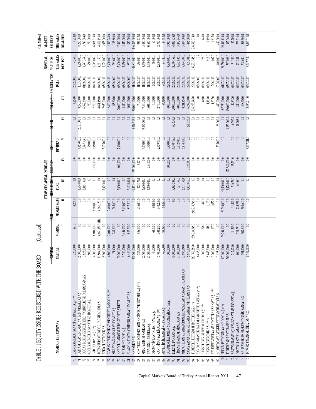| $\overline{a}$ |
|----------------|
|                |
|                |
|                |
| í              |
|                |
| i              |
|                |
| ֠              |
|                |
|                |
|                |
|                |
| é<br>٠         |
|                |
|                |
|                |
| ׇ֚֕֡֡֡֡֡֡      |
|                |
|                |
|                |
|                |
|                |
|                |
| i              |
|                |
|                |
|                |
|                |

| (TL. Million)                                 | <b>MARKET</b>                    | THE SALES<br><b>VALUE OF</b>      | REALISED | 4,254.0                                     | 8,250,000.0                                | 3,747,364.0                                            | 750,000.0                              | 6,918,379.0           | 4,661,150.0<br>3,975,000.0                                   | 2,583,248.0                                     | 285,600.0                         | 17,400,000.0                        | 3,450,000.0<br>857,200.0                                            | 146,803,000.0  | 936,732.0                                          | 5,450,000.0                | 60,000.0<br>10,500,000.0                                  | 2,700,000.0                      | 84,480.0                           | 3,900,000.0                           | 14,040,758.0         | 3,872,845.0                   | 5,474,304.0<br>405,301.0                                                                                        | 236,503,074.0                          | $50^{\circ}$                                    | 49,0                                   | 1,193.0<br>$1.637{\,}0$                                                      | 440,000.0                                 | 29,449,124.0                                   | 367,066.0                   | 32,708.0                                  | 725,231.0<br>508,600.0                                           | 3,437,711.0                  |  |
|-----------------------------------------------|----------------------------------|-----------------------------------|----------|---------------------------------------------|--------------------------------------------|--------------------------------------------------------|----------------------------------------|-----------------------|--------------------------------------------------------------|-------------------------------------------------|-----------------------------------|-------------------------------------|---------------------------------------------------------------------|----------------|----------------------------------------------------|----------------------------|-----------------------------------------------------------|----------------------------------|------------------------------------|---------------------------------------|----------------------|-------------------------------|-----------------------------------------------------------------------------------------------------------------|----------------------------------------|-------------------------------------------------|----------------------------------------|------------------------------------------------------------------------------|-------------------------------------------|------------------------------------------------|-----------------------------|-------------------------------------------|------------------------------------------------------------------|------------------------------|--|
|                                               | <b>NOMINAL</b>                   | <b>THE SALES</b><br>VALUE OF      | REALISED | 4,254.0                                     | 8,250,000.0                                | 3,747,364.0                                            | 750,000.0                              | 6,915,692.0           | 4,661,150.0<br>3,975,000.0                                   | 2,400,000.0                                     | 285,600.0                         | 17,400,000.0                        | 3,450,000.0<br>857,200.0                                            | 46,803,000.0   | 936,000.0                                          | 5,450,000.0                | 0,500,000,00<br>60,000.0                                  | 2,700,000.0                      | 84,480.0                           | 3,900,000.0                           | 14,040,758.0         | 3,872,845.0                   | 5,474,304.0<br>405,301.0                                                                                        | 236,233,745.0                          |                                                 | 276.0                                  | 918.0<br>1,007.0                                                             | 440,000.0                                 | 29250,000.0                                    | 367,066.0                   | 31,599.0                                  | 725,231.0<br>508,600.0                                           | 3,437,711.0                  |  |
|                                               |                                  | <b>REGISTRATION</b><br>DATE       |          | 23/05/200                                   | 11.05.2001                                 | 01/06/2001                                             | 04/06/2001                             | 04/06/2001            | 04/06/2001<br>05/06/2001                                     | 05/06/2001                                      | 05/06/2001                        | 08/06/2001                          | 08/06/2001<br>08/06/2001                                            | 11/06/2001     | 11/06/2001                                         | 11/06/2001                 | 11/06/2001<br>12/06/2001                                  | 12/06/2001                       | 18/06/2001                         | 2206/2001                             | 25/06/2001           | 26/06/2001                    | 26/06/2001<br>27/06/2001                                                                                        | 29/06/2001                             | 08/06/2001                                      | 08/06/2001                             | 08/06/2001<br>12/06/2001                                                     | 07.06.2001                                | 01/07/2001                                     | 03/07/2001                  | 04/07/2001                                | 04/07/2001<br>04/07/2001                                         | 05/07/2001                   |  |
|                                               |                                  | <b>TOTAL (*)</b>                  | ま        | 4.254.0                                     | 8,250,000.0                                | 6,562,500.0                                            | 750,000.0                              | 17,200,000.0          | 4,661,150.0<br>7,950,000.0                                   | 2,400,000.0                                     | 285,600.0                         | 20,000,000.0                        | 3,450,000.0<br>3.050,000.0                                          | 300,000,000.0  | 1,170,000.0                                        | 17,500,000.0               | 60,000,0<br>15,000,000.0                                  | 2,700,000.0                      | 84,480.0                           | 4,000,000.0                           | 20,000,000.0         | 4,000,000.0                   | 8,211,456.0<br>6,237,000.0                                                                                      | 236,233,745.0                          | ž                                               | 449.0                                  | 1,193.0<br>1,637.0                                                           | 440,000.0                                 | 87,750,000.0                                   | 490,000,000.0               | 119,858.0                                 | 810,000.0<br>508,600.0                                           | 3,437,211.0                  |  |
|                                               |                                  | <del>OHII</del> R                 | ⋝        | $\approx$                                   | 2,131,000.0                                | 3                                                      | 3                                      | $\approx$             | $\approx$<br>$\approx$                                       | $\rm 0.0$                                       | $\odot$                           | $\infty$                            | $_{\odot}$<br>$_{0.0}$                                              | 4,476,536.0    | $\approx$                                          | 9,450,000.0                | $\rm 0.0$<br>$\rm 0.0$                                    | $\mathbb{S}$                     | $\approx$                          | $_{\rm 00}$                           | 573,653.0            | $0.0\,$<br>$0.0\,$            | 279,023.0                                                                                                       | $\approx$                              | $\approx$                                       | $\mathbb{S}$                           | $_{\odot}$<br>$_{\odot}$                                                     | 65,000.0                                  | $\approx 0$                                    | 3,933,000.0                 | 6.792.0                                   | 78,203.0<br>$\approx$                                            | $\epsilon$                   |  |
|                                               |                                  | DIVIDEND<br><b>SHOCK</b>          |          | S                                           | 4,455,000.0                                | 3,747,364.0                                            | 750,000.0                              | 6,450,000.0           | $\approx$<br>3,975,000.0                                     |                                                 | $00\,$                            | 17,400,000.0                        | $0.0\,$<br>$\approx$                                                | $\approx$      | $_{\odot}$                                         | 5,450,000.0                | 0,500,0000<br>$\frac{1}{2}$                               | 2,359,800.0                      | $\approx$                          | 3,900,000.0                           | 4,040,758.0          | 3,872,845.0                   | $0.0\,$<br>5,474,304.0                                                                                          | $\mathbb{S}$                           | $_{\odot}$                                      | $\rm ^{\odot}$                         | $\mathbb{S}$<br>$\rm 0.0$                                                    | 375,000.0                                 | $\approx$                                      |                             | 3                                         | $_{\odot}$<br>$\approx$                                          | 3,437,211.0                  |  |
|                                               |                                  |                                   | ≥        | $\approx$                                   | $\epsilon$                                 | $\approx$                                              | $\circ$                                | 2,150,000.0           | $\mathbb{S}$<br>ៜ                                            | $\rm 0.0$                                       | $_{\rm 00}$                       | 600,000.0                           | $0.0\,$<br>$\mathbb{S}$                                             | 255,000,000.0  | 5,421.0                                            | $\approx$                  | 250,000.0<br>$\approx$                                    | $\rm ^{\odot}$                   | $\mathbf{0}0$                      | 100,000.0                             | $\circ$              | $_{\odot}$<br>$\approx$       | 2,025,361.0                                                                                                     | $\rm ^{\rm 0}$                         | $\rm 0.0$                                       | $\rm ^{\rm c}$                         | $\rm{C}$<br>$\rm 0.0$                                                        | $_{\odot}$                                | $\overline{0}$                                 | 372,589,000.0               | 25,791.0                                  | $\odot$<br>$\approx$                                             | $\approx$                    |  |
|                                               | <b>ITEMS OF CAPITAL INCREASE</b> | REVALUATION RESERVES<br>RUND      | $\equiv$ | $\frac{1}{2}$                               | 1,664,000.0                                | 2,815,136.0                                            |                                        | $_{\rm 0.0}$          | S<br>3,975,000.0                                             | $\approx$                                       | 0.0                               | 2,000,000.0                         | 2,192,800.0<br>$\approx$                                            | 40,523,464.0   | 228,579.0                                          | 2,600,000.0                | $\approx$<br>4,250,000.0                                  | $\mathbb{S}$                     | $\overline{0.0}$                   | $_{\rm 0.0}$                          | 5,385,589.0          | $127,\!155.0$                 | 2,737,152.0<br>3,932,616.0                                                                                      | $\approx$                              | $\overline{0.0}$                                | $\rm{C}$                               | $\rm{C}$<br>$\rm 0.0$                                                        | 0.0                                       | 58,500,000.0                                   | 113,478,000.0               | 55,676.0                                  | $0.0\,$<br>6,566.0                                               | $\overline{0}$               |  |
|                                               |                                  | <b>MARKET VALUE</b><br>CASH       |          | 4,254.0                                     |                                            | $\approx$                                              | $\approx$                              | 8,600,000.0           | $\approx$<br>4,661,150.0                                     | 2,400,000.0                                     | 285,600.0                         | $\approx$                           | 3,450,000.0<br>857,200.0                                            | $\mathbb{S}^0$ | 936,000.0                                          | $\approx$                  | $\approx$<br>60,000.0                                     | 340,200.0                        | 84,480.0                           | $\approx$                             | $\odot$              | $\odot$                       | $0.0\,$<br>$\approx$                                                                                            | 236,233,745.0                          | $\approx$                                       | 449.0                                  | 1,193.0<br>1,637.0                                                           | 3                                         | 29,250,000.0                                   | 3                           | 31,599.0                                  | 508,600.0<br>725,231.0                                           | $\approx$                    |  |
| (Continued)                                   |                                  | <b>FRUNON</b>                     |          | 877.0                                       |                                            | $_{\odot}$                                             | $_{\odot}$                             | 8,600,000.0           | 4,661,150.0 (II)<br>$\approx$                                | 2,400,000.0                                     | 285,600.0                         | $_{0.0}$                            | 3,450,000.0<br>857,200.0                                            | $\approx$      | 936,000.0                                          | $\approx$                  | $\approx$<br>60,000,0                                     | 340,200.0                        | 84,480.0                           | $\approx$                             | $\approx$            | $\overline{0}$                | $\mathbb{S}$<br>$\rm 0.0$                                                                                       | 236,233,745.0                          | $\overline{c}$                                  | $276.0\,$                              | 918.0<br>$1,\!007.0$                                                         | $\approx$                                 | 29,250,000.0                                   | $\approx$                   | 31,599.0                                  | 725,231.0<br>508,600.0                                           | S                            |  |
| <b>OARD</b>                                   |                                  | <b>EXISTING</b><br><b>CAPITAL</b> |          | 1,225,700.0                                 | S,000,000.0                                | 2,625,000.0                                            | 1,500,000.0                            | 4,300,000.0           | 63,504,000.0<br>15,900,000.0                                 | 4,800,000.0                                     | 71,400.0                          | 30,000,000.0                        | 3,750,000.0<br>6,450,000.0                                          | 500,000,000.0  | 585,000.0                                          | 22,500,000.0               | 25,000,000.0<br>40,000.0                                  | 5,400,000.0                      | 65,520.0                           | 4,000,000.0                           |                      | 11,000,000.LI                 | 13,685,760.0<br>5,670,000.0                                                                                     | 263,766,255.0                          | 6,435,000.0                                     | 300,000.0                              | 5,443,200.0<br>3,000,000.0                                                   | 3,125,000.0                               | 117,000,000.0                                  | 260,000,000.0               | 217.924.0                                 | 600,000.0<br>191,400.0                                           | 6,547,068.0                  |  |
| TABLE : 1 EQUITY ISSUES REGISTERED WITH THE B |                                  | NAME OF THE COMPANY               |          | EMÍNÍS AMBALAJ SANAYÍ VE TÍCARET A.Ş. (***) | OSMANLI GAYRİMENKUL YATIRIM ORTAKLIĞI A.Ş. | DOĞAN BURDA RİZZOLİ DERGİ YAYINCILIK VE PAZARLAMA A.Ş. | ADEL KALEMCİLİK SANAYİ VE TİCARET A.Ş. | GSD HOLDING A.Ş. (**) | TOFAŞ TÜRK OTOMOBİL FABRİKALARI A.Ş.<br>BEKO ELEKTRONÍK A.Ş. | GİMSAN GEDİZ İPLİK VE MENSUCAT SANAYİ A.Ş. (**) | MERAY YAĞ SANAYİİ VE TİCARET A.Ş. | ANADOLU ANONIM TÜRK SİGORTA ŞİRKETİ | ELAZIĞ ALTINOVA ÇİMENTO SANAYİİ TİCARET A.Ş.<br>BİLFAR HOLDİNG A.S. | AKBANK T.A.Ş.  | KONITEKS KONFEKSIYON ENDÜSTRİ VE TİCARET A.Ş. (**) | SINAİ YATIRIM BANKASI A.Ş. | OTOMOTIV LASTIKLERI TEVZI A.Ş.<br>YAPI KREDİ SİGORTA A.S. | RANT FİNANSAL KİRALAMA A.Ş. (**) | SOYLU IPLIK SANAYI VE TICARET A.Ş. | COMMERCÍAL UNION SIGORTA ŞIRKETİ A.Ş. | TEKSTİL BANKASI A.Ş. | FINANS FINANSAL KIRALAMA A.S. | MİLPA TİCARİ VE SINAİ ÜRÜNLER PAZARLAMA SANAYİ TİCARET A.Ş.<br>YASAŞ YAŞAR BOYA VE KİMYA SANAYİ VE TİCARET A.Ş. | TURKCELL İLETİŞİM HİZMETLERİ A.Ş. (**) | KAV DANIŞMANLIK PAZARLAMA VE TİCARET A.Ş. (***) | RAKS ELEKTRİKLİ EV ALETLERİ A.Ş. (***) | KELEBEK MOBİLYA VE KONTRPLAK SANAYİ A.Ş. (***)<br>RAKS ELEKTRONÍK A.Ş. (***) | ALARKO GAYRİMENKUL YATIRIM ORTAKLIĞI A.Ş. | PETKIM PETROKIMYA HOLDING A.Ş. (**)<br>$100\,$ | TÜRKİYE GARANTİ BANKASI A.Ş | BAŞYEM BAŞMAKÇI YEM SANAYİ VE TİCARETA.Ş. | KALE PORSELEN ELEKTROTEKNIK SANAYI A.Ş.<br>OTOYOL PAZARLAMA A.Ş. | TOPRAK FİNANSAL KİRALAMA A.Ş |  |
|                                               |                                  |                                   |          |                                             |                                            |                                                        |                                        |                       | 5 8 8 2 3 4 5 6 7 8 9 8 9                                    |                                                 |                                   |                                     |                                                                     |                |                                                    | 2333                       |                                                           | %5                               |                                    |                                       |                      |                               | 888558558558                                                                                                    |                                        |                                                 |                                        |                                                                              | $\mathfrak{B}$                            |                                                | $\equiv$                    | 102                                       | 103<br>$\geq$                                                    |                              |  |

Capital Markets Board of Turkey Annual Report 2001 47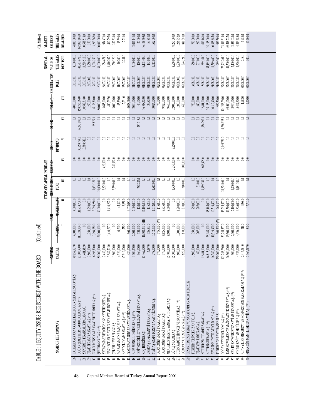| ֖֖֖֖֖֖֖֖֖֖֖֧ׅׅ֖ׅ֖֖֖֖֖֖֖֧ׅ֖֖֖֖֧ׅ֖֧֖֧֪֪֪֪֧֖֧֪ׅ֧ׅ֧֧֪ׅ֧֚֚֚֚֚֚֚֚֚֚֚֚֚֚֚֚֚֚֚֚֚֚֚֚֚֚֬֝֝֓֞֝֓֞֝֓֞֝֞֝ |
|---------------------------------------------------------------------------------------------|
|                                                                                             |
|                                                                                             |
|                                                                                             |
|                                                                                             |
|                                                                                             |
| Ξ                                                                                           |
|                                                                                             |
|                                                                                             |
| ٠                                                                                           |
|                                                                                             |
| ř                                                                                           |
| é                                                                                           |
|                                                                                             |
|                                                                                             |
|                                                                                             |
|                                                                                             |
|                                                                                             |
|                                                                                             |
|                                                                                             |
|                                                                                             |
|                                                                                             |
| ׇ֦֖֡֡֓֕֓֡֡֡                                                                                 |
|                                                                                             |
|                                                                                             |
|                                                                                             |

| 231,713.0<br>65,877.0<br>1,354,792.0<br>4,266,925.0<br>16,293,186.0<br><del>OHIIR</del><br>$_{\odot}$<br>0.0<br>$\overline{0}$<br>$_{\odot}$<br>$_{\odot}$<br>$\circ$<br>$\approx$<br>$_{\odot}$<br>8,250,000.0<br>$\rm 0.0$<br>$_{\odot}$<br>$0.0\,$<br>$\rm 0.0$<br>$_{\odot}$<br>30,258,774.0<br>$\infty$<br>3<br>$\approx$<br>$\circ$<br>$\overline{0}$<br>$\infty$<br>$\odot$<br>$\infty$<br>$\approx$<br>$\rm{S}$<br>$\approx$<br>$\approx$<br>$\circ$<br>$\mathbb{S}$<br>$\approx$<br>19,449,734.0<br>$\rm ^{\rm 0}$<br>10,588,518.0<br>$\approx$<br>DIVIDEND<br><b>STOCK</b><br>2,250,000.0<br>$0.0\,$<br>$0.0\,$<br>$0.0\,$<br>$\rm 0.0$<br>$\rm 00$<br>240,992.0<br>$\rm 0.0$<br>$_{\odot}$<br>60<br>$0.0\,$<br>$0.0\,$<br>$0.0\,$<br>$\rm 0.0$<br>$0.0\,$<br>$\approx$<br>$\rm ^{\odot}$<br>$\rm 00$<br>100,000.0<br>1,666,425.0<br>$0.0\,$<br>$\mathbb{0}0$<br>$\approx$<br>$\circ$<br>$_{\odot}$<br>$\circ$<br>$\approx$<br>$\rm 0.0$<br>1,420,000.0<br>$0.0\,$<br>$\mathbb{S}$<br>$0.0\,$<br>$_{\rm 00}$<br><u>ទ</u> ខ<br>≥<br>REVALUATION RESERVES<br><b>TTEMS OF CAPITAL INCREASE</b><br>$0.0\,$<br>$0.0\,$<br>60<br>$_{\odot}$<br>$\overline{0.0}$<br>1,500,000.0<br>$0.0\,$<br>ទី ទី<br>$_{\rm 0.0}$<br>3,032,373.0<br>2,759,008.0<br>$\approx$<br>$\overline{0}$<br>$\approx$<br>788,287.0<br>$_{\odot}$<br>1,512,000.0<br>$\approx$<br>710,000.0<br>0.0<br>$\approx$<br>24,274,064.0<br>1,800,000.0<br>1,081,500.0<br>20,000,000.0<br>2,225,000.0<br>3<br>3<br>$\approx$<br>$\approx$<br>9,389,783.0<br>3<br>$\approx$<br>33,000.0<br>〓<br>FUND<br><b>WARKET YALUE</b><br>1,250,000.0<br>80,000,000.0<br>1,410,297.0<br>45,390.0<br>4.078.080.0<br>1,512,000.0<br>17,700.0<br>$\approx$<br>2,231.0<br>$120\,000.0$<br>16,108,403.0<br>135,803.0<br>9,825,000.0<br>1,200,000.0<br>810,000.0<br>750,000.0<br>35,185,000.0<br>969,300.0<br>53,255,527.0<br>49,500,000.0<br>2,100,000.0<br>4,326,000.0<br>1,988.0<br>111,724,704.0<br>3,098,250.0<br>$\approx$<br>2,000,000.0<br>175,000.0<br>9,600,000.0<br>$\approx$<br>$\approx$<br>0,319,400.0<br>4,000,000.0<br>207,000.0<br>CASH<br>969,300.0 (V)<br>175,000.0 (V)<br>$6,108,403.0$ (II)<br>512,000.0<br>135,803.0<br>2,000,000.0<br>$120,000.0$<br>35,185,000.0<br>10,319,400.0<br>1,250,000.0<br>1,410,297.0<br>$10,200.0$<br>1,750.0<br>960,000.0<br>9,825,000.0<br>9,600,000.0<br>1,200,000.0<br>810,000.0<br>750,000.0<br>$207,\!000.0$<br>$\approx$<br>53,255,527.0<br>218.0<br>300.0<br>80,000,000.0<br>$\approx$<br>$\approx$<br>$\frac{1}{2}$<br>49,500,000.0<br>2,100,000.0<br>4,326,000.0<br>4,000,000.0<br>11,724,704.0<br>3,098,250.0<br><b>TYMBAK</b><br>480,000.0<br>3,100,470.0<br>14,197.0<br>1,500,000.0<br>64,815,000.0<br>93,103,920.0<br>1,411,482.0<br>6,196,500.0<br>50,000,000.0<br>3,589,703.0<br>360,000.0<br>85,469,600.0<br>378,000.0<br>175,000.0<br>15,000,000.0<br>600,000.0<br>1,620,000.0<br>750,000,000.0<br>5,166,787.0<br>$2,\!500,\!000.0$<br>17,910,000.0<br>15,400,000.0<br>60,000.0<br>12,411,000.0<br>16,380,000.0<br>101,246,250.0<br>300,000.0<br>4,326,000.0<br>49,957,727.0<br>4,320,000.0<br>175,000.0<br>16,500,000.0<br>2,416,781.0<br>2,430,000.0<br>1,500,000.0<br><b>EXISTING</b><br><b>CAPITAL</b><br>ALTINYILDIZ MENSUCAT VE KONFEKSİYON FABRİKALARI A.Ş. (***)<br>KALESERAMÍK CANAKKALE KALEBODUR SERAMÍK SANAYÍ A.S.<br>BESAŞ BİRLEŞİK ESNAF VE SANATKARLAR GIDA TEMİZLİK<br>TANSAŞ PERAKENDE MAĞAZACILIK TİCARETA.Ş. (**)<br>VAN-ET ENTEGRE ET SANAYI VE TICARET A.Ş. (**)<br>HES HACILAR ELEKTRİK SANAYİ VE TİCARET A.Ş.<br>DIRİTEKS DIRİLİŞ TEKSTİL SANAYİ TİCARET A.Ş.<br>BİRLİK MENSUCAT SANAYİ VE TİCARET A.S. (**)<br>YATAŞ YATAK VE YORGAN SANAYİ TİCARET A.Ş.<br>DOĞAN ŞİRKETLER GRUBU HOLDİNG A.Ş. (**)<br>MENDERES TEKSTİL SANAYİ VE TİCARET A.Ş.<br>YİBİTAŞ KRAFT TORBA SANAYİ TİCARET A.Ş.<br>IYAS ISPARTA GIDA SANAYI VE TICARET A.S.<br>LÜKS KADİFE TİCARET VE SANAYİİ A.Ş. (**)<br>PARSAN MAKİNA PARÇALARI SANAYİİ A.Ş.<br>PINAR SÜT MAMULLERİ SANAYİİ A.Ş. (***)<br>YAPI KREDİ FİNANSAL KİRALAMA A.O.<br>EFES SINAÍ YATIRIM HOLDÍNG A.S. (**)<br>UZERTAS BOYA SANAYI TICARET A.S.<br>VIKING KAĞIT VE SELÜLOZ A.Ş. (**)<br>BOROVA YAPI ENDÜSTRİSİ A.Ş. (**)<br>ALFA MENKUL DEĞERLER A.Ş. (**)<br>NET TURIZM TICARET SANAYI A.S.<br>TÜKETIM ÜRÜNLERI SAN TİC. A.Ş.<br>ANADOLU CAM SANAYİİ A.S. (***<br>TÜRKİYE GARANTİ BANKASI A.Ş.<br>DEAS DOĞU ENERJİ TİCARET A.Ş<br>DOĞAN YAYIN HOLDİNG A.Ş. (**)<br>USAK SERAMIK SANAYII A.S. (**)<br>DEAȘ DOĞU ENERJÎ TÎCARET A.Ş<br>ALTERNATIFBANK A.Ş. (**)<br>UŞAK YEM FABRİKASI A.Ş.<br>NAME OF THE COMPANY<br>CELEBİ HAVA SERVİSİ A.Ş.<br>SEKERBANKTAS. (**)<br>GÜNEŞ SİGORTA A.Ş.<br>KOÇ HOLDİNG A.Ş. | THE SALES<br>141,983,478.0<br>10,588,518.0<br>1,250,000.0<br>3,098,250.0<br>30,000,000.0<br>954,471.0<br>1,410,297.0<br>2,231.0<br>120,000.0<br>16,108,403.0<br>1,512,000.0<br>4,000,000.0<br>230,320.0<br>10,200,0<br>2,000,000.0<br>135,803.0<br>REALISED<br><b>NOMINAL</b><br>VALUE OF<br>REGISTRATION<br>31/07/2001<br>27/07/2001<br>01/08/2001<br>01/08/2001<br>01/08/2001<br>01/08/2001<br>02/08/2001<br>02/08/2001<br>1007/2001<br>1007/2001<br>16/07/2001<br>17/07/2001<br>2007/2001<br>24/07/2001<br>26/07/2001<br>26/07/2001<br>11/07/2001<br>25/07/2001<br>1007/2001<br>DATE<br>2,000,000.0 | REALISED<br>16,108,403.0<br>1,512,000.0<br>8,250,000.0<br>881,381.0<br>THE SALES<br>4,000,000.0<br>10,588,518.0<br>1,250,000.0<br>3,203,362.0<br>30,000,000.0<br>954,471.0<br>1,410,297.0<br>237,320.0<br>45,390.0<br>2,231.0<br>2,001,141.0<br>$120,\!000.0$<br>157,881.0<br>1,206,952.0<br>142,060,806.0<br><b>VALUE OF</b><br>MARKET |
|----------------------------------------------------------------------------------------------------------------------------------------------------------------------------------------------------------------------------------------------------------------------------------------------------------------------------------------------------------------------------------------------------------------------------------------------------------------------------------------------------------------------------------------------------------------------------------------------------------------------------------------------------------------------------------------------------------------------------------------------------------------------------------------------------------------------------------------------------------------------------------------------------------------------------------------------------------------------------------------------------------------------------------------------------------------------------------------------------------------------------------------------------------------------------------------------------------------------------------------------------------------------------------------------------------------------------------------------------------------------------------------------------------------------------------------------------------------------------------------------------------------------------------------------------------------------------------------------------------------------------------------------------------------------------------------------------------------------------------------------------------------------------------------------------------------------------------------------------------------------------------------------------------------------------------------------------------------------------------------------------------------------------------------------------------------------------------------------------------------------------------------------------------------------------------------------------------------------------------------------------------------------------------------------------------------------------------------------------------------------------------------------------------------------------------------------------------------------------------------------------------------------------------------------------------------------------------------------------------------------------------------------------------------------------------------------------------------------------------------------------------------------------------------------------------------------------------------------------------------------------------------------------------------------------------------------------------------------------------------------------------------------------------------------------------------------------------------------------------------------------------------------------------------------------------------------------------------------------------------------------------------------------------------------------------------------------------------------------------------------------------------------------------------------------------------------------------------------------------------------------------------------------------------------------------------------------------------------------------------------------------------------------------------------------------------------------------------------------------------------------------------------------------------------------------------------------------------------------------------------------------------------------------------------------------------------------------------------------------------------------------------------------------------------------------------------------------------------------------------------------------------------------------------------------------------------------------------------------------------------------------------------------------------------------------------------------------------------------------------------------------------------------------------------------------------------------------------------------------------------------------------------------------------------------------------------------------------------------------------------------------------------------------------------------------------------|--------------------------------------------------------------------------------------------------------------------------------------------------------------------------------------------------------------------------------------------------------------------------------------------------------------------------------------------------------------------------------------------------------------------------------------------------------------------------------------------------------------------------------------------------------------------------------------------------------|-----------------------------------------------------------------------------------------------------------------------------------------------------------------------------------------------------------------------------------------------------------------------------------------------------------------------------------------|
|                                                                                                                                                                                                                                                                                                                                                                                                                                                                                                                                                                                                                                                                                                                                                                                                                                                                                                                                                                                                                                                                                                                                                                                                                                                                                                                                                                                                                                                                                                                                                                                                                                                                                                                                                                                                                                                                                                                                                                                                                                                                                                                                                                                                                                                                                                                                                                                                                                                                                                                                                                                                                                                                                                                                                                                                                                                                                                                                                                                                                                                                                                                                                                                                                                                                                                                                                                                                                                                                                                                                                                                                                                                                                                                                                                                                                                                                                                                                                                                                                                                                                                                                                                                                                                                                                                                                                                                                                                                                                                                                                                                                                                                                                              |                                                                                                                                                                                                                                                                                                                                                                                                                                                                                                                                                                                                        |                                                                                                                                                                                                                                                                                                                                         |
|                                                                                                                                                                                                                                                                                                                                                                                                                                                                                                                                                                                                                                                                                                                                                                                                                                                                                                                                                                                                                                                                                                                                                                                                                                                                                                                                                                                                                                                                                                                                                                                                                                                                                                                                                                                                                                                                                                                                                                                                                                                                                                                                                                                                                                                                                                                                                                                                                                                                                                                                                                                                                                                                                                                                                                                                                                                                                                                                                                                                                                                                                                                                                                                                                                                                                                                                                                                                                                                                                                                                                                                                                                                                                                                                                                                                                                                                                                                                                                                                                                                                                                                                                                                                                                                                                                                                                                                                                                                                                                                                                                                                                                                                                              |                                                                                                                                                                                                                                                                                                                                                                                                                                                                                                                                                                                                        |                                                                                                                                                                                                                                                                                                                                         |
|                                                                                                                                                                                                                                                                                                                                                                                                                                                                                                                                                                                                                                                                                                                                                                                                                                                                                                                                                                                                                                                                                                                                                                                                                                                                                                                                                                                                                                                                                                                                                                                                                                                                                                                                                                                                                                                                                                                                                                                                                                                                                                                                                                                                                                                                                                                                                                                                                                                                                                                                                                                                                                                                                                                                                                                                                                                                                                                                                                                                                                                                                                                                                                                                                                                                                                                                                                                                                                                                                                                                                                                                                                                                                                                                                                                                                                                                                                                                                                                                                                                                                                                                                                                                                                                                                                                                                                                                                                                                                                                                                                                                                                                                                              |                                                                                                                                                                                                                                                                                                                                                                                                                                                                                                                                                                                                        |                                                                                                                                                                                                                                                                                                                                         |
|                                                                                                                                                                                                                                                                                                                                                                                                                                                                                                                                                                                                                                                                                                                                                                                                                                                                                                                                                                                                                                                                                                                                                                                                                                                                                                                                                                                                                                                                                                                                                                                                                                                                                                                                                                                                                                                                                                                                                                                                                                                                                                                                                                                                                                                                                                                                                                                                                                                                                                                                                                                                                                                                                                                                                                                                                                                                                                                                                                                                                                                                                                                                                                                                                                                                                                                                                                                                                                                                                                                                                                                                                                                                                                                                                                                                                                                                                                                                                                                                                                                                                                                                                                                                                                                                                                                                                                                                                                                                                                                                                                                                                                                                                              |                                                                                                                                                                                                                                                                                                                                                                                                                                                                                                                                                                                                        |                                                                                                                                                                                                                                                                                                                                         |
|                                                                                                                                                                                                                                                                                                                                                                                                                                                                                                                                                                                                                                                                                                                                                                                                                                                                                                                                                                                                                                                                                                                                                                                                                                                                                                                                                                                                                                                                                                                                                                                                                                                                                                                                                                                                                                                                                                                                                                                                                                                                                                                                                                                                                                                                                                                                                                                                                                                                                                                                                                                                                                                                                                                                                                                                                                                                                                                                                                                                                                                                                                                                                                                                                                                                                                                                                                                                                                                                                                                                                                                                                                                                                                                                                                                                                                                                                                                                                                                                                                                                                                                                                                                                                                                                                                                                                                                                                                                                                                                                                                                                                                                                                              |                                                                                                                                                                                                                                                                                                                                                                                                                                                                                                                                                                                                        |                                                                                                                                                                                                                                                                                                                                         |
|                                                                                                                                                                                                                                                                                                                                                                                                                                                                                                                                                                                                                                                                                                                                                                                                                                                                                                                                                                                                                                                                                                                                                                                                                                                                                                                                                                                                                                                                                                                                                                                                                                                                                                                                                                                                                                                                                                                                                                                                                                                                                                                                                                                                                                                                                                                                                                                                                                                                                                                                                                                                                                                                                                                                                                                                                                                                                                                                                                                                                                                                                                                                                                                                                                                                                                                                                                                                                                                                                                                                                                                                                                                                                                                                                                                                                                                                                                                                                                                                                                                                                                                                                                                                                                                                                                                                                                                                                                                                                                                                                                                                                                                                                              |                                                                                                                                                                                                                                                                                                                                                                                                                                                                                                                                                                                                        |                                                                                                                                                                                                                                                                                                                                         |
|                                                                                                                                                                                                                                                                                                                                                                                                                                                                                                                                                                                                                                                                                                                                                                                                                                                                                                                                                                                                                                                                                                                                                                                                                                                                                                                                                                                                                                                                                                                                                                                                                                                                                                                                                                                                                                                                                                                                                                                                                                                                                                                                                                                                                                                                                                                                                                                                                                                                                                                                                                                                                                                                                                                                                                                                                                                                                                                                                                                                                                                                                                                                                                                                                                                                                                                                                                                                                                                                                                                                                                                                                                                                                                                                                                                                                                                                                                                                                                                                                                                                                                                                                                                                                                                                                                                                                                                                                                                                                                                                                                                                                                                                                              |                                                                                                                                                                                                                                                                                                                                                                                                                                                                                                                                                                                                        |                                                                                                                                                                                                                                                                                                                                         |
|                                                                                                                                                                                                                                                                                                                                                                                                                                                                                                                                                                                                                                                                                                                                                                                                                                                                                                                                                                                                                                                                                                                                                                                                                                                                                                                                                                                                                                                                                                                                                                                                                                                                                                                                                                                                                                                                                                                                                                                                                                                                                                                                                                                                                                                                                                                                                                                                                                                                                                                                                                                                                                                                                                                                                                                                                                                                                                                                                                                                                                                                                                                                                                                                                                                                                                                                                                                                                                                                                                                                                                                                                                                                                                                                                                                                                                                                                                                                                                                                                                                                                                                                                                                                                                                                                                                                                                                                                                                                                                                                                                                                                                                                                              |                                                                                                                                                                                                                                                                                                                                                                                                                                                                                                                                                                                                        |                                                                                                                                                                                                                                                                                                                                         |
|                                                                                                                                                                                                                                                                                                                                                                                                                                                                                                                                                                                                                                                                                                                                                                                                                                                                                                                                                                                                                                                                                                                                                                                                                                                                                                                                                                                                                                                                                                                                                                                                                                                                                                                                                                                                                                                                                                                                                                                                                                                                                                                                                                                                                                                                                                                                                                                                                                                                                                                                                                                                                                                                                                                                                                                                                                                                                                                                                                                                                                                                                                                                                                                                                                                                                                                                                                                                                                                                                                                                                                                                                                                                                                                                                                                                                                                                                                                                                                                                                                                                                                                                                                                                                                                                                                                                                                                                                                                                                                                                                                                                                                                                                              |                                                                                                                                                                                                                                                                                                                                                                                                                                                                                                                                                                                                        |                                                                                                                                                                                                                                                                                                                                         |
|                                                                                                                                                                                                                                                                                                                                                                                                                                                                                                                                                                                                                                                                                                                                                                                                                                                                                                                                                                                                                                                                                                                                                                                                                                                                                                                                                                                                                                                                                                                                                                                                                                                                                                                                                                                                                                                                                                                                                                                                                                                                                                                                                                                                                                                                                                                                                                                                                                                                                                                                                                                                                                                                                                                                                                                                                                                                                                                                                                                                                                                                                                                                                                                                                                                                                                                                                                                                                                                                                                                                                                                                                                                                                                                                                                                                                                                                                                                                                                                                                                                                                                                                                                                                                                                                                                                                                                                                                                                                                                                                                                                                                                                                                              |                                                                                                                                                                                                                                                                                                                                                                                                                                                                                                                                                                                                        |                                                                                                                                                                                                                                                                                                                                         |
|                                                                                                                                                                                                                                                                                                                                                                                                                                                                                                                                                                                                                                                                                                                                                                                                                                                                                                                                                                                                                                                                                                                                                                                                                                                                                                                                                                                                                                                                                                                                                                                                                                                                                                                                                                                                                                                                                                                                                                                                                                                                                                                                                                                                                                                                                                                                                                                                                                                                                                                                                                                                                                                                                                                                                                                                                                                                                                                                                                                                                                                                                                                                                                                                                                                                                                                                                                                                                                                                                                                                                                                                                                                                                                                                                                                                                                                                                                                                                                                                                                                                                                                                                                                                                                                                                                                                                                                                                                                                                                                                                                                                                                                                                              |                                                                                                                                                                                                                                                                                                                                                                                                                                                                                                                                                                                                        |                                                                                                                                                                                                                                                                                                                                         |
|                                                                                                                                                                                                                                                                                                                                                                                                                                                                                                                                                                                                                                                                                                                                                                                                                                                                                                                                                                                                                                                                                                                                                                                                                                                                                                                                                                                                                                                                                                                                                                                                                                                                                                                                                                                                                                                                                                                                                                                                                                                                                                                                                                                                                                                                                                                                                                                                                                                                                                                                                                                                                                                                                                                                                                                                                                                                                                                                                                                                                                                                                                                                                                                                                                                                                                                                                                                                                                                                                                                                                                                                                                                                                                                                                                                                                                                                                                                                                                                                                                                                                                                                                                                                                                                                                                                                                                                                                                                                                                                                                                                                                                                                                              |                                                                                                                                                                                                                                                                                                                                                                                                                                                                                                                                                                                                        |                                                                                                                                                                                                                                                                                                                                         |
|                                                                                                                                                                                                                                                                                                                                                                                                                                                                                                                                                                                                                                                                                                                                                                                                                                                                                                                                                                                                                                                                                                                                                                                                                                                                                                                                                                                                                                                                                                                                                                                                                                                                                                                                                                                                                                                                                                                                                                                                                                                                                                                                                                                                                                                                                                                                                                                                                                                                                                                                                                                                                                                                                                                                                                                                                                                                                                                                                                                                                                                                                                                                                                                                                                                                                                                                                                                                                                                                                                                                                                                                                                                                                                                                                                                                                                                                                                                                                                                                                                                                                                                                                                                                                                                                                                                                                                                                                                                                                                                                                                                                                                                                                              |                                                                                                                                                                                                                                                                                                                                                                                                                                                                                                                                                                                                        |                                                                                                                                                                                                                                                                                                                                         |
|                                                                                                                                                                                                                                                                                                                                                                                                                                                                                                                                                                                                                                                                                                                                                                                                                                                                                                                                                                                                                                                                                                                                                                                                                                                                                                                                                                                                                                                                                                                                                                                                                                                                                                                                                                                                                                                                                                                                                                                                                                                                                                                                                                                                                                                                                                                                                                                                                                                                                                                                                                                                                                                                                                                                                                                                                                                                                                                                                                                                                                                                                                                                                                                                                                                                                                                                                                                                                                                                                                                                                                                                                                                                                                                                                                                                                                                                                                                                                                                                                                                                                                                                                                                                                                                                                                                                                                                                                                                                                                                                                                                                                                                                                              |                                                                                                                                                                                                                                                                                                                                                                                                                                                                                                                                                                                                        |                                                                                                                                                                                                                                                                                                                                         |
|                                                                                                                                                                                                                                                                                                                                                                                                                                                                                                                                                                                                                                                                                                                                                                                                                                                                                                                                                                                                                                                                                                                                                                                                                                                                                                                                                                                                                                                                                                                                                                                                                                                                                                                                                                                                                                                                                                                                                                                                                                                                                                                                                                                                                                                                                                                                                                                                                                                                                                                                                                                                                                                                                                                                                                                                                                                                                                                                                                                                                                                                                                                                                                                                                                                                                                                                                                                                                                                                                                                                                                                                                                                                                                                                                                                                                                                                                                                                                                                                                                                                                                                                                                                                                                                                                                                                                                                                                                                                                                                                                                                                                                                                                              |                                                                                                                                                                                                                                                                                                                                                                                                                                                                                                                                                                                                        |                                                                                                                                                                                                                                                                                                                                         |
|                                                                                                                                                                                                                                                                                                                                                                                                                                                                                                                                                                                                                                                                                                                                                                                                                                                                                                                                                                                                                                                                                                                                                                                                                                                                                                                                                                                                                                                                                                                                                                                                                                                                                                                                                                                                                                                                                                                                                                                                                                                                                                                                                                                                                                                                                                                                                                                                                                                                                                                                                                                                                                                                                                                                                                                                                                                                                                                                                                                                                                                                                                                                                                                                                                                                                                                                                                                                                                                                                                                                                                                                                                                                                                                                                                                                                                                                                                                                                                                                                                                                                                                                                                                                                                                                                                                                                                                                                                                                                                                                                                                                                                                                                              |                                                                                                                                                                                                                                                                                                                                                                                                                                                                                                                                                                                                        |                                                                                                                                                                                                                                                                                                                                         |
|                                                                                                                                                                                                                                                                                                                                                                                                                                                                                                                                                                                                                                                                                                                                                                                                                                                                                                                                                                                                                                                                                                                                                                                                                                                                                                                                                                                                                                                                                                                                                                                                                                                                                                                                                                                                                                                                                                                                                                                                                                                                                                                                                                                                                                                                                                                                                                                                                                                                                                                                                                                                                                                                                                                                                                                                                                                                                                                                                                                                                                                                                                                                                                                                                                                                                                                                                                                                                                                                                                                                                                                                                                                                                                                                                                                                                                                                                                                                                                                                                                                                                                                                                                                                                                                                                                                                                                                                                                                                                                                                                                                                                                                                                              |                                                                                                                                                                                                                                                                                                                                                                                                                                                                                                                                                                                                        |                                                                                                                                                                                                                                                                                                                                         |
|                                                                                                                                                                                                                                                                                                                                                                                                                                                                                                                                                                                                                                                                                                                                                                                                                                                                                                                                                                                                                                                                                                                                                                                                                                                                                                                                                                                                                                                                                                                                                                                                                                                                                                                                                                                                                                                                                                                                                                                                                                                                                                                                                                                                                                                                                                                                                                                                                                                                                                                                                                                                                                                                                                                                                                                                                                                                                                                                                                                                                                                                                                                                                                                                                                                                                                                                                                                                                                                                                                                                                                                                                                                                                                                                                                                                                                                                                                                                                                                                                                                                                                                                                                                                                                                                                                                                                                                                                                                                                                                                                                                                                                                                                              |                                                                                                                                                                                                                                                                                                                                                                                                                                                                                                                                                                                                        |                                                                                                                                                                                                                                                                                                                                         |
|                                                                                                                                                                                                                                                                                                                                                                                                                                                                                                                                                                                                                                                                                                                                                                                                                                                                                                                                                                                                                                                                                                                                                                                                                                                                                                                                                                                                                                                                                                                                                                                                                                                                                                                                                                                                                                                                                                                                                                                                                                                                                                                                                                                                                                                                                                                                                                                                                                                                                                                                                                                                                                                                                                                                                                                                                                                                                                                                                                                                                                                                                                                                                                                                                                                                                                                                                                                                                                                                                                                                                                                                                                                                                                                                                                                                                                                                                                                                                                                                                                                                                                                                                                                                                                                                                                                                                                                                                                                                                                                                                                                                                                                                                              |                                                                                                                                                                                                                                                                                                                                                                                                                                                                                                                                                                                                        |                                                                                                                                                                                                                                                                                                                                         |
|                                                                                                                                                                                                                                                                                                                                                                                                                                                                                                                                                                                                                                                                                                                                                                                                                                                                                                                                                                                                                                                                                                                                                                                                                                                                                                                                                                                                                                                                                                                                                                                                                                                                                                                                                                                                                                                                                                                                                                                                                                                                                                                                                                                                                                                                                                                                                                                                                                                                                                                                                                                                                                                                                                                                                                                                                                                                                                                                                                                                                                                                                                                                                                                                                                                                                                                                                                                                                                                                                                                                                                                                                                                                                                                                                                                                                                                                                                                                                                                                                                                                                                                                                                                                                                                                                                                                                                                                                                                                                                                                                                                                                                                                                              |                                                                                                                                                                                                                                                                                                                                                                                                                                                                                                                                                                                                        |                                                                                                                                                                                                                                                                                                                                         |
|                                                                                                                                                                                                                                                                                                                                                                                                                                                                                                                                                                                                                                                                                                                                                                                                                                                                                                                                                                                                                                                                                                                                                                                                                                                                                                                                                                                                                                                                                                                                                                                                                                                                                                                                                                                                                                                                                                                                                                                                                                                                                                                                                                                                                                                                                                                                                                                                                                                                                                                                                                                                                                                                                                                                                                                                                                                                                                                                                                                                                                                                                                                                                                                                                                                                                                                                                                                                                                                                                                                                                                                                                                                                                                                                                                                                                                                                                                                                                                                                                                                                                                                                                                                                                                                                                                                                                                                                                                                                                                                                                                                                                                                                                              |                                                                                                                                                                                                                                                                                                                                                                                                                                                                                                                                                                                                        |                                                                                                                                                                                                                                                                                                                                         |
|                                                                                                                                                                                                                                                                                                                                                                                                                                                                                                                                                                                                                                                                                                                                                                                                                                                                                                                                                                                                                                                                                                                                                                                                                                                                                                                                                                                                                                                                                                                                                                                                                                                                                                                                                                                                                                                                                                                                                                                                                                                                                                                                                                                                                                                                                                                                                                                                                                                                                                                                                                                                                                                                                                                                                                                                                                                                                                                                                                                                                                                                                                                                                                                                                                                                                                                                                                                                                                                                                                                                                                                                                                                                                                                                                                                                                                                                                                                                                                                                                                                                                                                                                                                                                                                                                                                                                                                                                                                                                                                                                                                                                                                                                              |                                                                                                                                                                                                                                                                                                                                                                                                                                                                                                                                                                                                        |                                                                                                                                                                                                                                                                                                                                         |
|                                                                                                                                                                                                                                                                                                                                                                                                                                                                                                                                                                                                                                                                                                                                                                                                                                                                                                                                                                                                                                                                                                                                                                                                                                                                                                                                                                                                                                                                                                                                                                                                                                                                                                                                                                                                                                                                                                                                                                                                                                                                                                                                                                                                                                                                                                                                                                                                                                                                                                                                                                                                                                                                                                                                                                                                                                                                                                                                                                                                                                                                                                                                                                                                                                                                                                                                                                                                                                                                                                                                                                                                                                                                                                                                                                                                                                                                                                                                                                                                                                                                                                                                                                                                                                                                                                                                                                                                                                                                                                                                                                                                                                                                                              | 0088200                                                                                                                                                                                                                                                                                                                                                                                                                                                                                                                                                                                                |                                                                                                                                                                                                                                                                                                                                         |
|                                                                                                                                                                                                                                                                                                                                                                                                                                                                                                                                                                                                                                                                                                                                                                                                                                                                                                                                                                                                                                                                                                                                                                                                                                                                                                                                                                                                                                                                                                                                                                                                                                                                                                                                                                                                                                                                                                                                                                                                                                                                                                                                                                                                                                                                                                                                                                                                                                                                                                                                                                                                                                                                                                                                                                                                                                                                                                                                                                                                                                                                                                                                                                                                                                                                                                                                                                                                                                                                                                                                                                                                                                                                                                                                                                                                                                                                                                                                                                                                                                                                                                                                                                                                                                                                                                                                                                                                                                                                                                                                                                                                                                                                                              | 8,250,000.0<br>07/08/2001                                                                                                                                                                                                                                                                                                                                                                                                                                                                                                                                                                              |                                                                                                                                                                                                                                                                                                                                         |
|                                                                                                                                                                                                                                                                                                                                                                                                                                                                                                                                                                                                                                                                                                                                                                                                                                                                                                                                                                                                                                                                                                                                                                                                                                                                                                                                                                                                                                                                                                                                                                                                                                                                                                                                                                                                                                                                                                                                                                                                                                                                                                                                                                                                                                                                                                                                                                                                                                                                                                                                                                                                                                                                                                                                                                                                                                                                                                                                                                                                                                                                                                                                                                                                                                                                                                                                                                                                                                                                                                                                                                                                                                                                                                                                                                                                                                                                                                                                                                                                                                                                                                                                                                                                                                                                                                                                                                                                                                                                                                                                                                                                                                                                                              | 1,200,000.0<br>08/08/2001                                                                                                                                                                                                                                                                                                                                                                                                                                                                                                                                                                              |                                                                                                                                                                                                                                                                                                                                         |
|                                                                                                                                                                                                                                                                                                                                                                                                                                                                                                                                                                                                                                                                                                                                                                                                                                                                                                                                                                                                                                                                                                                                                                                                                                                                                                                                                                                                                                                                                                                                                                                                                                                                                                                                                                                                                                                                                                                                                                                                                                                                                                                                                                                                                                                                                                                                                                                                                                                                                                                                                                                                                                                                                                                                                                                                                                                                                                                                                                                                                                                                                                                                                                                                                                                                                                                                                                                                                                                                                                                                                                                                                                                                                                                                                                                                                                                                                                                                                                                                                                                                                                                                                                                                                                                                                                                                                                                                                                                                                                                                                                                                                                                                                              | 874,221.0<br>09/08/2001                                                                                                                                                                                                                                                                                                                                                                                                                                                                                                                                                                                |                                                                                                                                                                                                                                                                                                                                         |
|                                                                                                                                                                                                                                                                                                                                                                                                                                                                                                                                                                                                                                                                                                                                                                                                                                                                                                                                                                                                                                                                                                                                                                                                                                                                                                                                                                                                                                                                                                                                                                                                                                                                                                                                                                                                                                                                                                                                                                                                                                                                                                                                                                                                                                                                                                                                                                                                                                                                                                                                                                                                                                                                                                                                                                                                                                                                                                                                                                                                                                                                                                                                                                                                                                                                                                                                                                                                                                                                                                                                                                                                                                                                                                                                                                                                                                                                                                                                                                                                                                                                                                                                                                                                                                                                                                                                                                                                                                                                                                                                                                                                                                                                                              |                                                                                                                                                                                                                                                                                                                                                                                                                                                                                                                                                                                                        |                                                                                                                                                                                                                                                                                                                                         |
|                                                                                                                                                                                                                                                                                                                                                                                                                                                                                                                                                                                                                                                                                                                                                                                                                                                                                                                                                                                                                                                                                                                                                                                                                                                                                                                                                                                                                                                                                                                                                                                                                                                                                                                                                                                                                                                                                                                                                                                                                                                                                                                                                                                                                                                                                                                                                                                                                                                                                                                                                                                                                                                                                                                                                                                                                                                                                                                                                                                                                                                                                                                                                                                                                                                                                                                                                                                                                                                                                                                                                                                                                                                                                                                                                                                                                                                                                                                                                                                                                                                                                                                                                                                                                                                                                                                                                                                                                                                                                                                                                                                                                                                                                              | 750,000.0                                                                                                                                                                                                                                                                                                                                                                                                                                                                                                                                                                                              | 750,000.0                                                                                                                                                                                                                                                                                                                               |
|                                                                                                                                                                                                                                                                                                                                                                                                                                                                                                                                                                                                                                                                                                                                                                                                                                                                                                                                                                                                                                                                                                                                                                                                                                                                                                                                                                                                                                                                                                                                                                                                                                                                                                                                                                                                                                                                                                                                                                                                                                                                                                                                                                                                                                                                                                                                                                                                                                                                                                                                                                                                                                                                                                                                                                                                                                                                                                                                                                                                                                                                                                                                                                                                                                                                                                                                                                                                                                                                                                                                                                                                                                                                                                                                                                                                                                                                                                                                                                                                                                                                                                                                                                                                                                                                                                                                                                                                                                                                                                                                                                                                                                                                                              | 207,000.0<br>14/08/2001                                                                                                                                                                                                                                                                                                                                                                                                                                                                                                                                                                                | 207,000.0                                                                                                                                                                                                                                                                                                                               |
|                                                                                                                                                                                                                                                                                                                                                                                                                                                                                                                                                                                                                                                                                                                                                                                                                                                                                                                                                                                                                                                                                                                                                                                                                                                                                                                                                                                                                                                                                                                                                                                                                                                                                                                                                                                                                                                                                                                                                                                                                                                                                                                                                                                                                                                                                                                                                                                                                                                                                                                                                                                                                                                                                                                                                                                                                                                                                                                                                                                                                                                                                                                                                                                                                                                                                                                                                                                                                                                                                                                                                                                                                                                                                                                                                                                                                                                                                                                                                                                                                                                                                                                                                                                                                                                                                                                                                                                                                                                                                                                                                                                                                                                                                              | 689,161.0<br>15/08/2001                                                                                                                                                                                                                                                                                                                                                                                                                                                                                                                                                                                | 689,161.0                                                                                                                                                                                                                                                                                                                               |
|                                                                                                                                                                                                                                                                                                                                                                                                                                                                                                                                                                                                                                                                                                                                                                                                                                                                                                                                                                                                                                                                                                                                                                                                                                                                                                                                                                                                                                                                                                                                                                                                                                                                                                                                                                                                                                                                                                                                                                                                                                                                                                                                                                                                                                                                                                                                                                                                                                                                                                                                                                                                                                                                                                                                                                                                                                                                                                                                                                                                                                                                                                                                                                                                                                                                                                                                                                                                                                                                                                                                                                                                                                                                                                                                                                                                                                                                                                                                                                                                                                                                                                                                                                                                                                                                                                                                                                                                                                                                                                                                                                                                                                                                                              | 35,185,000.0<br>21/08/2001                                                                                                                                                                                                                                                                                                                                                                                                                                                                                                                                                                             | 35,185,000.0                                                                                                                                                                                                                                                                                                                            |
|                                                                                                                                                                                                                                                                                                                                                                                                                                                                                                                                                                                                                                                                                                                                                                                                                                                                                                                                                                                                                                                                                                                                                                                                                                                                                                                                                                                                                                                                                                                                                                                                                                                                                                                                                                                                                                                                                                                                                                                                                                                                                                                                                                                                                                                                                                                                                                                                                                                                                                                                                                                                                                                                                                                                                                                                                                                                                                                                                                                                                                                                                                                                                                                                                                                                                                                                                                                                                                                                                                                                                                                                                                                                                                                                                                                                                                                                                                                                                                                                                                                                                                                                                                                                                                                                                                                                                                                                                                                                                                                                                                                                                                                                                              | 10,319,400.0<br>21/08/2001<br>10,319,400.0                                                                                                                                                                                                                                                                                                                                                                                                                                                                                                                                                             | 10,365,685.0                                                                                                                                                                                                                                                                                                                            |
|                                                                                                                                                                                                                                                                                                                                                                                                                                                                                                                                                                                                                                                                                                                                                                                                                                                                                                                                                                                                                                                                                                                                                                                                                                                                                                                                                                                                                                                                                                                                                                                                                                                                                                                                                                                                                                                                                                                                                                                                                                                                                                                                                                                                                                                                                                                                                                                                                                                                                                                                                                                                                                                                                                                                                                                                                                                                                                                                                                                                                                                                                                                                                                                                                                                                                                                                                                                                                                                                                                                                                                                                                                                                                                                                                                                                                                                                                                                                                                                                                                                                                                                                                                                                                                                                                                                                                                                                                                                                                                                                                                                                                                                                                              | 969,300.0<br>21/08/2001                                                                                                                                                                                                                                                                                                                                                                                                                                                                                                                                                                                | 969,300.0                                                                                                                                                                                                                                                                                                                               |
|                                                                                                                                                                                                                                                                                                                                                                                                                                                                                                                                                                                                                                                                                                                                                                                                                                                                                                                                                                                                                                                                                                                                                                                                                                                                                                                                                                                                                                                                                                                                                                                                                                                                                                                                                                                                                                                                                                                                                                                                                                                                                                                                                                                                                                                                                                                                                                                                                                                                                                                                                                                                                                                                                                                                                                                                                                                                                                                                                                                                                                                                                                                                                                                                                                                                                                                                                                                                                                                                                                                                                                                                                                                                                                                                                                                                                                                                                                                                                                                                                                                                                                                                                                                                                                                                                                                                                                                                                                                                                                                                                                                                                                                                                              | 72,705,261.0<br>27/08/2001                                                                                                                                                                                                                                                                                                                                                                                                                                                                                                                                                                             | 73,449,314.0                                                                                                                                                                                                                                                                                                                            |
|                                                                                                                                                                                                                                                                                                                                                                                                                                                                                                                                                                                                                                                                                                                                                                                                                                                                                                                                                                                                                                                                                                                                                                                                                                                                                                                                                                                                                                                                                                                                                                                                                                                                                                                                                                                                                                                                                                                                                                                                                                                                                                                                                                                                                                                                                                                                                                                                                                                                                                                                                                                                                                                                                                                                                                                                                                                                                                                                                                                                                                                                                                                                                                                                                                                                                                                                                                                                                                                                                                                                                                                                                                                                                                                                                                                                                                                                                                                                                                                                                                                                                                                                                                                                                                                                                                                                                                                                                                                                                                                                                                                                                                                                                              | 49,500,000.0<br>27/08/2001                                                                                                                                                                                                                                                                                                                                                                                                                                                                                                                                                                             | 49,548,227.0                                                                                                                                                                                                                                                                                                                            |
|                                                                                                                                                                                                                                                                                                                                                                                                                                                                                                                                                                                                                                                                                                                                                                                                                                                                                                                                                                                                                                                                                                                                                                                                                                                                                                                                                                                                                                                                                                                                                                                                                                                                                                                                                                                                                                                                                                                                                                                                                                                                                                                                                                                                                                                                                                                                                                                                                                                                                                                                                                                                                                                                                                                                                                                                                                                                                                                                                                                                                                                                                                                                                                                                                                                                                                                                                                                                                                                                                                                                                                                                                                                                                                                                                                                                                                                                                                                                                                                                                                                                                                                                                                                                                                                                                                                                                                                                                                                                                                                                                                                                                                                                                              | 2,100,000.0<br>27/08/2001                                                                                                                                                                                                                                                                                                                                                                                                                                                                                                                                                                              | 2,551,024.0                                                                                                                                                                                                                                                                                                                             |
|                                                                                                                                                                                                                                                                                                                                                                                                                                                                                                                                                                                                                                                                                                                                                                                                                                                                                                                                                                                                                                                                                                                                                                                                                                                                                                                                                                                                                                                                                                                                                                                                                                                                                                                                                                                                                                                                                                                                                                                                                                                                                                                                                                                                                                                                                                                                                                                                                                                                                                                                                                                                                                                                                                                                                                                                                                                                                                                                                                                                                                                                                                                                                                                                                                                                                                                                                                                                                                                                                                                                                                                                                                                                                                                                                                                                                                                                                                                                                                                                                                                                                                                                                                                                                                                                                                                                                                                                                                                                                                                                                                                                                                                                                              | 4,326,000.0                                                                                                                                                                                                                                                                                                                                                                                                                                                                                                                                                                                            | 4,343,685.0                                                                                                                                                                                                                                                                                                                             |
|                                                                                                                                                                                                                                                                                                                                                                                                                                                                                                                                                                                                                                                                                                                                                                                                                                                                                                                                                                                                                                                                                                                                                                                                                                                                                                                                                                                                                                                                                                                                                                                                                                                                                                                                                                                                                                                                                                                                                                                                                                                                                                                                                                                                                                                                                                                                                                                                                                                                                                                                                                                                                                                                                                                                                                                                                                                                                                                                                                                                                                                                                                                                                                                                                                                                                                                                                                                                                                                                                                                                                                                                                                                                                                                                                                                                                                                                                                                                                                                                                                                                                                                                                                                                                                                                                                                                                                                                                                                                                                                                                                                                                                                                                              | 02/08/2001                                                                                                                                                                                                                                                                                                                                                                                                                                                                                                                                                                                             | 1,988.0<br>218.0                                                                                                                                                                                                                                                                                                                        |
|                                                                                                                                                                                                                                                                                                                                                                                                                                                                                                                                                                                                                                                                                                                                                                                                                                                                                                                                                                                                                                                                                                                                                                                                                                                                                                                                                                                                                                                                                                                                                                                                                                                                                                                                                                                                                                                                                                                                                                                                                                                                                                                                                                                                                                                                                                                                                                                                                                                                                                                                                                                                                                                                                                                                                                                                                                                                                                                                                                                                                                                                                                                                                                                                                                                                                                                                                                                                                                                                                                                                                                                                                                                                                                                                                                                                                                                                                                                                                                                                                                                                                                                                                                                                                                                                                                                                                                                                                                                                                                                                                                                                                                                                                              | 02/08/2001<br>17,700.0                                                                                                                                                                                                                                                                                                                                                                                                                                                                                                                                                                                 | 17,700.0<br>3000                                                                                                                                                                                                                                                                                                                        |
|                                                                                                                                                                                                                                                                                                                                                                                                                                                                                                                                                                                                                                                                                                                                                                                                                                                                                                                                                                                                                                                                                                                                                                                                                                                                                                                                                                                                                                                                                                                                                                                                                                                                                                                                                                                                                                                                                                                                                                                                                                                                                                                                                                                                                                                                                                                                                                                                                                                                                                                                                                                                                                                                                                                                                                                                                                                                                                                                                                                                                                                                                                                                                                                                                                                                                                                                                                                                                                                                                                                                                                                                                                                                                                                                                                                                                                                                                                                                                                                                                                                                                                                                                                                                                                                                                                                                                                                                                                                                                                                                                                                                                                                                                              |                                                                                                                                                                                                                                                                                                                                                                                                                                                                                                                                                                                                        |                                                                                                                                                                                                                                                                                                                                         |
|                                                                                                                                                                                                                                                                                                                                                                                                                                                                                                                                                                                                                                                                                                                                                                                                                                                                                                                                                                                                                                                                                                                                                                                                                                                                                                                                                                                                                                                                                                                                                                                                                                                                                                                                                                                                                                                                                                                                                                                                                                                                                                                                                                                                                                                                                                                                                                                                                                                                                                                                                                                                                                                                                                                                                                                                                                                                                                                                                                                                                                                                                                                                                                                                                                                                                                                                                                                                                                                                                                                                                                                                                                                                                                                                                                                                                                                                                                                                                                                                                                                                                                                                                                                                                                                                                                                                                                                                                                                                                                                                                                                                                                                                                              |                                                                                                                                                                                                                                                                                                                                                                                                                                                                                                                                                                                                        |                                                                                                                                                                                                                                                                                                                                         |
|                                                                                                                                                                                                                                                                                                                                                                                                                                                                                                                                                                                                                                                                                                                                                                                                                                                                                                                                                                                                                                                                                                                                                                                                                                                                                                                                                                                                                                                                                                                                                                                                                                                                                                                                                                                                                                                                                                                                                                                                                                                                                                                                                                                                                                                                                                                                                                                                                                                                                                                                                                                                                                                                                                                                                                                                                                                                                                                                                                                                                                                                                                                                                                                                                                                                                                                                                                                                                                                                                                                                                                                                                                                                                                                                                                                                                                                                                                                                                                                                                                                                                                                                                                                                                                                                                                                                                                                                                                                                                                                                                                                                                                                                                              |                                                                                                                                                                                                                                                                                                                                                                                                                                                                                                                                                                                                        |                                                                                                                                                                                                                                                                                                                                         |
|                                                                                                                                                                                                                                                                                                                                                                                                                                                                                                                                                                                                                                                                                                                                                                                                                                                                                                                                                                                                                                                                                                                                                                                                                                                                                                                                                                                                                                                                                                                                                                                                                                                                                                                                                                                                                                                                                                                                                                                                                                                                                                                                                                                                                                                                                                                                                                                                                                                                                                                                                                                                                                                                                                                                                                                                                                                                                                                                                                                                                                                                                                                                                                                                                                                                                                                                                                                                                                                                                                                                                                                                                                                                                                                                                                                                                                                                                                                                                                                                                                                                                                                                                                                                                                                                                                                                                                                                                                                                                                                                                                                                                                                                                              | $12,\!000,\!000.0$<br>1,620,000.0<br>5,407,500.0<br>3,900,000.0                                                                                                                                                                                                                                                                                                                                                                                                                                                                                                                                        | 14/08/2001<br>27/08/2001                                                                                                                                                                                                                                                                                                                |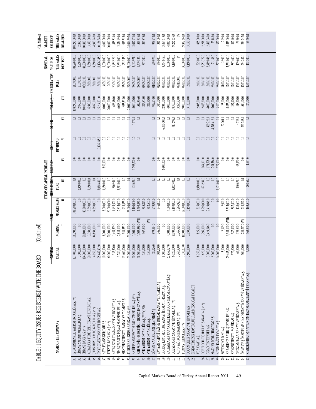| ֖֖֖֖֖֖֖֖֖֖֚֚֚֚֚֚֚֚֚֚֚֬֝֓֬֝֓֬֝֓֬֝֓֬֝֓֬֝֓֬֝֓֬֝֓֬ |
|------------------------------------------------|
|                                                |
|                                                |
|                                                |
|                                                |
|                                                |
|                                                |
|                                                |
|                                                |
| Ξ                                              |
|                                                |
| ٠                                              |
|                                                |
|                                                |
| ń                                              |
|                                                |
|                                                |
|                                                |
|                                                |
|                                                |
|                                                |
|                                                |
| ׇ֖֚֬֓֕֓֕֓֕֓֡֡֡֡֡                               |
|                                                |
|                                                |
|                                                |
|                                                |
|                                                |
|                                                |

|                 |                                                                                                  |                                   |                              |                             |                              | <b>ITEMS OF CAPITAL INCREASE</b> |                          |                          |                             |                             | <b>NOMINAL</b>              | MARKET                      |
|-----------------|--------------------------------------------------------------------------------------------------|-----------------------------------|------------------------------|-----------------------------|------------------------------|----------------------------------|--------------------------|--------------------------|-----------------------------|-----------------------------|-----------------------------|-----------------------------|
|                 | NAME OF THE COMPANY                                                                              | <b>EXISTING</b><br><b>CAPITAL</b> | $+34$<br><b>TYMINON</b>      | <b>THY EXAMPLE</b>          | REVALUATION RESERVES<br>RUND |                                  | DIVIDEND<br><b>SHOCK</b> | <del>OHIIA</del>         | <b>TOTAL (*)</b>            | <b>REGISTRATION</b><br>DATE | THE SALES<br>VALUE OF       | THE SALES<br>VALUE OF       |
|                 |                                                                                                  |                                   |                              |                             | ⊟                            | ≧                                |                          | ы                        | 艮                           |                             | REALISED                    | REALISED                    |
| $\equiv$        | ÍS GAYRÍMENKUL YATIRIM ORTAKLIĞI A.Ş.(**)                                                        | 127,400,000.0                     | 0.000 067801                 | 08,290,000.0                | 0.0                          | $\frac{00}{20}$                  |                          |                          | 08,290,000.0                | 28.08.2001                  | 08,290,000.0                | 08,290,000.0                |
| $\overline{42}$ | FİNANS YATIRIM ORTAKLIĞI A.Ş.                                                                    | 3,000,000.0                       |                              |                             | 2,850,000.0                  |                                  | $\epsilon$               | ន ន                      | 2,850,000.0                 | 27.08.2001                  | 2,850,000.0                 | 2,850,000.0                 |
| 143             | FİNANS BANK A.Ş. (**)                                                                            |                                   | 80,800,000.0                 | 80,800,000.0                | $\approx$                    | $0.0\,$                          | $\circ$                  | $\approx$                | 80,000,000,08               | 03/09/2001                  | 80,800,000.0                | 80,800,000.0                |
| $\overline{4}$  | ALBARAKA TÜRK ÖZEL FİNANS KURUMU A.Ş.                                                            | 20,000,000.0                      | 3,350,000.0                  | 3,350,000.0                 | 3,150,000.0                  | $0.0\,$                          | $\circ$                  | $\rm{C}$                 | 6,500,000.0                 | 13/09/2001                  | 3,350,000.0                 | 3,350,000.0                 |
| 145             | CARŞI BÜYÜK MAĞAZACILIK A.Ş. (**)                                                                | 4,950,000.0                       | 4,850,000.0                  | 4,850,000.0                 | 0.0                          | $0.0\,$                          | $\odot$                  | $\odot$                  | 14,850,000.0                | 13/09/2001                  | 14,850,000.0                | 4,993,947.0                 |
| 146             | ÜNYE ÇİMENTO SANAYİ TİCARET A.Ş.                                                                 | 25,442,432.0                      |                              | $\approx$                   | 5,088,486.0                  | $0.0\,$                          | 10,126,345.0             | $0.0\,$                  | 15,214,831.0                | 13/09/2001                  | 10,126,345.0                | 10,126,345.0                |
| 互               | ASYA FİNANS KURUMU A.Ş.                                                                          | 10,000,000.0                      | 8,000,000,0                  | 8,000,000.0                 | 1,150,000.0                  | 850,000.0                        | $\rm ^{0.0}$             | $_{\odot}$               | 0.000,0000                  | 14/09/2001                  | 8,000,000.0                 | 8,000,000.0                 |
|                 | ASTAŞ AZİM CİVATA SANAYİ VE TİCARET A.Ş.<br>TEKSTİL BANKASI A.Ş. (**)                            | \$0,000,000.0<br>333,520.0        | 0,000,000,000<br>1,455,529.0 | 1,455,529.0<br>20,000,000.0 | 210,951.0<br>$\approx$       | $\rm ^{\rm c}$<br>$\mathbb{S}$   | $_{\odot}$<br>$\approx$  | $\circ$<br>$_{\odot}$    | 20,000,000.0<br>1,666,480.0 | 19/09/2001<br>2009/2001     | 20,000,000.0<br>1,455,529.0 | 1,455,529.0<br>20,000,000.0 |
|                 | PÍMAS PLASTÍK ÍNSAAT MALZEMELERÍ A.S.                                                            | 3,780,000.0                       | 2,835,000.0                  | 2,835,000.0                 | 3,213,000.0                  | $\rm ^{\odot}$                   | $\rm 00$                 | $0.0\,$                  | 6,048,000.0                 | 24/09/2001                  | 2,835,000.0                 | 2,854,494.0                 |
|                 | MENDERES TEKSTİL SANAYİ VE TİCARET A.Ş.                                                          | 15,400,000.0                      | $933,\!353.0$                | 933,353.0                   | $\approx$                    | $_{\odot}$                       | $\approx$                | $_{\odot}$               | 933,353.0                   | 25/09/2001                  | 933,353.0                   | 933,353.0                   |
|                 | TÜRKİYE KALKINMA BANKASI A.Ş. (**)                                                               | 75,000,000.0                      | 25,000,000.0                 | 25,000,000.0                | 60                           | 60                               | $\approx$                | 60                       | 25,000,000.0                | 27/09/2001                  | 25,000,000.0                | 25,004,597.0                |
|                 | AKTİF FİNANS FACTORING HİZMETLERİ A.S. (**)                                                      | 10,000,000.0                      | 1,100,000.0                  | 1,100,000.0                 | 105,621.0                    | 3,793,200.0                      | $\frac{3}{2}$            | 1,179.0                  | 5,000,000.0                 | 2809/2001                   | 3,042,971.0                 | 3,042,971.0                 |
|                 | BSH PROFILO ELEKTRÍKLÍ GEREÇLER SANAYIÍ A.S.                                                     | 18,500,000.0                      | 1,509,336.0 (VI)             | 1,509,336.0                 | $0.0\,$                      | $\approx$                        |                          | $\circ$                  | 1,509,336.0                 | 28/09/2001                  | 1,509,336.0                 | 1,509,336.0                 |
|                 | SYB YATIRIM ORTAKLIĞI A,Ş, (****)(IPO)                                                           | 750,000.0                         | 367,500.0                    | 385,875.0                   |                              |                                  |                          |                          | 385,875.0                   | 03/09/2001                  | 367,500.0                   | 385,875.0                   |
|                 | GÖNEN KAPLICALARI İŞLETMESİ A.Ş.<br>SYB YATIRIM ORTAKLIĞI A.Ş                                    | 20,026.0<br>750,000.0             | $\epsilon$<br>979,974.0      | 382,500.0<br>979,974.0      | $\rm 0.0$                    | $0.0\,$                          | $\approx$                | $\rm 0.0$                | 382,500.0<br>979,974.0      | 01/10/2001<br>03/09/2001    | 979,974.0                   | 979,974.0                   |
|                 | BAY-SAN NEBATI YAĞ VE TOPRAK SANAYI VE TICARET A.Ş                                               | 00000101                          | 346,000.0                    | 346,000.0                   | $\overline{0.0}$             | $\approx$                        | $\approx$                | $\approx$                | 346,000.0                   | 02/10/200                   | 346,000.0                   | 346,000.0                   |
|                 | GOLDAŞ KUYUMCULUK SANAYİ İTHALAT İHRACAT A.Ş                                                     | 8,000,000.0                       | $\approx$                    | $\approx$                   | $\rm ^{\odot}$               | 6,800,000.0                      | $\approx$                | 6,000,000.0              | 2,800,000.0                 | 03/10/2001                  | 3,464,619.0                 | 3,464,619.0                 |
|                 | KALESERAMÍK ÇANAKKALE KALEBODUR SERAMÍK SANAYÍ A.Ş.                                              | 53,957,727.0                      | 4,000,000.0                  | 4,000,000.0                 | $\rm{C}$                     | $\rm ^{\odot}$                   | $_{\odot}$               | $\approx$                | 4,000,000.0                 | 03/10/2001                  | 4,000,000.0                 | 4,000,000.0                 |
|                 | EGE SERAMÍK SANAYÍ VE TÍCARET. A.Ş. (**)                                                         | 6,120,000.0                       | 9,180,000.0                  | 9,180,000.0                 | 8,462,402.0                  | $\rm 0.0$                        | $_{\odot}$               | 717,598.0                | 18,360,000.0                | 04/10/2001                  | 9,180,000.0                 | 9,205,655.0                 |
|                 | ALTINYAĞ KOMBİNALARI A.Ş. (**)                                                                   | 3,265,920.0                       | 3,265,920.0<br>9,000,000,0   | 3,265,920.0<br>9,000,000.0  | $\approx$                    | $\mathbb S$<br>$\rm 0.0$         | $_{\odot}$               | $\rm ^{\rm 00}$          | 3,265,920.0                 | 09/10/2001                  | E)                          | 9,872,661.0<br>E)           |
|                 | OLGUN CELİK SANAYİ VE TİCARET A.Ş.<br>TURCAS PETROLA <sub>S</sub> . (**)                         | 7,330,233.0<br>3,500,000.0        | 3,150,000.0                  | 3,150,000.0                 | $\rm 0.0$<br>$\approx$       | $_{\odot}$                       | $\approx$<br>$\approx$   | $0.0\,$<br>$\circ$       | 9,000,000,0<br>3,150,000.0  | 002011/60<br>15/10/2001     | 9,000,000.0<br>3,150,000.0  | 3,150,000.0                 |
|                 | BİRKO BİRLEŞİK KOYUNLULULAR MENSUCAT TİCARET                                                     |                                   |                              |                             |                              |                                  |                          |                          |                             |                             |                             |                             |
|                 | VE SANAYIA <sub>S</sub> .                                                                        | 8,250,000.0                       | 825,000.0                    | 825,000.0                   | 1,980,000.0                  | $0.0\,$                          | $\approx$                | 0.0                      | 2,805,000.0                 | 16/10/2001                  | 825,000.0                   | 825,000.0                   |
|                 | EGE PROFIL TICARET VE SANAYI A.S. (**)                                                           | 1,620,000.0                       | .296,000.0                   | 1,296,000.0                 | 623,599.0                    | 964,001.0                        | $\approx$                | $\circ$                  | 2,883,600.0                 | 18/10/2001                  | 2,253,777.0                 | 2,258,005.0                 |
|                 | MAZHAR ZORLU HOLDÍNG A.Ş.<br>GISAD DIŞ TİCARET A.Ş                                               | 5,000,000.0<br>3,000,000.0        | 2,419,046.0<br>$0.0\,$       | $0.0\,$<br>2,419,046.0      | $\rm_{0.0}$<br>$\approx$     | 251,584.0<br>1,171,728.0         | $\circ$<br>$\approx$     | 409,226.0<br>4,748,416.0 | 4,000,000.0<br>5,000,000.0  | 18/10/2001<br>26/10/2001    | 73,186.0<br>2,419,046.0     | 2,419,046.0<br>73,186.0     |
|                 | ALKÍM KAĞIT TÍCARET A.Ş.                                                                         | 14,000,000.0                      | $\circ$                      | $_{\odot}$                  | 3.123,000.0                  | 377,000.0                        | $\approx$                | $_{0.0}$                 | 3,500,000.0                 | 26/10/2001                  | 377,000.0                   | 377,000.0                   |
|                 | SOYTAS HOLDING A.S.                                                                              | 5,000.0                           | 2.999.0                      | 2,999.0                     | $\approx$                    | $\rm 00$                         | $0.0\,$                  | 22,001.0                 | 25,000.0                    | 31/10/2001                  | 2,999.0                     | 2,999.0                     |
|                 | KARADENİZ BAKIR İŞLETMELERİ A.Ş.                                                                 | 29,445,000.0                      | 5,555,000.0 (VII             | 5,555,000.0                 | $\mathbb{S}$                 | $\mathbb{S}$                     | $\approx$                | $_{\odot}$               | 5,555,000.0                 | 07/11/2001                  | 5,555,000.0                 | 5,555,000.0                 |
|                 | KAYSERİ TEKSTİL FABRİKASI A.Ş.                                                                   | 372,600.0                         | 387,400.0                    | 387,400.0                   | $\approx$                    | $0\,0$                           | $\approx$                | $\approx$                | 387,400.0                   | 07/11/2001                  | 387,400.0                   | 387,400.0                   |
|                 | ÖZMAKTAŞ ÖZ ALTIN MAKİNA OTOMOTİV SANAYİ VE TİCARET A.Ş.<br>GEDİZ AMBALAJ SANAYİ VE TİCARET A.Ş. | 64,800.0<br>500,000.0             | 234.247.0 (V)<br>129,600.0   | 129,600.0<br>234,247.0      | 340,624.0<br>$\approx$       | 43,450.0<br>$_{0.0}$             | $\approx$<br>$\epsilon$  | 265,753.0<br>4,726.0     | 518,400.0<br>500,000.0      | 12/11/2001<br>12/11/2001    | 234,247.0<br>129,600.0      | 129,600.0<br>234,247.0      |
|                 | KÍMESKÍ GIDA ÍNŞAAT TURÍZM PAZARLAMA SANAYÍ TÍCARET A.Ş.                                         | 15,000.0                          | 163,500.0                    | 163,500.0                   | 20,869.0                     | $1,631.0$                        | $\mathbb{S}$             | 0.0                      | 186,000.0                   | 19/11/2001                  | 163,500.0                   | 163,500.0                   |
|                 |                                                                                                  |                                   |                              |                             |                              |                                  |                          |                          |                             |                             |                             |                             |
|                 |                                                                                                  |                                   |                              |                             |                              |                                  |                          |                          |                             |                             |                             |                             |

Capital Markets Board of Turkey Annual Report 2001 49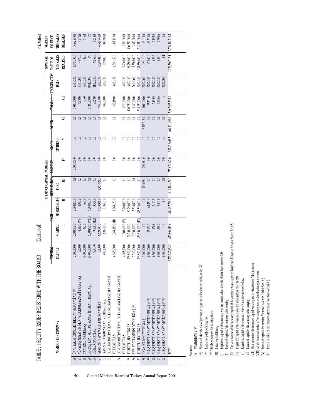|  | ٠ |
|--|---|
|  |   |
|  |   |

TABLE : 1 EQUITY ISSUES REGISTERED WITH THE BOARD **(TL. Million)** TABLE : 1 EQUITY ISSUES REGISTERED WITH THE BOARD

(Continued)

|                                                    |                  |                                                        |                 |                    |                     | <b>ITEMS OF CAPITAL INCREASE</b> |               |               |                |                 |                          | <b>NOMINAL</b>   | <b>MARKET</b>    |
|----------------------------------------------------|------------------|--------------------------------------------------------|-----------------|--------------------|---------------------|----------------------------------|---------------|---------------|----------------|-----------------|--------------------------|------------------|------------------|
|                                                    |                  |                                                        | <b>EXISTING</b> | †<br>€8            |                     | REVALUATION RESERVES             |               | <b>SHOCK</b>  | OHHA           |                 | TOTAL (*) - REGISTRATION | VALUE OF         | VALUE OF         |
|                                                    |                  | NAME OF THE COMPANY                                    | CAPITAL         | <b>TYNINON</b>     | <b>MARKET YALLE</b> | E                                |               | DIVIDEND      |                |                 | DATE                     | <b>THE SALES</b> | <b>THE SALES</b> |
|                                                    |                  |                                                        |                 |                    | $\blacksquare$      |                                  | ≧             |               | ы              | 戸               |                          | REALISED         | REALISED         |
|                                                    | 176              | INAL TARIM ÜRÜNLERI IHRACAT VE SANAYI A.S. (**         | 2,000,000.0     | 2,500,000.0        | 2,500,000.0         |                                  | 2,500,000.0   | $\approx$     |                | 5,000,000.0     | 20/11/200                | 3,648,333.0      | 3,652,833.0      |
| 50                                                 | $177\,$          | NÜKSETAŞ NUSAYBİN İPLİK VE DOKUMA SANAYİİ TİCARET A.Ş. | 5,000.0         | (4,970.0(V))       | 4,970.0             |                                  | 3             | $\approx$     | 3              | 4,970.0         | 30/11/2001               | 4,970.0          | 4,970.0          |
|                                                    | 178              | YAPI KREDI SIGORTA A.Ş.                                | 40,000,000.0    | 482.0              | 675.0               | $0.0\,$                          |               |               | $\approx$      | 675.0           | 08/11/200                | 482.0            | 675.0            |
|                                                    | 179              | GOLDAŞ KUYUMCULUK SANAYİ İTHALAT İHRACAT A.Ş.          | 20,000,000,00   | 5,200,000.0 (VII   | 5,200,000.0         | $0.0\,$                          | 388           | 3333          | $\overline{0}$ | 5,200,000.0     | 04/12/2001               |                  |                  |
|                                                    | $180\,$          | GÖZLÜK SANAYI A.Ş.                                     | 78,975.0        | 9,558.0 (IX)       | 9,558.0             | $0.0\,$                          |               |               | $\odot$        | 9,558.0         | 11/12/2001               | 9,558.0          | 9,580            |
|                                                    | $\overline{181}$ | ISPAK IZMIT SIVI PAKETLEME SANAYII A.S.                | 116,130.0       | 6,529,941.0        | 5,529,941.0         | 353,929.0                        | $\approx$     |               | $\approx$      | 7,883,870.0     | 12/12/2001               | 6,529,941.0      | 6,529,941.0      |
|                                                    | 182              | IYAŞ ISPARTA GIDA SANAYI VE TİCARET A.Ş.               | 480,000.0       | 839,600.0          | 839,600.0           | $\approx$                        | $\approx$     | $\approx$     | 3              | 839,600.0       | 12/12/2001               | 839,600.0        | 839,600.0        |
|                                                    | $\frac{83}{2}$   | OLMUKSA INTERNATIONAL PAPER-SABANCI AMBALAJ SANAYI     |                 |                    |                     |                                  |               |               |                |                 |                          |                  |                  |
|                                                    |                  | VE TICARET A.Ş.                                        | 4,065,600.0     | 1,368,150.0 (II)   | 1,368,150.0         | $\approx$                        | $\approx$     | ន             | $\approx$      | 1,368,150.0     | 14/12/2001               | 1,368,150.0      | 1,368,150.0      |
|                                                    | 184              | OLMUKSA INTERNATIONAL PAPER-SABANCI AMBALAJ SANAYÍ     |                 |                    |                     |                                  |               |               |                |                 |                          |                  |                  |
|                                                    |                  | VE TICARET A.S.                                        | 4,065,600.0     | $3,700,000.0$ (V)  | 3,700,000.0         | $\approx$                        | $\approx$     | 3             |                | 3,700,000.0     | 14/12/2001               | 3,700,000.0      | 3,700,000.0      |
|                                                    | 185              | TURKCELL HOLDÍNG A.Ş.                                  | 335,550,000.0   | 20,750,000.0       | 120,750,000.0       | $\approx$                        | $\approx$     | $\approx$     | $\approx$      | 120,750,000.0   | 14/12/2001               | 20,750,000.0     | 20,750,000.0     |
|                                                    | 186              | YAPI KREDİ YATIRIM ORTAKLIĞI A.Ş.(**)                  | 3,330,000.0     | 3,330,000.0        | 3,330,000.0         | $\approx$                        | $\approx$     | $\epsilon$    | $\approx$      | 3,330,000.0     | 26.12.2001               | 3,330,000.0      | 3,330,000.0      |
|                                                    | 187              | <b>TURKCELL HOLDING A.S.</b>                           | 335,550,000.0   | 335,550,000.0 (IV) | 335,550,000.0       | $\approx$                        | $\circ$       | $\epsilon$    | $\approx$      | 335,550,000.0   | 27/12/200                | 335,550,000.0    | 335,550,000.0    |
|                                                    | 188              | ENKA HOLDÍNG YATIRIMA S                                | 7,000,000.0     | 0.0                | $\approx$           | 325,626.0                        | 294,661.0     | $\approx$     | 2,379,713.0    | 3,000,000.0     | 27/12/2001               | 49,110.0         | 49,110.0         |
|                                                    | 189              | BISAŞ TEKSTİL SANAYİ VE TİCARET A.Ş. (***              | 6,300,000.0     | 47,060.0           | 63,531.0            | $\approx$                        | $\approx$     | $\approx$     | $\approx$      | 63,531.0        | 27/12/2001               | 47,060.0         | 63,531.0         |
|                                                    | 90               | BİSAŞ TEKSTİL SANAYİ VE TİCARET A.Ş. (***)             | 6,300,000.0     | 1,626.6            | 2,195.9             | $\approx$                        | $\odot$       | $\approx$     | $\odot$        | 2,195.9         | 27/12/2001               | 1,626.6          | 2,195.9          |
|                                                    | 191              | BISAS TEKSTIL SANAYI VE TICARET A.S. (***              | 6,300,000.0     | 1,856.0            | 2,505.6             | $0.0\,$                          | $0.0\,$       | 0.0           | $\approx$      | 2,505.6         | 27/12/2001               | 1,856.0          | 2,505.6          |
|                                                    | 192              | 3İSAŞ TEKSTİL SANAYİ VE TİCARET A.Ş. (***)             | 6,300,000.0     |                    | $\tilde{=}$         | 0.0                              | $\approx$     | $\approx$     |                |                 | 27/12/2001               |                  |                  |
| Capital Markets Board of Turkey Annual Report 2001 |                  | <b>EXIOT</b>                                           | 6,729,282,158.5 | 1,679,896,615.6    | ,684,497,761.0      | 619,514,476.0                    | 757,679,042.0 | 397,932,618.5 | 408,301,498.0  | 3,867,925,395.5 |                          | 2,271,380,713.1  | 2,276,501,758.5  |
|                                                    |                  |                                                        |                 |                    |                     |                                  |               |               |                |                 |                          |                  |                  |
|                                                    |                  |                                                        |                 |                    |                     |                                  |               |               |                |                 |                          |                  |                  |
|                                                    |                  |                                                        |                 |                    |                     |                                  |               |               |                |                 |                          |                  |                  |

Footnotes:

 $(V+\Lambda+\Lambda H\mathbb{H}H\mathbb{H}H\mathbb{H}$ (\*) VII=II+III+IV+V+VI

(\*\*) Shares left after the use of preemptive rights was offered to the public at the ISE. (\*\*) Shares left after the use of preemptive rights was offered to the public at the ISE.

(\*\*\*) Increase of public offering rate. (\*\*\*) Increase of public offering rate.

(\*\*\*\*\*)Public offering of the existing shares. (\*\*\*\*) Public offering of the existing shares.

IPO Initial Public Offering (I) Registered capital of the company with the market value, after the shareholders exceeds 250.

(II) Increased capital of the company after merging.

Increased capital of the company after merging.<br>The total volume of the increased capital of the company was assigned to Büyüközer Kimya ve Kauguk San ve TicA Ş (III) The total volume of the increased capital of the company was assigned to Büyüközer Kimya ve Kauçuk San.ve Tic.A.Ş. TO I initial Politic Offering<br>
(1) Registered capital of the company with the market value, after the shareholders exceeds 250.<br>
(1) Registered capital of the company after meging.<br>
(II) The total volume of the increased

(IV) Registered capital of the company after the shareholders exceeds 250. (V) Registered capital of the company which was not registered before.

(VI) Increased capital of the company after merging.

(VII) Total amount of the increased capital was assigned to Privatization Administration.

(VIII) All the increased capital of the company was assigned to foreign investors. (IX) Increased capital after merging Yatırımlar A.Ş with Gözlük San. A.Ş.

(X) Increase capital of the company after taking over Gaz Aletleri A.Ş.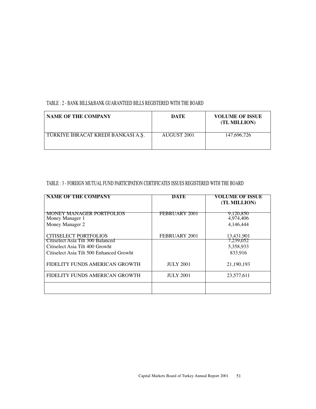## TABLE : 2 - BANK BILLS&BANK GUARANTEED BILLS REGISTERED WITH THE BOARD

| NAME OF THE COMPANY                | <b>DATE</b>        | <b>VOLUME OF ISSUE</b><br>(TL MILLION) |
|------------------------------------|--------------------|----------------------------------------|
| TÜRKİYE İHRACAT KREDİ BANKASI A.Ş. | <b>AUGUST 2001</b> | 147,696,726                            |

## TABLE : 3 - FOREIGN MUTUAL FUND PARTICIPATION CERTIFICATES ISSUES REGISTERED WITH THE BOARD

| NAME OF THE COMPANY                                                         | DATE             | VOLUME OF ISSUE         |
|-----------------------------------------------------------------------------|------------------|-------------------------|
|                                                                             |                  | <b>(TL MILLION)</b>     |
| MONEY MANAGER PORTFOLIOS<br>Money Manager 1                                 | FEBRUARY 2001    | 9,120,850<br>4,974,406  |
| Money Manager 2<br><b>CITISELECT PORTFOLIOS</b>                             | FEBRUARY 2001    | 4,146,444<br>13,431,901 |
| Citiselect Asia Tilt 300 Balanced                                           |                  | 7,239,052               |
| Citiselect Asia Tilt 400 Growht<br>Citiselect Asia Tilt 500 Enhanced Growht |                  | 5,358,933<br>833,916    |
|                                                                             |                  |                         |
| FIDELITY FUNDS AMERICAN GROWTH                                              | <b>JULY 2001</b> | 21,190,193              |
| FIDELITY FUNDS AMERICAN GROWTH                                              | <b>JULY 2001</b> | 23,577,611              |
|                                                                             |                  |                         |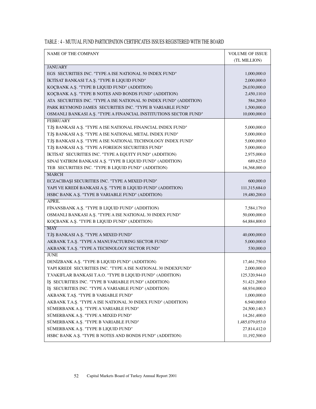| NAME OF THE COMPANY                                                | <b>VOLUME OF ISSUE</b> |
|--------------------------------------------------------------------|------------------------|
|                                                                    | (TL MILLION)           |
| <b>JANUARY</b>                                                     |                        |
| EGS SECURITIES INC. "TYPE A ISE NATIONAL 50 INDEX FUND"            | 1,000,000.0            |
| İKTİSAT BANKASI T.A.Ş. "TYPE B LIQUID FUND"                        | 2,000,000.0            |
| KOÇBANK A.Ş. "TYPE B LIQUID FUND" (ADDITION)                       | 26,030,000.0           |
| KOÇBANK A.Ş. "TYPE B NOTES AND BONDS FUND" (ADDITION)              | 2,450,110.0            |
| ATA SECURITIES INC. "TYPE A ISE NATIONAL 50 INDEX FUND" (ADDITION) | 584,200.0              |
| PARK REYMOND JAMES SECURITIES INC. "TYPE B VARIABLE FUND"          | 1,500,000.0            |
| OSMANLI BANKASI A.Ş. "TYPE A FINANCIAL INSTITUTIONS SECTOR FUND"   | 10,000,000.0           |
| <b>FEBRUARY</b>                                                    |                        |
| T.İŞ BANKASI A.Ş. "TYPE A ISE NATIONAL FINANCIAL INDEX FUND"       | 5,000,000.0            |
| T.İŞ BANKASI A.Ş. "TYPE A ISE NATIONAL METAL INDEX FUND"           | 5,000,000.0            |
| T.İŞ BANKASI A.Ş. "TYPE A ISE NATIONAL TECHNOLOGY INDEX FUND"      | 5,000,000.0            |
| T.İŞ BANKASI A.Ş. "TYPE A FOREIGN SECURITIES FUND"                 | 5,000,000.0            |
| IKTISAT SECURITIES INC. "TYPE A EQUITY FUND" (ADDITION)            | 2,975,000.0            |
| SINAİ YATIRIM BANKASI A.Ş. "TYPE B LIQUID FUND" (ADDITION)         | 689,625.0              |
| TEB SECURITIES INC. "TYPE B LIQUID FUND" (ADDITION)                | 16,368,000.0           |
| <b>MARCH</b>                                                       |                        |
| ECZACIBAȘI SECURITIES INC. "TYPE A MIXED FUND"                     | 600,000.0              |
| YAPI VE KREDİ BANKASI A.Ş. "TYPE B LIQUID FUND" (ADDITION)         | 111,315,684.0          |
| HSBC BANK A.Ş. "TYPE B VARIABLE FUND" (ADDITION)                   | 19,480,200.0           |
| <b>APRIL</b>                                                       |                        |
| FİNANSBANK A.Ş. "TYPE B LIQUID FUND" (ADDITION)                    | 7,584,179.0            |
| OSMANLI BANKASI A.Ş. "TYPE A ISE NATIONAL 30 INDEX FUND"           | 50,000,000.0           |
| KOÇBANK A.Ş. "TYPE B LIQUID FUND" (ADDITION)                       | 64,884,800.0           |
| <b>MAY</b>                                                         |                        |
| T.İŞ BANKASI A.Ş. "TYPE A MIXED FUND"                              | 40,000,000.0           |
| AKBANK T.A.Ş. "TYPE A MANUFACTURING SECTOR FUND"                   | 5,000,000.0            |
| AKBANK T.A.Ş. "TYPE A TECHNOLOGY SECTOR FUND"                      | 530,000.0              |
| <b>JUNE</b>                                                        |                        |
| DENİZBANK A.Ş. "TYPE B LIQUID FUND" (ADDITION)                     | 17,461,750.0           |
| YAPI KREDİ SECURITIES INC. "TYPE A ISE NATIONAL 30 INDEXFUND"      | 2,000,000.0            |
| T.VAKIFLAR BANKASI T.A.O. "TYPE B LIQUID FUND" (ADDITION)          | 125,320,944.0          |
| İŞ SECURITIES INC. "TYPE B VARIABLE FUND" (ADDITION)               | 51,421,200.0           |
| IS SECURITIES INC. "TYPE A VARIABLE FUND" (ADDITION)               | 68,934,000.0           |
| AKBANK T.AŞ. "TYPE B VARIABLE FUND"                                | 1,000,000.0            |
| AKBANK T.A.Ş. "TYPE A ISE NATIONAL 30 INDEX FUND" (ADDITION)       | 6,940,000.0            |
| SÜMERBANK A.Ş. "TYPE A VARIABLE FUND"                              | 24,500,140.5           |
| SÜMERBANK A.Ş. "TYPE A MIXED FUND"                                 | 14,261,400.0           |
| SÜMERBANK A.Ş. "TYPE B VARIABLE FUND"                              | 1,485,079,053.0        |
| SÜMERBANK A.Ş. "TYPE B LIQUID FUND"                                | 27,814,412.0           |
| HSBC BANK A.Ş. "TYPE B NOTES AND BONDS FUND" (ADDITION)            | 11,192,500.0           |
|                                                                    |                        |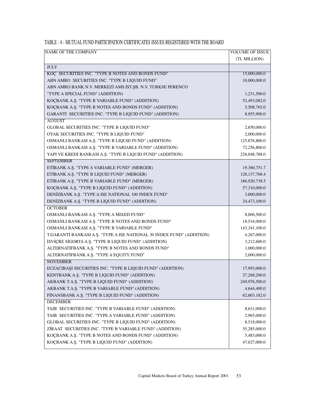| <b>NAME OF THE COMPANY</b>                                 | <b>VOLUME OF ISSUE</b> |
|------------------------------------------------------------|------------------------|
|                                                            | (TL MILLION)           |
| <b>JULY</b>                                                |                        |
| KOÇ SECURITIES INC. "TYPE B NOTES AND BONDS FUND"          | 15,000,000.0           |
| ABN AMRO SECURITIES INC. "TYPE B LIQUID FUND"              | 10,000,000.0           |
| ABN AMRO BANK N.V. MERKEZİ AMS.İST.ŞB. N.V. TURKSE PERENCO |                        |
| "TYPE A SPECIAL FUND" (ADDITION)                           | 1,231,500.0            |
| KOCBANK A.S. "TYPE B VARIABLE FUND" (ADDITION)             | 52,493,082.0           |
| KOÇBANK A.Ş. "TYPE B NOTES AND BONDS FUND" (ADDITION)      | 5,508,765.0            |
| GARANTI SECURITIES INC. "TYPE B LIQUID FUND" (ADDITION)    | 8,955,900.0            |
| <b>AUGUST</b>                                              |                        |
| GLOBAL SECURITIES INC. "TYPE B LIQUID FUND"                | 2,650,000.0            |
| OYAK SECURITIES INC. "TYPE B LIQUID FUND"                  | 2,000,000.0            |
| OSMANLI BANKASI A.S. "TYPE B LIQUID FUND" (ADDITION)       | 125,876,800.0          |
| OSMANLI BANKASI A.Ş. "TYPE B VARIABLE FUND" (ADDITION)     | 72,256,800.0           |
| YAPI VE KREDİ BANKASI A.Ş. "TYPE B LIQUID FUND" (ADDITION) | 226,048,788.0          |
| <b>SEPTEMBER</b>                                           |                        |
| ETİBANK A.Ş. "TYPE A VARIABLE FUND" (MERGER)               | 19,360,751.7           |
| ETİBANK A.Ş. "TYPE B LIQUID FUND" (MERGER)                 | 128, 137, 768. 4       |
| ETİBANK A.Ş. "TYPE B VARIABLE FUND" (MERGER)               | 186,920,738.5          |
| KOÇBANK A.Ş. "TYPE B LIQUID FUND" (ADDITION)               | 57,310,000.0           |
| DENİZBANK A.Ş. "TYPE A ISE NATIONAL 100 INDEX FUND"        | 3,000,000.0            |
| DENİZBANK A.Ş. "TYPE B LIQUID FUND" (ADDITION)             | 24,473,100.0           |
| <b>OCTOBER</b>                                             |                        |
| OSMANLI BANKASI A.S. "TYPE A MIXED FUND"                   | 8,006,500.0            |

TABLE : 4 - MUTUAL FUND PARTICIPATION CERTIFICATES ISSUES REGISTERED WITH THE BOARD

| ETIBANK A.S. "I YPE B LIQUID FUND" (MERGER)                           | 128, 137, 708.4 |
|-----------------------------------------------------------------------|-----------------|
| ETİBANK A.Ş. "TYPE B VARIABLE FUND" (MERGER)                          | 186,920,738.5   |
| KOCBANK A.S. "TYPE B LIQUID FUND" (ADDITION)                          | 57,310,000.0    |
| DENİZBANK A.Ş. "TYPE A ISE NATIONAL 100 INDEX FUND"                   | 3,000,000.0     |
| DENİZBANK A.S. "TYPE B LIQUID FUND" (ADDITION)                        | 24,473,100.0    |
| <b>OCTOBER</b>                                                        |                 |
| OSMANLI BANKASI A.S. "TYPE A MIXED FUND"                              | 8,006,500.0     |
| OSMANLI BANKASI A.S. "TYPE B NOTES AND BONDS FUND"                    | 18,516,000.0    |
| OSMANLI BANKASI A.Ş. "TYPE B VARIABLE FUND"                           | 143,341,100.0   |
| T.GARANTİ BANKASI A.Ş. "TYPE A ISE NATIONAL 30 INDEX FUND" (ADDITION) | 4,267,000.0     |
| ISVICRE SIGORTA A.S. "TYPE B LIQUID FUND" (ADDITION)                  | 3,212,600.0     |
| ALTERNATİFBANK A.Ş. "TYPE B NOTES AND BONDS FUND"                     | 1,000,000.0     |
| ALTERNATIFBANK A.Ş. "TYPE A EQUITY FUND"                              | 2,000,000.0     |
| <b>NOVEMBER</b>                                                       |                 |
| ECZACIBAȘI SECURITIES INC. "TYPE B LIQUID FUND" (ADDITION)            | 17,993,000.0    |
| KENTBANK A.Ş. "TYPE B LIQUID FUND" (ADDITION)                         | 27,268,200.0    |
| AKBANK T.A.Ş. "TYPE B LIQUID FUND" (ADDITION)                         | 249,976,500.0   |
| AKBANK T.A.Ş. "TYPE B VARIABLE FUND" (ADDITION)                       | 4,644,400.0     |
| FİNANSBANK A.Ş. "TYPE B LIQUID FUND" (ADDITION)                       | 62,603,182.0    |
| <b>DECEMBER</b>                                                       |                 |
| TAIB SECURITIES INC. "TYPE B VARIABLE FUND" (ADDITION)                | 8,631,000.0     |
| TAIB SECURITIES INC. "TYPE A VARIABLE FUND" (ADDITION)                | 2,965,000.0     |
| GLOBAL SECURITIES INC. "TYPE B LIQUID FUND" (ADDITION)                | 8,518,000.0     |
| ZIRAAT SECURITIES INC. "TYPE B VARIABLE FUND" (ADDITION)              | 55,285,000.0    |
| KOÇBANK A.Ş. "TYPE B NOTES AND BONDS FUND" (ADDITION)                 | 5,483,000.0     |
| KOCBANK A.S. "TYPE B LIQUID FUND" (ADDITION)                          | 47,027,000.0    |
|                                                                       |                 |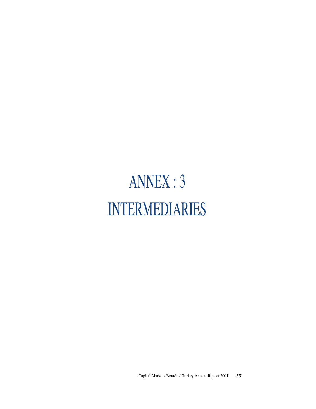# ANNEX : 3 INTERMEDIARIES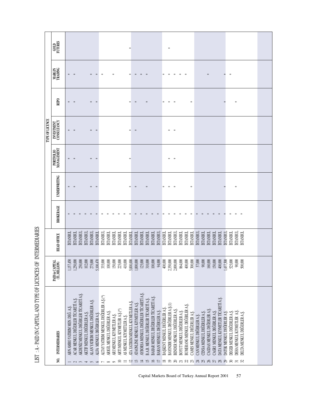|                                                               |                                |                 |                  |                          |                         | <b>TYPE OF LICENCE</b>           |                          |                          |                        |
|---------------------------------------------------------------|--------------------------------|-----------------|------------------|--------------------------|-------------------------|----------------------------------|--------------------------|--------------------------|------------------------|
| INTERMEDIARIES<br>ΣÖ.                                         | PAID in CAPITAL<br>(TLAILLION) | HEAD OFFICE     | <b>BROKERAGE</b> | UNDERWRITING             | PORTFOLIO<br>MANAGEMENT | <b>INVESTMENT</b><br>CONSULTANCY | REPO                     | <b>MARGIN</b><br>TRADING | <b>GOLD</b><br>FUTURES |
| ABN AMRO YATIRIM MEN. DEĞ. A.S.                               | 1,157,450                      | <b>İSTANBUL</b> |                  |                          |                         |                                  | $\rightarrow$            | $\rightarrow$            |                        |
| ACAR MENKUL DEĞERLER TİCARETİ A.Ş                             | 1,250,000                      | <b>İSTANBUL</b> |                  |                          |                         |                                  |                          |                          |                        |
| AKDENİZ MENKUL DEĞERLER TİCARETİ A.S.<br>3                    | $250{,}000$                    | <b>ISTANBUL</b> |                  |                          |                         |                                  |                          |                          |                        |
| AKTIF MENKUL DEĞERLER A.Ş<br>4                                | $102{,}000$                    | <b>ISTANBUL</b> |                  |                          |                         |                                  |                          |                          |                        |
| ALAN YATIRIM MENKUL DEĞERLER A.S.<br>$\sim$                   | 275,000                        | STANBUL         |                  |                          |                         |                                  | $\star$                  |                          |                        |
| ALFA MENKUL DEĞERLER A.S.<br>$\circ$                          | 5,100,470                      | <b>İSTANBUL</b> |                  |                          |                         |                                  | $\boldsymbol{\varkappa}$ |                          |                        |
| ALTAY YATIRIM MENKUL DEĞERLER A.Ş.(*)<br>$\overline{ }$       | $335,\!000$                    | <b>İSTANBUL</b> |                  |                          |                         |                                  |                          |                          |                        |
| ARIGİL MENKUL DEĞERLER A.Ş.<br>$\infty$                       | 100,000                        | <b>İSTANBUL</b> |                  |                          |                         |                                  |                          |                          |                        |
| ARI MENKUL KIYMETLER A.Ş.<br>$\sim$                           | $150,\!000$                    | <b>İSTANBUL</b> |                  |                          |                         |                                  |                          |                          |                        |
| ARTI MENKUL KIYMETLER A.Ş.(*)<br>$\equiv$                     | $225,\!000$                    | <b>İSTANBUL</b> |                  |                          |                         |                                  |                          |                          |                        |
| AS MENKUL KIYMETLER A.S.<br>$\equiv$                          | 410,000                        | <b>STANBUL</b>  |                  |                          |                         |                                  |                          |                          |                        |
| ATA YATIRIM MENKUL KIYMETLER A.Ş<br>$\overline{\omega}$       | 5,000,000                      | <b>ISTANBUL</b> |                  |                          | $\mathcal{H}$           | ÷                                | $\star$                  |                          | $\rightarrow$          |
| ATAONLINE MENKUL KIYMETLER A.Ş                                | 1,000,000                      | <b>ISTANBUL</b> |                  | $\star$                  |                         | $\star$                          | $\ast$                   |                          |                        |
| AYBORSA MENKUL DEĞERLER TİCARETİ A.Ş.<br>$\mathfrak{D} \cong$ | $125,\!000$                    | <b>İSTANBUL</b> |                  |                          |                         |                                  |                          |                          |                        |
| <b>8.A.B. MENKUL DEĞERLER TİCARETİ A.Ş.</b>                   | 310,000                        | <b>ISTANBUL</b> |                  |                          |                         |                                  |                          |                          |                        |
| BAHAR MENKUL DEĞERLER TİCARETİ A.Ş.<br>$15 \nE$               | $100,000$                      | <b>İSTANBUL</b> |                  |                          |                         |                                  |                          |                          |                        |
| BARAN MENKUL DEĞERLER A.Ş.<br>$\Box$                          | $900 \mu R$                    | <b>İSTANBUL</b> |                  |                          |                         |                                  |                          |                          |                        |
| BAŞKENT MENKUL DEĞERLER A.Ş                                   | 400,000                        | STANBUI         |                  |                          |                         |                                  |                          |                          |                        |
| BAYINDIR MENKUL DEĞERLER A.Ş.(1)<br>$\approx$ $\approx$       | 2,350,000                      | <b>İSTANBUL</b> |                  |                          | $\star$                 | $\star$                          |                          |                          | $\star$                |
| BENDER MENKUL DEĞERLER A.Ş<br>ສ                               | $2,\!000,\!000$                | <b>İSTANBUL</b> |                  |                          | $\star$                 | $\boldsymbol{\times}$            |                          |                          |                        |
| BOYUT MENKUL DEĞERLER A.Ş                                     | 864,000                        | <b>İSTANBUL</b> |                  |                          |                         |                                  |                          |                          |                        |
| BUMERANG MENKUL DEĞERLER A.Ş.                                 | 400,000                        | STANBUL         |                  |                          |                         |                                  |                          |                          |                        |
| CAMIS MENKUL DEĞERLER A.Ş.                                    | $300,\!000$                    | STANBUL         |                  | $\ast$                   |                         |                                  | $\star$                  |                          |                        |
| CAN MENKUL DEĞERLER A.Ş.                                      | $57,\!000$                     | STANBUL         |                  |                          |                         |                                  |                          |                          |                        |
| CENSA MENKUL DEĞERLER A.Ş.                                    | $000000$<br>160,000            | <b>İSTANBUL</b> |                  |                          |                         |                                  |                          |                          |                        |
| <b>AGDAS MENKUL DEĞERLER A.Ş.</b>                             |                                | <b>İSTANBUL</b> |                  |                          |                         |                                  |                          | $\star$                  |                        |
| CAGRI MENKUL DEĞERLER A.Ş.                                    | $150,\!000$                    | <b>ISTANBUL</b> |                  |                          |                         |                                  |                          |                          |                        |
| DATA MENKUL KIYMETLER TİCARETİ A.Ş.                           | 400,000                        | <b>İSTANBUL</b> |                  |                          |                         |                                  |                          |                          |                        |
| <b>MTEK MENKUL DEĞERLER A.Ş.</b>                              | 1,437,500                      | <b>STANBUL</b>  |                  | $\boldsymbol{\varkappa}$ |                         |                                  | $\boldsymbol{\varkappa}$ |                          |                        |
| DEGER MENKUL DEĞERLER A.Ş<br><u>ដ</u> ូដងងងក្នុងនិន           | $525,\!000$                    | <b>İSTANBUL</b> |                  |                          |                         |                                  |                          | $\ast$                   |                        |
| JEHA MENKUL KIYMETLER A.Ş.                                    | $90,\!00$                      | STANBUL         |                  | ×                        |                         |                                  | $\mathcal{H}$            |                          |                        |
| <b>JELTA MENKUL DEĞERLER A.Ş.</b><br>$\mathbb{Z}$             | $500,\!000$                    | <b>İSTANBUL</b> |                  |                          |                         |                                  |                          |                          |                        |
|                                                               |                                |                 |                  |                          |                         |                                  |                          |                          |                        |
|                                                               |                                |                 |                  |                          |                         |                                  |                          |                          |                        |
|                                                               |                                |                 |                  |                          |                         |                                  |                          |                          |                        |

LIST : A - PAID IN CAPITAL AND TYPE OF LICENCES OF INTERMEDIARIES LIST : A - PAID IN CAPITAL AND TYPE OF LICENCES OF INTERMEDIARIES

Capital Markets Board of Turkey Annual Report 2001 57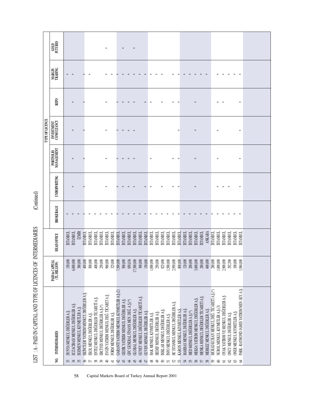${\tt LIST}: {\tt A- PAD}$  IN CAPITAL AND TYPE OF LICENCES OF INTERMEDIARIES LIST : A - PAID IN CAPITAL AND TYPE OF LICENCES OF INTERMEDIARIES

(Continued)

| <b>COLD</b><br>FUTURES         |                            |                                        |                                     |                                       |                           |                                     |                                 | $\ast$                                 |                            |           | $\star$                                                                               |                 | $\star$                                          |                                      |                          |                           |               |                              |                |                                  |                          |                 |                                      |                                   |                                                     |                                    |                                               |                                                                  |                                     |                 |                             |                                            |                                                            |
|--------------------------------|----------------------------|----------------------------------------|-------------------------------------|---------------------------------------|---------------------------|-------------------------------------|---------------------------------|----------------------------------------|----------------------------|-----------|---------------------------------------------------------------------------------------|-----------------|--------------------------------------------------|--------------------------------------|--------------------------|---------------------------|---------------|------------------------------|----------------|----------------------------------|--------------------------|-----------------|--------------------------------------|-----------------------------------|-----------------------------------------------------|------------------------------------|-----------------------------------------------|------------------------------------------------------------------|-------------------------------------|-----------------|-----------------------------|--------------------------------------------|------------------------------------------------------------|
| <b>MARGIN</b><br>TRADING       | $\star$                    |                                        |                                     |                                       |                           |                                     |                                 |                                        |                            |           |                                                                                       |                 |                                                  |                                      |                          |                           |               |                              |                |                                  |                          |                 |                                      |                                   |                                                     |                                    |                                               |                                                                  |                                     |                 |                             |                                            |                                                            |
| REPO                           |                            |                                        |                                     |                                       |                           |                                     |                                 |                                        |                            |           |                                                                                       |                 |                                                  |                                      |                          |                           |               |                              |                |                                  |                          |                 |                                      |                                   |                                                     |                                    |                                               |                                                                  |                                     |                 |                             | ×                                          |                                                            |
| INVESTMENT<br>CONSULTANCY      |                            |                                        |                                     |                                       |                           |                                     |                                 |                                        |                            |           |                                                                                       |                 |                                                  |                                      |                          |                           |               |                              |                |                                  | $\boldsymbol{\varkappa}$ |                 |                                      | $\ast$                            |                                                     |                                    |                                               | $\ast$                                                           |                                     |                 |                             | ×                                          |                                                            |
| PORTFOLIO<br>MANAGEMENT        |                            | $\rightarrow$                          |                                     |                                       |                           |                                     |                                 | $\ast$                                 |                            |           |                                                                                       |                 |                                                  |                                      |                          | $\star$                   |               |                              |                | $\boldsymbol{\varkappa}$         | $\star$                  |                 |                                      | $\star$                           |                                                     |                                    |                                               | $\star$                                                          |                                     |                 |                             | $\mathcal{H}$                              |                                                            |
| UNDERWRITING                   |                            | $\star$                                |                                     |                                       |                           |                                     |                                 |                                        |                            |           |                                                                                       |                 |                                                  |                                      |                          |                           |               |                              |                |                                  |                          |                 |                                      | $\star$                           |                                                     |                                    |                                               |                                                                  |                                     |                 |                             | $\rightarrow$                              |                                                            |
| <b>BROKERAGE</b>               |                            |                                        |                                     |                                       |                           |                                     |                                 |                                        |                            |           |                                                                                       |                 |                                                  |                                      |                          |                           |               |                              |                |                                  |                          |                 |                                      |                                   |                                                     |                                    |                                               |                                                                  |                                     |                 |                             |                                            |                                                            |
| HEAD OFFICE                    | <b>INBANE</b>              | <b>İSTANBUL</b>                        | izmir                               | STANBUI                               | <b>İSTANBUL</b>           | <b>İSTANBUL</b>                     | <b>STANBUL</b>                  | <b>İSTANBUL</b>                        | <b>İSTANBUL</b>            |           | <b>INBUTS</b>                                                                         | <b>İSTANBUL</b> | <b>İSTANBUL</b>                                  | <b>İSTANBUL</b>                      | <b>INBUTS</b>            | <b>STANBUL</b>            | STANBUL       | <b>İSTANBUL</b>              | <b>STANBUL</b> | <b>İSTANBUL</b>                  | <b>STANBUI</b>           | <b>İSTANBUL</b> | <b>İSTANBUL</b>                      | <b>İSTANBUL</b>                   | <b>STANBUL</b>                                      | ANKARA                             | <b>İSTANBUL</b>                               | STANBUL                                                          | STANBUL                             | <b>İSTANBUL</b> |                             | <b>İSTANBUL</b>                            |                                                            |
| PAID in CAPITAL<br>(TLAILLION) |                            |                                        | 380,000                             | 000(<br>$\epsilon$                    | 000                       | 000                                 | 600                             | 000                                    | 325,000                    |           |                                                                                       | 836<br>850      | 000                                              | 300,000                              | 000(<br>150              | 000(<br>1,000             | 000           | 000                          | 000            | 000                              | 800,000                  |                 |                                      | 3,000,000                         | 280,000                                             | 000(                               |                                               | 000<br>1,000                                                     | 000<br>2,900                        | 500<br>292      | $\mathfrak{g}$<br>$\approx$ | $\mathfrak{g}$<br>1,984                    |                                                            |
| INTERMEDIARIES                 | DUNYA MENKUL DEĞERLER A.S. | <b>ECZACIBASI MENKUL DEĞERLER A.Ş.</b> | <b>EGEMEN MENKUL KIYMETLER A.Ş.</b> | EKİNCİLER YATIRIM MENKUL DEĞERLER A.Ş | EKOL MENKUL DEĞERLER A.S. | ENTEZ MENKUL DEĞERLER TİCARETİ A.Ş. | ERCÍYES MENKUL DEĞERLER A.Ş.(*) | EVGİN YATIRIM MENKUL DEĞ. TİCARET A.Ş. | FORM MENKUL DEĞERLER A.Ş.  |           |                                                                                       |                 | GLOBAL MENKUL DEĞERLER A.S.                      | GUNEY MENKUL DEĞERLER TİCARETİ A.Ş.  | GUVEN MENKUL DEĞERLER AŞ | HAK MENKUL KIYMETLER A.Ş. |               | ISIKLAR MENKUL DEĞERLER A.Ş. |                | HC İSTANBUL MENKUL DEĞERLER A.Ş. |                          |                 | MED MENKUL DEĞERLER A.S.(*)          | MEKSA YATIRIM MENKUL DEĞERLER A.Ş |                                                     |                                    |                                               | NUROL MENKUL KIYMETLER A.S.(3)                                   | OYAK YATIRIM VE MENKUL DEĞERLER A.Ş |                 |                             | PARK -RAYMOND JAMES YATIRIM MEN. KIY. A.S. |                                                            |
|                                | S.                         | 000                                    | 150<br>33                           | 6,000,000                             |                           |                                     |                                 | 33858                                  | 960<br>39<br>$\Rightarrow$ | $\exists$ | STANBUL<br>000<br>7,500<br>GARANTI YATIRIM MENKUL KIYMETLER A.Ş.(2)<br>$\mathfrak{p}$ | 유               | 500,000<br>GEDIK YATIRIM MENKUL DEĞERLER AŞ<br>韋 | GFC GENERAL FİNANS MEN. DEĞ. A.Ş.(*) | 17,500<br>$\frac{4}{5}$  | t,                        | $\frac{8}{3}$ | HEDEF MENKUL DEĞERLER A.Ş    | <u> គន</u>     | NFO MENKUL DEĞERLER A.Ş.         | 1,500<br>2,950           |                 | KARON MENKUL KIYMETLER A.Ş.<br>のいにない | MARBAS MENKUL DEĞERLER A.Ş.       | $\begin{array}{c} 120\,000 \\ 200\,000 \end{array}$ | MENKA MENKUL DEĞERLER TİCARETİ A.Ş | $\circledcirc$<br>MERKEZ MENKUL DEĞERLER A.Ş. | 000<br>280<br>MURAD KURAN MENKUL DEĞ. TİCARETİ A.Ş.(*)<br>358588 | $\circledcirc$                      | $\Xi$           | $\mathfrak{S}$              | ONCU MENKUL DEĞERLER A.Ş.                  | <b>İSTANBUL</b><br>ONER MENKUL KIYMETLER A.Ş<br><u>ය අ</u> |

58 Capital Markets Board of Turkey Annual Report 2001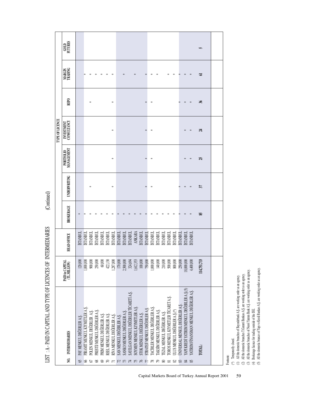|                                                    |                                                                                     |                                                    |                 |                  |              |                          | <b>TYPE OF LICENCE</b>           |                          |                          |                        |
|----------------------------------------------------|-------------------------------------------------------------------------------------|----------------------------------------------------|-----------------|------------------|--------------|--------------------------|----------------------------------|--------------------------|--------------------------|------------------------|
|                                                    | INTERMEDIARIES<br>S.                                                                | PAID in CAPITAL<br>(TLANILLION)                    | HEAD OFFICE     | <b>BROKERAGE</b> | UNDERWRITING | PORTFOLIO<br>MANAGEMENT  | <b>INVESTMENT</b><br>CONSULTANCY | REPO                     | <b>MARGIN</b><br>TRADING | <b>GOLD</b><br>FUTURES |
|                                                    | PAY MENKUL DEĞERLER A.S.<br>59                                                      | 600<br><b>20</b>                                   | <b>İSTANBUL</b> | $\star$          |              |                          |                                  |                          |                          |                        |
|                                                    | PIR AMIT MENKUL KIYMETLER A.S.                                                      | 00000001                                           | <b>İSTANBUL</b> |                  |              |                          |                                  |                          |                          |                        |
|                                                    | POLEN MENKUL DEĞERLER A.Ş.<br>66                                                    | 900,000                                            | <b>İSTANBUL</b> | $\star$          | ₩            |                          |                                  | ×                        | ∗                        |                        |
|                                                    | PRESTIJ MENKUL DEĞERLER A.Ş<br>$\infty$                                             | 250,000                                            | <b>İSTANBUL</b> |                  |              |                          |                                  |                          | $\star$                  |                        |
|                                                    | PRIM MENKUL DEĞERLER AŞ                                                             | $60,\!000$                                         | <b>İSTANBUL</b> | $\star$          |              |                          |                                  |                          |                          |                        |
|                                                    | REEL MENKUL DEĞERLER A.Ş                                                            | $422,130$                                          | <b>İSTANBUL</b> |                  |              |                          |                                  |                          |                          |                        |
|                                                    | RİVA MENKUL DEĞERLER A.Ş.                                                           | 1,287,800                                          | <b>ISTANBUL</b> |                  | ×            | ×                        | ÷                                | ÷                        |                          |                        |
|                                                    | SAN MENKUL DEĞERLER A.Ş.                                                            | $170,\!000$                                        | <b>İSTANBUL</b> |                  |              |                          |                                  |                          |                          |                        |
|                                                    | SANKO MENKUL DEĞERLER AŞ                                                            | $2{,}500\,000$                                     | <b>ISTANBUL</b> |                  |              |                          |                                  |                          |                          |                        |
|                                                    | SAYILGAN MENKUL DEĞERLER TİCARETİ A.Ş.                                              | 324,694                                            | <b>İSTANBUL</b> |                  |              |                          |                                  |                          |                          |                        |
|                                                    | SOYMEN MENKUL KIYMETLER A.Ş                                                         | 1,612,353                                          | ANKARA          |                  |              |                          |                                  |                          |                          |                        |
|                                                    | STOK MENKUL DEĞERLER A.Ş.                                                           | $\begin{array}{c} 100,000 \\ 0.000 \\ \end{array}$ | <b>İSTANBUL</b> |                  |              |                          |                                  |                          |                          |                        |
|                                                    | STRATEJI MENKUL DEĞERLER A.Ş.                                                       |                                                    | <b>İSTANBUL</b> |                  | $\ast$       | ∗                        | ×                                | ×                        |                          |                        |
|                                                    | TACIRLER MENKUL DEĞERLER A.Ş<br><b>ORERRERRERSESS</b>                               | 1,000,000                                          | <b>İSTANBUL</b> | $\star$          | $\star$      | $\boldsymbol{\varkappa}$ | $\ast$                           | $\boldsymbol{\varkappa}$ |                          |                        |
|                                                    | TAKSÍM MENKUL DEĞERLER A.Ş.                                                         | $140,000$                                          | STANBUL         | $\star$          |              |                          |                                  |                          |                          |                        |
|                                                    | TEZAL MENKUL DEĞERLER A.S                                                           |                                                    | <b>İSTANBUL</b> | ×                |              |                          |                                  |                          |                          |                        |
|                                                    | TOROS MENKUL KIYMETLER TİCARET A.Ş.                                                 | $210,000$<br>500,000                               | <b>İSTANBUL</b> | $\star$          |              |                          |                                  |                          |                          |                        |
|                                                    | JLUS MENKUL DEĞERLER A.S.(*)                                                        | 800,000                                            | STANBUL         | $\ast$           |              |                          |                                  |                          |                          |                        |
|                                                    | ÜNİVERSAL MENKUL DEĞERLER A.Ş                                                       | 250,000                                            | <b>STANBUL</b>  | $\star$          |              |                          |                                  |                          |                          |                        |
|                                                    | YAPI KREDI YATIRIM MENKUL DEĞERLER A.Ş.(5)<br>$\frac{3}{2}$ 23                      | 18,000,000                                         | STANBUL         |                  | $\star$      |                          |                                  | $\star$                  | $\star$                  |                        |
|                                                    | YATIRIM FİNANSMAN MENKUL DEĞERLER A.Ş.                                              | $\mathfrak{g}$<br>4,400                            | <b>İSTANBUL</b> |                  |              | $\infty$                 | $\rightarrow$                    | $\mathcal{H}$            |                          |                        |
|                                                    | TOTAL:                                                                              | 733<br>114,751                                     |                 | SS <sub>1</sub>  | 57           | $\mathcal{L}$            | ష                                | శ                        | ತ                        | in,                    |
| Capital Markets Board of Turkey Annual Report 2001 |                                                                                     |                                                    |                 |                  |              |                          |                                  |                          |                          |                        |
|                                                    |                                                                                     |                                                    |                 |                  |              |                          |                                  |                          |                          |                        |
|                                                    |                                                                                     |                                                    |                 |                  |              |                          |                                  |                          |                          |                        |
|                                                    | Footnote:                                                                           |                                                    |                 |                  |              |                          |                                  |                          |                          |                        |
|                                                    | (*) Temporarily closed.                                                             |                                                    |                 |                  |              |                          |                                  |                          |                          |                        |
| 59                                                 | $(1)$ All the domestic branches of Bayndrrbank A.Ş. are working order as an agency. |                                                    |                 |                  |              |                          |                                  |                          |                          |                        |

(2) All the domestic branches T.Garanti Bankası A.Ş. are working order as an agency.

(3) All the domestic branches of Nurol Yatırım Bank A.Ş. are working order as an agency. (4) Brokerage licence for trading outside of the ISE.

(5) All the domestic brances of Yapı ve Kredi Bankası A.Ş. are working order as an agency.

(Continued)

LIST: A-PAID IN CAPITAL AND TYPE OF LICENCES OF INTERMEDIARIES LIST : A - PAID IN CAPITAL AND TYPE OF LICENCES OF INTERMEDIARIES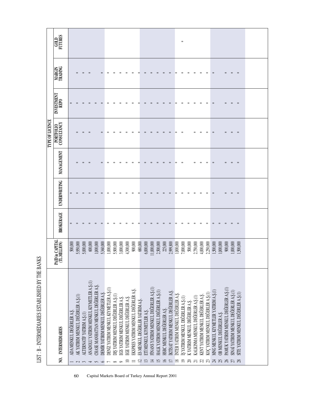| <b>GOLD</b><br>FUTURES<br>∗<br><b>MARGIN</b><br>TRADING<br>∗<br><b>INVESTMENT</b><br>REP <sub>0</sub><br>∗<br>$\ast$<br><b>PORTFOLIO</b><br>CONSULTANCY<br>$\ast$<br>$\ast$<br>$\ast$<br>∗<br>∗<br>∗<br>∗<br>MANAGEMENT<br>$\ast$<br>∗<br>$\ast$<br>∗<br>∗<br>∗<br>$\ast$<br>∗<br>UNDERWRITING |                                                    |
|------------------------------------------------------------------------------------------------------------------------------------------------------------------------------------------------------------------------------------------------------------------------------------------------|----------------------------------------------------|
|                                                                                                                                                                                                                                                                                                | <b>BROKERAGE</b><br>PAID in CAPITAL<br>(TLAHLLION) |
|                                                                                                                                                                                                                                                                                                | ∗<br>500,000                                       |
|                                                                                                                                                                                                                                                                                                | 5,950,000                                          |
|                                                                                                                                                                                                                                                                                                | 5,000,000                                          |
|                                                                                                                                                                                                                                                                                                | 600,000                                            |
|                                                                                                                                                                                                                                                                                                | 000,000,1                                          |
|                                                                                                                                                                                                                                                                                                | 5,360,000                                          |
|                                                                                                                                                                                                                                                                                                | 000,000                                            |
|                                                                                                                                                                                                                                                                                                | 5,900,000                                          |
|                                                                                                                                                                                                                                                                                                | 3,000,000                                          |
|                                                                                                                                                                                                                                                                                                | 4,300,000                                          |
|                                                                                                                                                                                                                                                                                                | 900,000                                            |
|                                                                                                                                                                                                                                                                                                | 680,000                                            |
|                                                                                                                                                                                                                                                                                                | 6,000,000                                          |
|                                                                                                                                                                                                                                                                                                | 11,000,000                                         |
|                                                                                                                                                                                                                                                                                                | 2,500,000                                          |
|                                                                                                                                                                                                                                                                                                | 225,000                                            |
|                                                                                                                                                                                                                                                                                                | 2,999,800                                          |
|                                                                                                                                                                                                                                                                                                | 1,000,000                                          |
|                                                                                                                                                                                                                                                                                                | 7,000,000                                          |
|                                                                                                                                                                                                                                                                                                | 500,000                                            |
|                                                                                                                                                                                                                                                                                                | 2,750,000                                          |
|                                                                                                                                                                                                                                                                                                | 4,000,000                                          |
|                                                                                                                                                                                                                                                                                                | 2,250,000                                          |
|                                                                                                                                                                                                                                                                                                | 500,000                                            |
|                                                                                                                                                                                                                                                                                                | 000,000                                            |
|                                                                                                                                                                                                                                                                                                | 900,000                                            |
|                                                                                                                                                                                                                                                                                                | ,000,000                                           |
|                                                                                                                                                                                                                                                                                                | 500,000                                            |
|                                                                                                                                                                                                                                                                                                |                                                    |

LIST : B - INTERMEDIARIES ESTABLISHED BY THE BANKS LIST : B - INTERMEDIARIES ESTABLISHED BY THE BANKS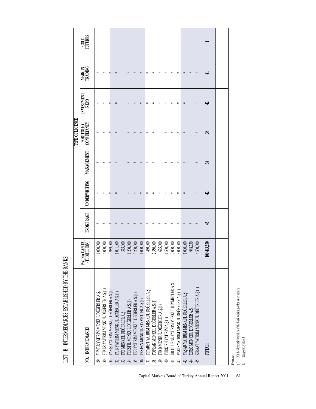|                                                    |                                                                                    |                                |                  |                     |            | <b>TYPE OF LICENCE</b>   |                    |                           |                        |
|----------------------------------------------------|------------------------------------------------------------------------------------|--------------------------------|------------------|---------------------|------------|--------------------------|--------------------|---------------------------|------------------------|
|                                                    | NO. INTERMEDIARIES                                                                 | PAID in CAPITAL<br>(TLAHLLION) | <b>BROKERAGE</b> | <b>UNDERWRITING</b> | MANAGEMENT | PORTFOLIO<br>CONSULTANCY | INVESTMENT<br>REPO | <b>MARGIN<br/>TRADING</b> | <b>GOLD</b><br>FUTURES |
|                                                    | SÜMER YATIRIM MENKUL DEĞERLER A.Ş.<br>29                                           | 000,000                        | ∗                | ∗                   | ∗          | ∗                        | ₩                  | ₩                         |                        |
|                                                    | ŞEKER YATIRIM MENKUL DEĞERLER A.Ş.(1)<br>≌                                         | 4,000,000                      |                  | 46                  | -36        |                          | -36                | -36                       |                        |
|                                                    | ARİŞ YATIRIM MENKUL DEĞERLER A.Ş.(1)<br>ಸ                                          | 939,000                        |                  | -36                 |            |                          |                    |                           |                        |
|                                                    | AIB YATIRIM MENKUL DEGERLER A.Ş.(1)<br>32                                          | 000(100                        |                  |                     |            |                          |                    |                           |                        |
|                                                    | AT MENKUL DEĞERLER A.Ş.                                                            | 375,000                        |                  |                     |            |                          |                    |                           |                        |
|                                                    | TEKSTİL MENKUL DEĞERLER A.Ş.(1)<br>$\frac{4}{3}$                                   | $200,000$                      |                  |                     |            |                          |                    |                           |                        |
|                                                    | TEB YATIRIM MENKUL DEĞERLER A.Ş.(1)<br>35                                          | 3,200,000                      |                  |                     | -36        |                          |                    |                           |                        |
|                                                    | <b>TEKFEN MENKUL KIYMETLER A.Ş.(1)</b><br>36                                       | 1,000,000                      |                  | -∗                  | -∗         | -∗                       | -36                | -36                       |                        |
|                                                    | TİCARET YATIRIM MENKUL DEĞERLER A.Ş.<br>57                                         | 450,000                        |                  | ∗                   | ∗          | ∗                        |                    | 46                        |                        |
|                                                    | TOPRAK MENKUL DEĞERLER A.Ş.(1)<br>38                                               | 2,350,000                      |                  |                     |            |                          |                    |                           |                        |
|                                                    | <b>ISKB MENKUL DEĞERLER A.Ş.(1)</b><br>39                                          | 675,000                        |                  |                     |            |                          |                    |                           |                        |
|                                                    | TURKISH YATIRIM A.Ş.(1)<br>₽                                                       | 1,500,000                      |                  |                     |            |                          |                    |                           |                        |
|                                                    | UB ULUSAL YATIRIM MENKUL KIYMETLER A.Ş.<br>Φ                                       | 000,000,000                    |                  |                     | -36        |                          |                    |                           |                        |
|                                                    | VAKIF YATIRIM MENKUL DEĞERLER A.Ş.(1)<br>A,                                        | 000,000,                       |                  |                     | ∗          | ∗                        | ∗                  | -36                       |                        |
|                                                    | YAŞAR YATIRIM MENKUL DEĞERLER A.Ş.<br>43                                           | 000,000,1                      | ∗                |                     | ∗          | ∗                        |                    | ÷.                        |                        |
|                                                    | EURO MENKUL DEGERLER A.Ş<br>4                                                      | 988,750                        |                  |                     |            |                          |                    | -36                       |                        |
|                                                    | ZÍRAAT YATIRIM MENKUL DEĞERLER A.Ş.(1)<br>45                                       | 4,500,000                      |                  | ∗                   | ∗          | ∗                        | ∗                  |                           |                        |
| Capital Markets Board of Turkey Annual Report 2001 | TOTAL:                                                                             | 109,493,550                    | 4                | t,                  | ≋          | ≋                        | a                  | 급                         |                        |
|                                                    |                                                                                    |                                |                  |                     |            |                          |                    |                           |                        |
| 61                                                 | (1) All the domestic branches of the bank working order as an agency<br>Footnotes: |                                |                  |                     |            |                          |                    |                           |                        |

LIST : B - INTERMEDIARIES ESTABLISHED BY THE BANKS

LIST : B - INTERMEDIARIES ESTABLISHED BY THE BANKS

(2) Temporarily closed.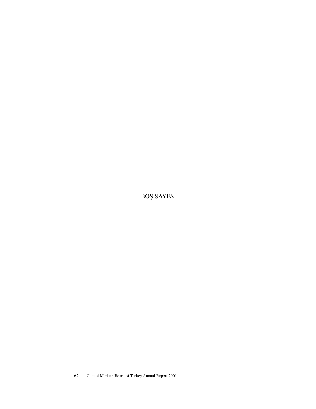BOŞ SAYFA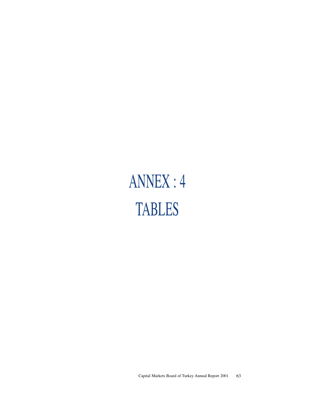## ANNEX : 4 TABLES